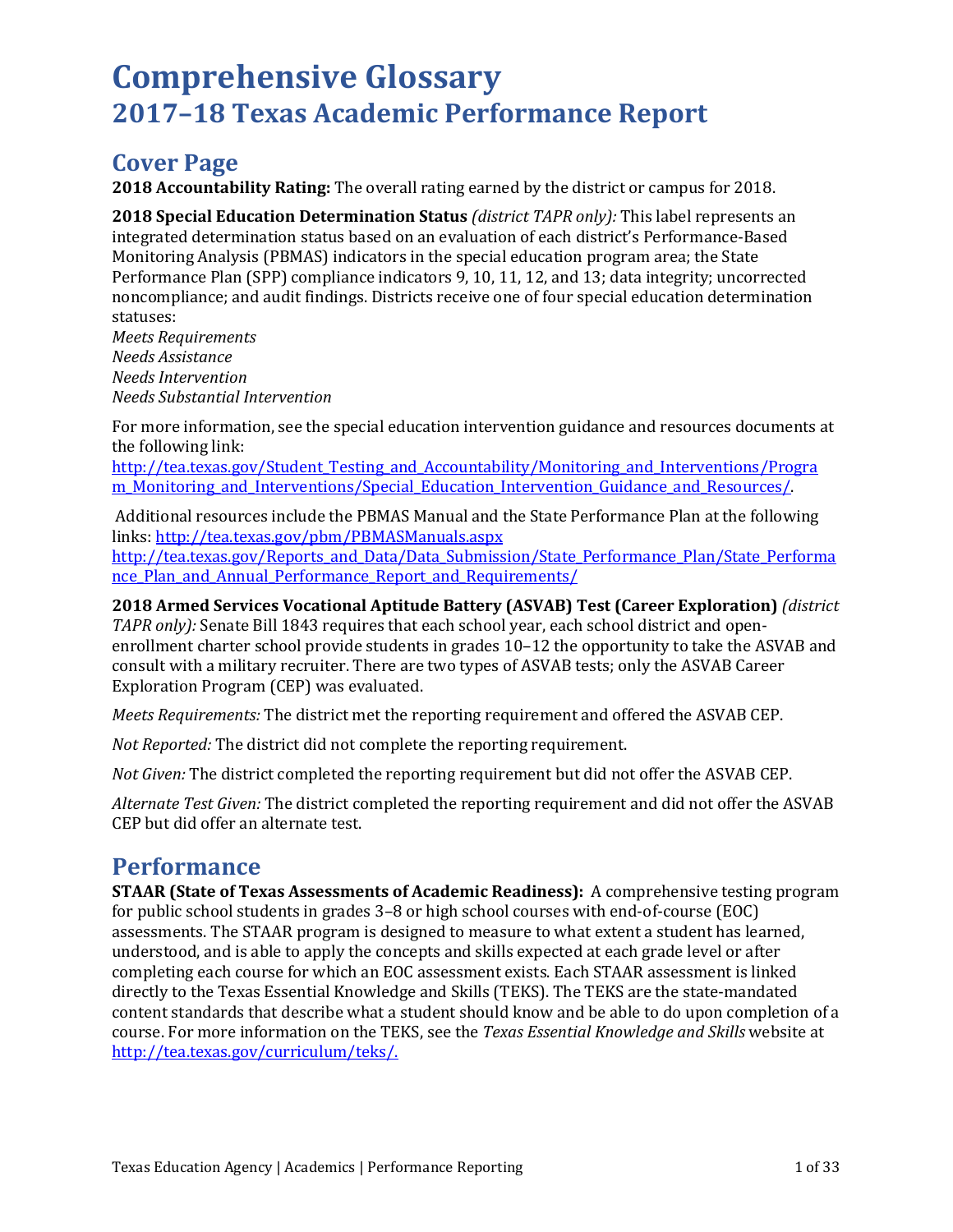# **Comprehensive Glossary 2017–18 Texas Academic Performance Report**

## **Cover Page**

**2018 Accountability Rating:** The overall rating earned by the district or campus for 2018.

**2018 Special Education Determination Status** *(district TAPR only):* This label represents an integrated determination status based on an evaluation of each district's Performance-Based Monitoring Analysis (PBMAS) indicators in the special education program area; the State Performance Plan (SPP) compliance indicators 9, 10, 11, 12, and 13; data integrity; uncorrected noncompliance; and audit findings. Districts receive one of four special education determination statuses:

*Meets Requirements Needs Assistance Needs Intervention Needs Substantial Intervention*

For more information, see the special education intervention guidance and resources documents at the following link:

[http://tea.texas.gov/Student\\_Testing\\_and\\_Accountability/Monitoring\\_and\\_Interventions/Progra](http://tea.texas.gov/Student_Testing_and_Accountability/Monitoring_and_Interventions/Progra%20m_Monitoring_and_Interventions/Special_Education_Intervention_Guidance_and_Resources/)  [m\\_Monitoring\\_and\\_Interventions/Special\\_Education\\_Intervention\\_Guidance\\_and\\_Resources/.](http://tea.texas.gov/Student_Testing_and_Accountability/Monitoring_and_Interventions/Progra%20m_Monitoring_and_Interventions/Special_Education_Intervention_Guidance_and_Resources/)

Additional resources include the PBMAS Manual and the State Performance Plan at the following links:<http://tea.texas.gov/pbm/PBMASManuals.aspx>

[http://tea.texas.gov/Reports\\_and\\_Data/Data\\_Submission/State\\_Performance\\_Plan/State\\_Performa](http://tea.texas.gov/Reports_and_Data/Data_Submission/State_Performance_Plan/State_Performance_Plan_and_Annual_Performance_Report_and_Requirements/) nce Plan and Annual Performance Report and Requirements/

**2018 Armed Services Vocational Aptitude Battery (ASVAB) Test (Career Exploration)** *(district TAPR only):* Senate Bill 1843 requires that each school year, each school district and openenrollment charter school provide students in grades 10–12 the opportunity to take the ASVAB and consult with a military recruiter. There are two types of ASVAB tests; only the ASVAB Career Exploration Program (CEP) was evaluated.

*Meets Requirements:* The district met the reporting requirement and offered the ASVAB CEP.

*Not Reported:* The district did not complete the reporting requirement.

*Not Given:* The district completed the reporting requirement but did not offer the ASVAB CEP.

*Alternate Test Given:* The district completed the reporting requirement and did not offer the ASVAB CEP but did offer an alternate test.

## **Performance**

**STAAR (State of Texas Assessments of Academic Readiness):** A comprehensive testing program for public school students in grades 3–8 or high school courses with end-of-course (EOC) assessments. The STAAR program is designed to measure to what extent a student has learned, understood, and is able to apply the concepts and skills expected at each grade level or after completing each course for which an EOC assessment exists. Each STAAR assessment is linked directly to the Texas Essential Knowledge and Skills (TEKS). The TEKS are the state-mandated content standards that describe what a student should know and be able to do upon completion of a course. For more information on the TEKS, see the *Texas Essential Knowledge and Skills* website at [http://tea.texas.gov/curriculum/teks/.](http://tea.texas.gov/curriculum/teks/)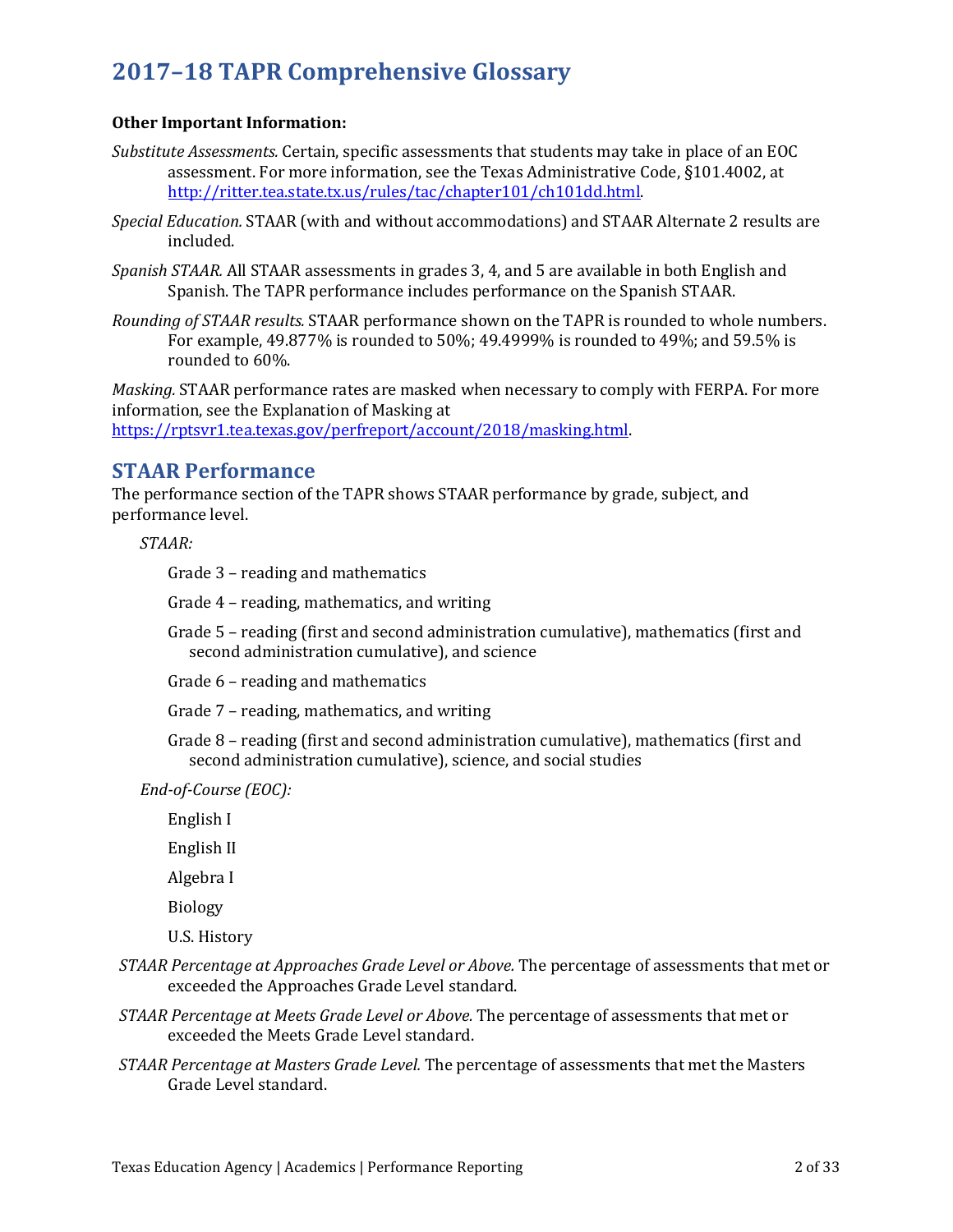## **Other Important Information:**

- *Substitute Assessments.* Certain, specific assessments that students may take in place of an EOC assessment. For more information, see the Texas Administrative Code, §101.4002, at [http://ritter.tea.state.tx.us/rules/tac/chapter101/ch101dd.html.](http://ritter.tea.state.tx.us/rules/tac/chapter101/ch101dd.html)
- *Special Education.* STAAR (with and without accommodations) and STAAR Alternate 2 results are included.
- *Spanish STAAR.* All STAAR assessments in grades 3, 4, and 5 are available in both English and Spanish. The TAPR performance includes performance on the Spanish STAAR.
- *Rounding of STAAR results.* STAAR performance shown on the TAPR is rounded to whole numbers. For example, 49.877% is rounded to 50%; 49.4999% is rounded to 49%; and 59.5% is rounded to 60%.

*Masking.* STAAR performance rates are masked when necessary to comply with FERPA. For more information, see the Explanation of Masking at [https://rptsvr1.tea.texas.gov/perfreport/account/2018/masking.html.](https://rptsvr1.tea.texas.gov/perfreport/account/2018/masking.html)

## **STAAR Performance**

The performance section of the TAPR shows STAAR performance by grade, subject, and performance level.

*STAAR:*

Grade 3 – reading and mathematics

Grade 4 – reading, mathematics, and writing

Grade 5 – reading (first and second administration cumulative), mathematics (first and second administration cumulative), and science

Grade 6 – reading and mathematics

Grade 7 – reading, mathematics, and writing

Grade 8 – reading (first and second administration cumulative), mathematics (first and second administration cumulative), science, and social studies

*End-of-Course (EOC):*

English I

English II

Algebra I

Biology

U.S. History

- *STAAR Percentage at Approaches Grade Level or Above.* The percentage of assessments that met or exceeded the Approaches Grade Level standard.
- *STAAR Percentage at Meets Grade Level or Above.* The percentage of assessments that met or exceeded the Meets Grade Level standard.
- *STAAR Percentage at Masters Grade Level.* The percentage of assessments that met the Masters Grade Level standard.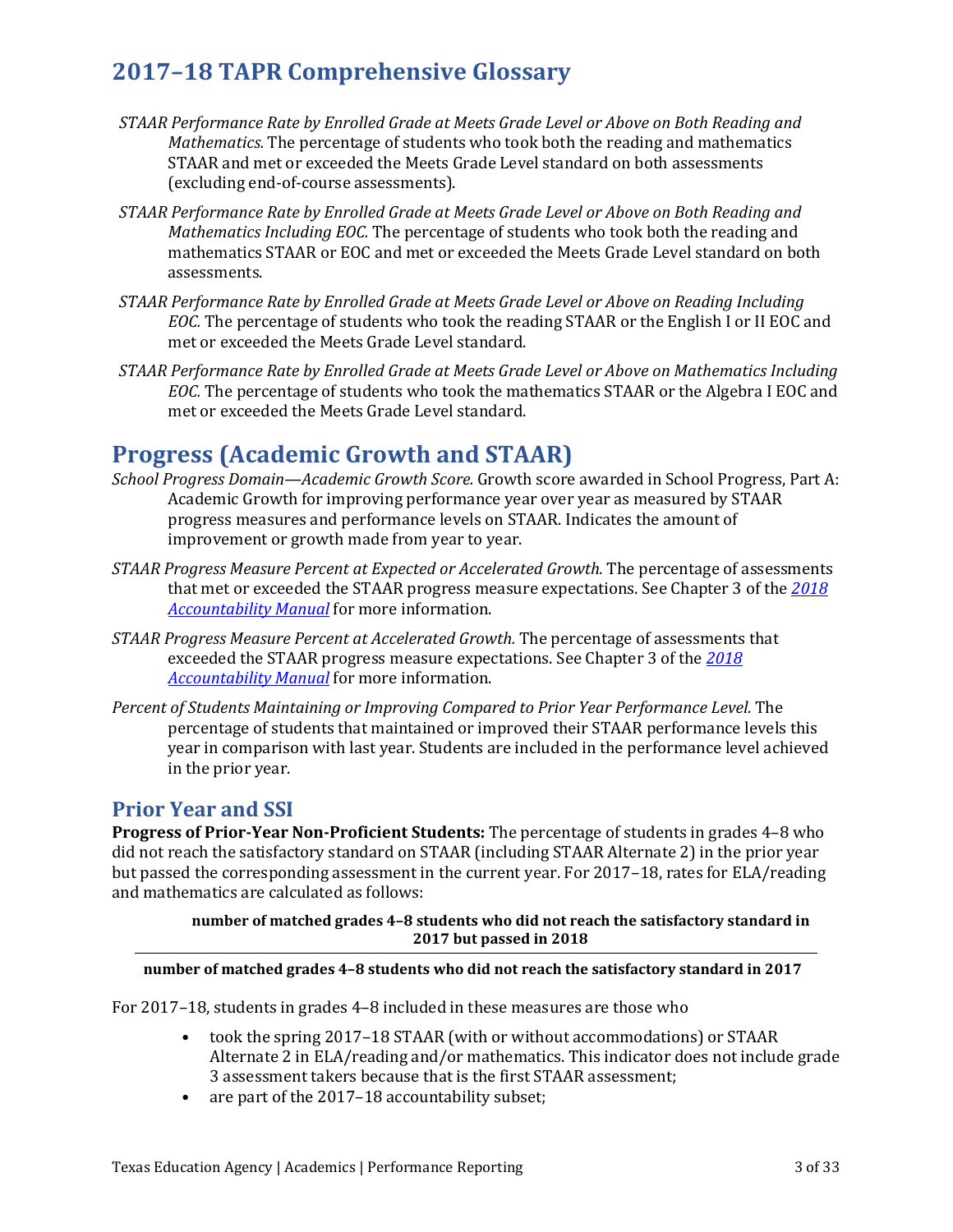- *STAAR Performance Rate by Enrolled Grade at Meets Grade Level or Above on Both Reading and Mathematics.* The percentage of students who took both the reading and mathematics STAAR and met or exceeded the Meets Grade Level standard on both assessments (excluding end-of-course assessments).
- *STAAR Performance Rate by Enrolled Grade at Meets Grade Level or Above on Both Reading and Mathematics Including EOC.* The percentage of students who took both the reading and mathematics STAAR or EOC and met or exceeded the Meets Grade Level standard on both assessments.
- *STAAR Performance Rate by Enrolled Grade at Meets Grade Level or Above on Reading Including EOC.* The percentage of students who took the reading STAAR or the English I or II EOC and met or exceeded the Meets Grade Level standard.
- *STAAR Performance Rate by Enrolled Grade at Meets Grade Level or Above on Mathematics Including EOC.* The percentage of students who took the mathematics STAAR or the Algebra I EOC and met or exceeded the Meets Grade Level standard.

## **Progress (Academic Growth and STAAR)**

- *School Progress Domain—Academic Growth Score.* Growth score awarded in School Progress, Part A: Academic Growth for improving performance year over year as measured by STAAR progress measures and performance levels on STAAR. Indicates the amount of improvement or growth made from year to year.
- *STAAR Progress Measure Percent at Expected or Accelerated Growth.* The percentage of assessments that met or exceeded the STAAR progress measure expectations. See Chapter 3 of the *[2018](https://tea.texas.gov/2018accountabilitymanual.aspx)  [Accountability Manual](https://tea.texas.gov/2018accountabilitymanual.aspx)* for more information.
- *STAAR Progress Measure Percent at Accelerated Growth.* The percentage of assessments that exceeded the STAAR progress measure expectations. See Chapter 3 of the *[2018](https://tea.texas.gov/2018accountabilitymanual.aspx)  [Accountability Manual](https://tea.texas.gov/2018accountabilitymanual.aspx)* for more information.
- *Percent of Students Maintaining or Improving Compared to Prior Year Performance Level.* The percentage of students that maintained or improved their STAAR performance levels this year in comparison with last year. Students are included in the performance level achieved in the prior year.

## **Prior Year and SSI**

**Progress of Prior-Year Non-Proficient Students:** The percentage of students in grades 4–8 who did not reach the satisfactory standard on STAAR (including STAAR Alternate 2) in the prior year but passed the corresponding assessment in the current year. For 2017–18, rates for ELA/reading and mathematics are calculated as follows:

> **number of matched grades 4–8 students who did not reach the satisfactory standard in 2017 but passed in 2018**

## **number of matched grades 4–8 students who did not reach the satisfactory standard in 2017**

For 2017–18, students in grades 4–8 included in these measures are those who

- took the spring 2017–18 STAAR (with or without accommodations) or STAAR Alternate 2 in ELA/reading and/or mathematics. This indicator does not include grade 3 assessment takers because that is the first STAAR assessment;
- are part of the 2017–18 accountability subset;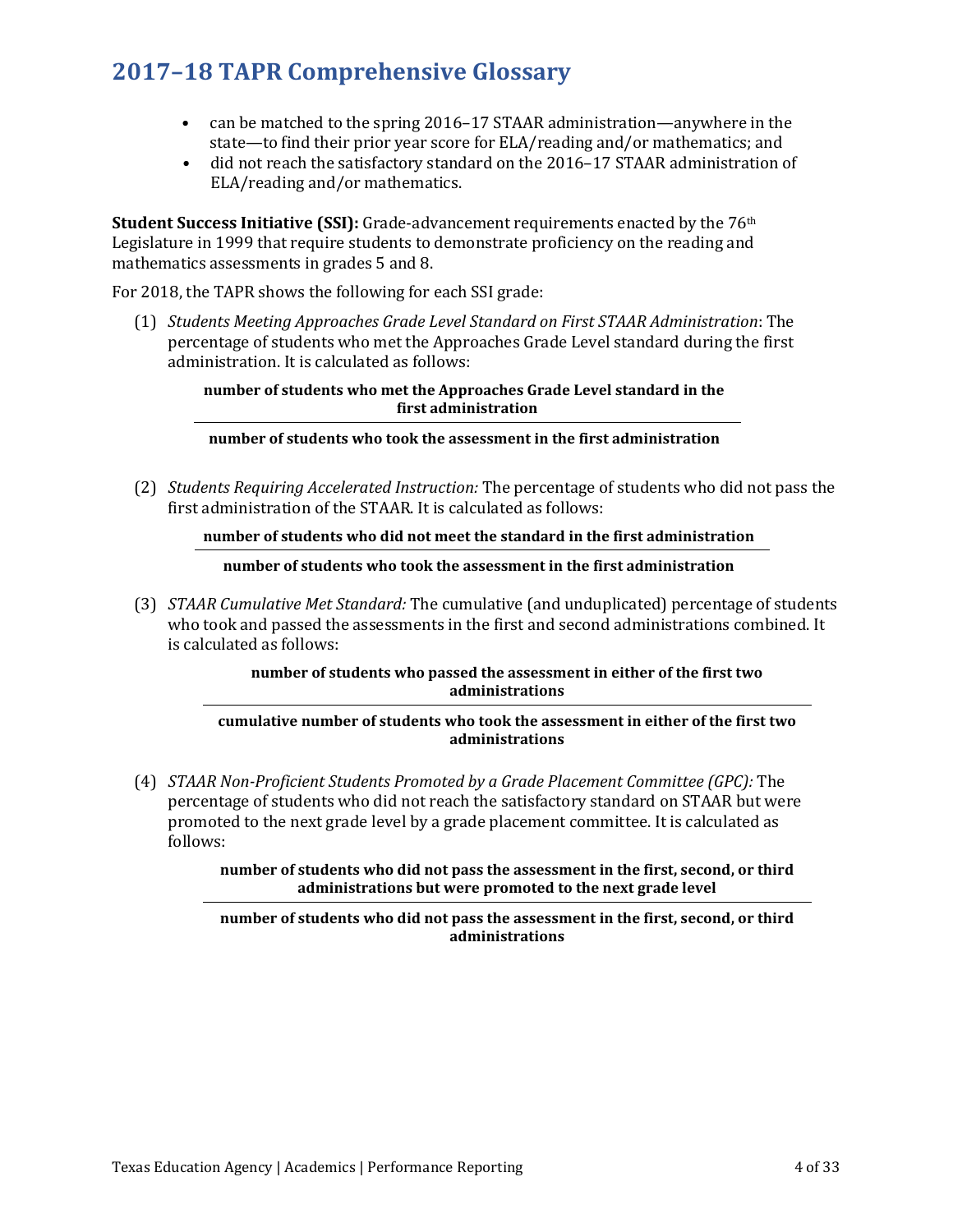- can be matched to the spring 2016–17 STAAR administration—anywhere in the state—to find their prior year score for ELA/reading and/or mathematics; and
- did not reach the satisfactory standard on the 2016–17 STAAR administration of ELA/reading and/or mathematics.

**Student Success Initiative (SSI):** Grade-advancement requirements enacted by the 76th Legislature in 1999 that require students to demonstrate proficiency on the reading and mathematics assessments in grades 5 and 8.

For 2018, the TAPR shows the following for each SSI grade:

(1) *Students Meeting Approaches Grade Level Standard on First STAAR Administration*: The percentage of students who met the Approaches Grade Level standard during the first administration. It is calculated as follows:

> **number of students who met the Approaches Grade Level standard in the first administration**

## **number of students who took the assessment in the first administration**

(2) *Students Requiring Accelerated Instruction:* The percentage of students who did not pass the first administration of the STAAR. It is calculated as follows:

## **number of students who did not meet the standard in the first administration**

## **number of students who took the assessment in the first administration**

(3) *STAAR Cumulative Met Standard:* The cumulative (and unduplicated) percentage of students who took and passed the assessments in the first and second administrations combined. It is calculated as follows:

## **number of students who passed the assessment in either of the first two administrations**

### **cumulative number of students who took the assessment in either of the first two administrations**

(4) *STAAR Non-Proficient Students Promoted by a Grade Placement Committee (GPC):* The percentage of students who did not reach the satisfactory standard on STAAR but were promoted to the next grade level by a grade placement committee. It is calculated as follows:

> **number of students who did not pass the assessment in the first, second, or third administrations but were promoted to the next grade level**

### **number of students who did not pass the assessment in the first, second, or third administrations**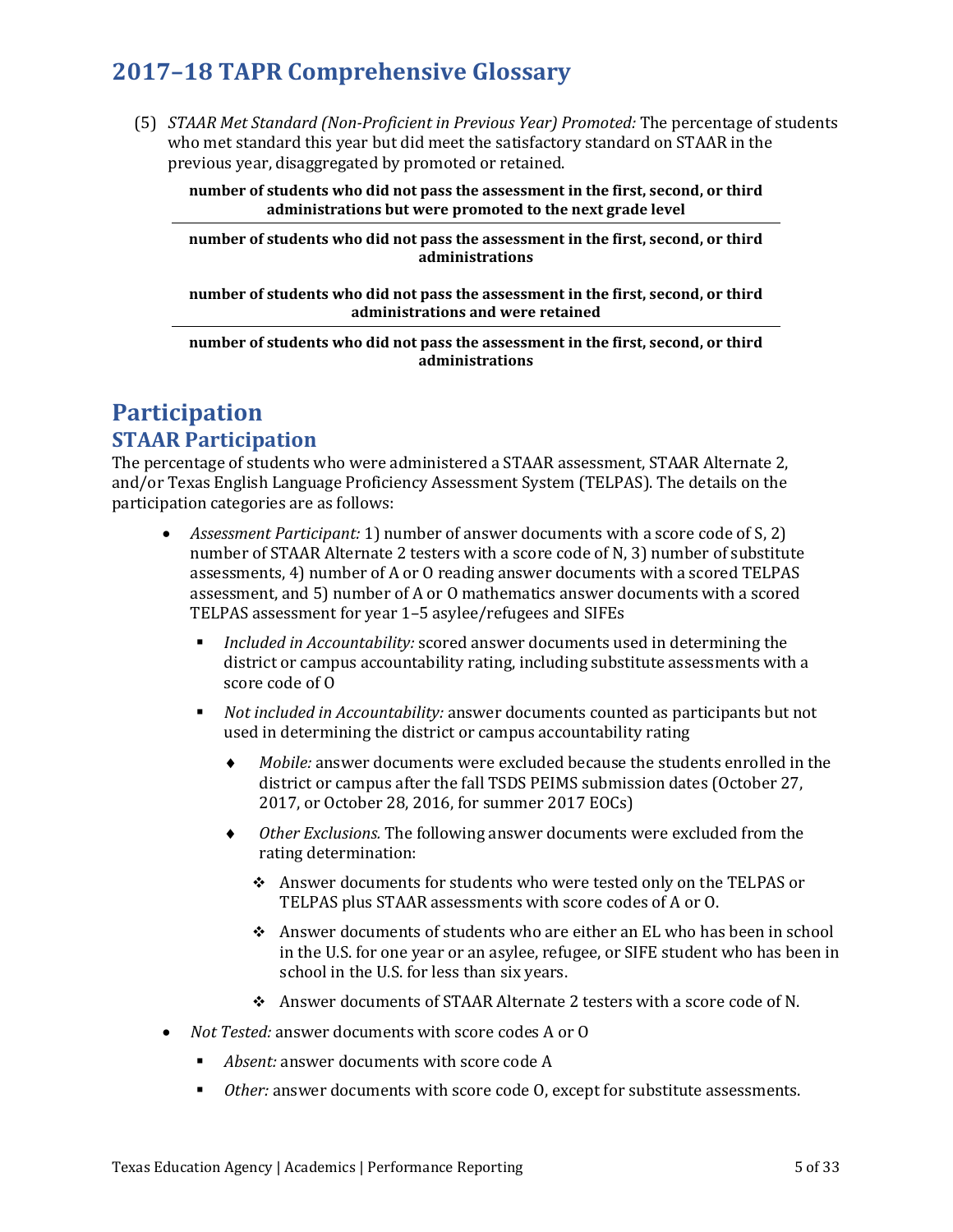(5) *STAAR Met Standard (Non-Proficient in Previous Year) Promoted:* The percentage of students who met standard this year but did meet the satisfactory standard on STAAR in the previous year, disaggregated by promoted or retained.

**number of students who did not pass the assessment in the first, second, or third administrations but were promoted to the next grade level** 

**number of students who did not pass the assessment in the first, second, or third administrations**

**number of students who did not pass the assessment in the first, second, or third administrations and were retained**

**number of students who did not pass the assessment in the first, second, or third administrations**

## **Participation STAAR Participation**

The percentage of students who were administered a STAAR assessment, STAAR Alternate 2, and/or Texas English Language Proficiency Assessment System (TELPAS). The details on the participation categories are as follows:

- *Assessment Participant:* 1) number of answer documents with a score code of S, 2) number of STAAR Alternate 2 testers with a score code of N, 3) number of substitute assessments, 4) number of A or O reading answer documents with a scored TELPAS assessment, and 5) number of A or O mathematics answer documents with a scored TELPAS assessment for year 1–5 asylee/refugees and SIFEs
	- *Included in Accountability:* scored answer documents used in determining the district or campus accountability rating, including substitute assessments with a score code of O
	- *Not included in Accountability:* answer documents counted as participants but not used in determining the district or campus accountability rating
		- ♦ *Mobile:* answer documents were excluded because the students enrolled in the district or campus after the fall TSDS PEIMS submission dates (October 27, 2017, or October 28, 2016, for summer 2017 EOCs)
		- ♦ *Other Exclusions.* The following answer documents were excluded from the rating determination:
			- Answer documents for students who were tested only on the TELPAS or TELPAS plus STAAR assessments with score codes of A or O.
			- Answer documents of students who are either an EL who has been in school in the U.S. for one year or an asylee, refugee, or SIFE student who has been in school in the U.S. for less than six years.
			- Answer documents of STAAR Alternate 2 testers with a score code of N.
- *Not Tested:* answer documents with score codes A or O
	- *Absent:* answer documents with score code A
	- *Other:* answer documents with score code O, except for substitute assessments.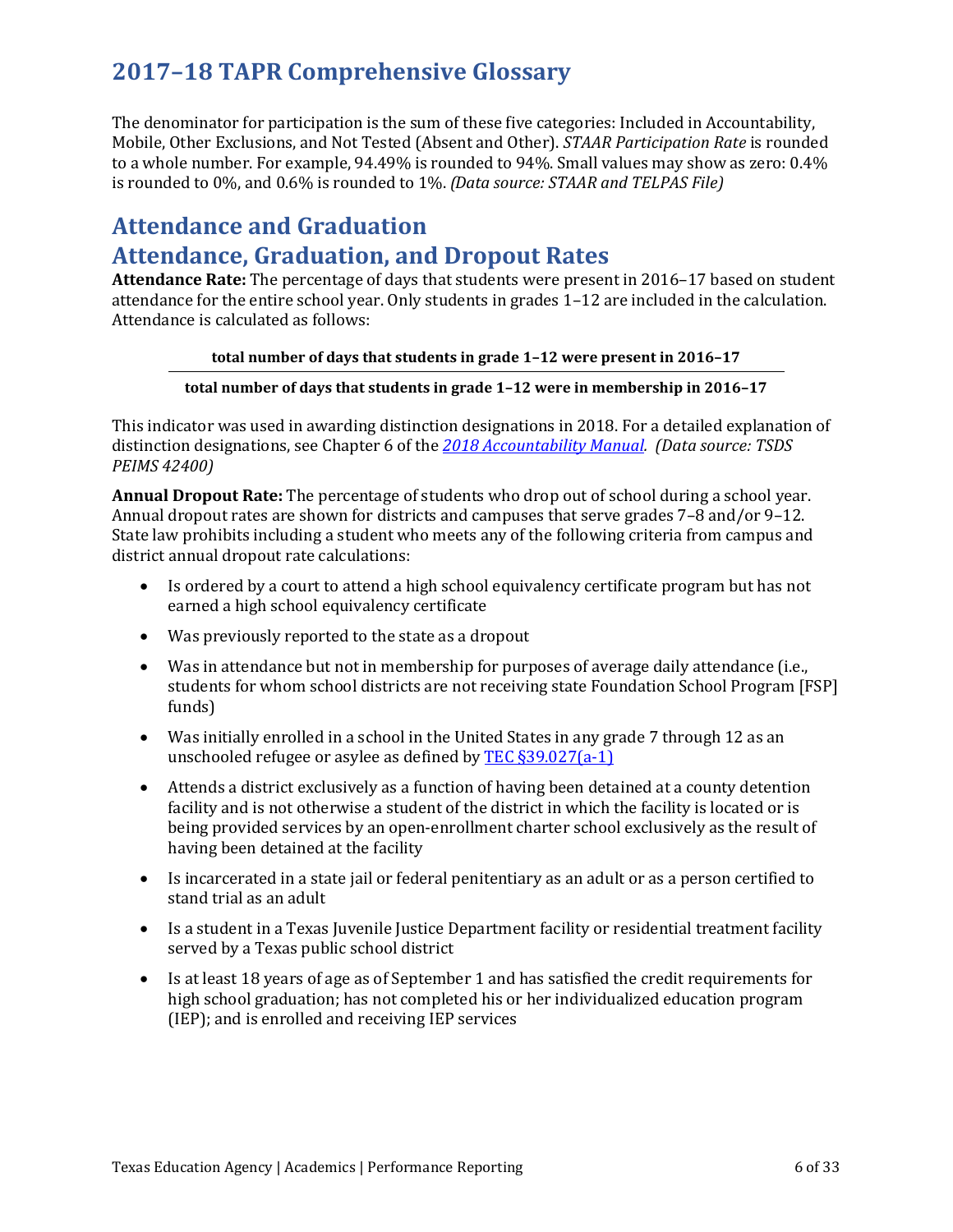The denominator for participation is the sum of these five categories: Included in Accountability, Mobile, Other Exclusions, and Not Tested (Absent and Other). *STAAR Participation Rate* is rounded to a whole number. For example, 94.49% is rounded to 94%. Small values may show as zero: 0.4% is rounded to 0%, and 0.6% is rounded to 1%. *(Data source: STAAR and TELPAS File)* 

## **Attendance and Graduation Attendance, Graduation, and Dropout Rates**

**Attendance Rate:** The percentage of days that students were present in 2016–17 based on student attendance for the entire school year. Only students in grades 1–12 are included in the calculation. Attendance is calculated as follows:

## **total number of days that students in grade 1–12 were present in 2016–17**

## **total number of days that students in grade 1–12 were in membership in 2016–17**

This indicator was used in awarding distinction designations in 2018. For a detailed explanation of distinction designations, see Chapter 6 of the *[2018 Accountability Manual.](https://tea.texas.gov/2018accountabilitymanual.aspx) (Data source: TSDS PEIMS 42400)*

**Annual Dropout Rate:** The percentage of students who drop out of school during a school year. Annual dropout rates are shown for districts and campuses that serve grades 7–8 and/or 9–12. State law prohibits including a student who meets any of the following criteria from campus and district annual dropout rate calculations:

- Is ordered by a court to attend a high school equivalency certificate program but has not earned a high school equivalency certificate
- Was previously reported to the state as a dropout
- Was in attendance but not in membership for purposes of average daily attendance (i.e., students for whom school districts are not receiving state Foundation School Program [FSP] funds)
- Was initially enrolled in a school in the United States in any grade 7 through 12 as an unschooled refugee or asylee as defined by [TEC §39.027\(a-1\)](http://www.statutes.legis.state.tx.us/Docs/ED/htm/ED.39.htm#39.027)
- Attends a district exclusively as a function of having been detained at a county detention facility and is not otherwise a student of the district in which the facility is located or is being provided services by an open-enrollment charter school exclusively as the result of having been detained at the facility
- Is incarcerated in a state jail or federal penitentiary as an adult or as a person certified to stand trial as an adult
- Is a student in a Texas Juvenile Justice Department facility or residential treatment facility served by a Texas public school district
- Is at least 18 years of age as of September 1 and has satisfied the credit requirements for high school graduation; has not completed his or her individualized education program (IEP); and is enrolled and receiving IEP services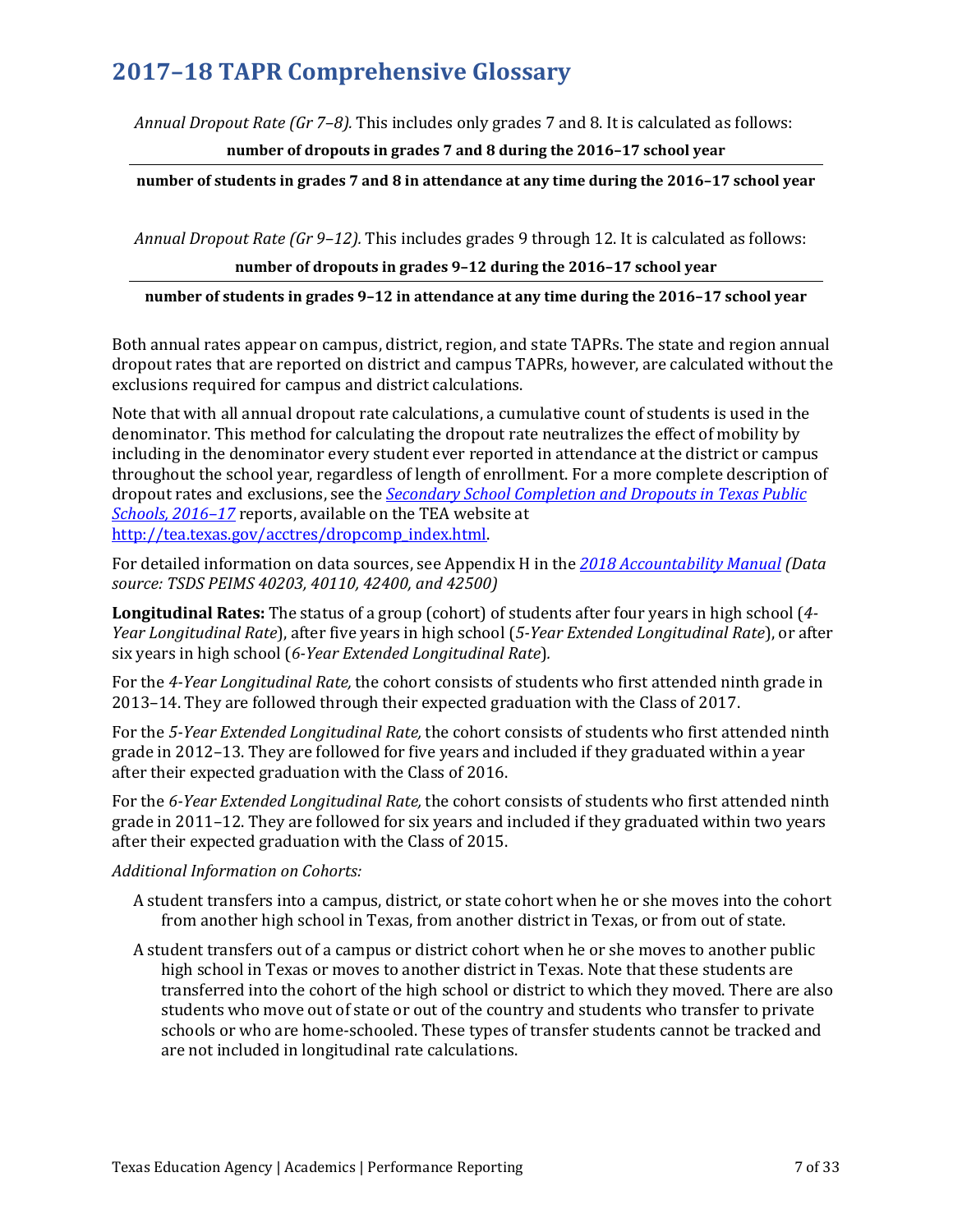*Annual Dropout Rate (Gr 7–8).* This includes only grades 7 and 8. It is calculated as follows:

**number of dropouts in grades 7 and 8 during the 2016–17 school year**

**number of students in grades 7 and 8 in attendance at any time during the 2016–17 school year**

*Annual Dropout Rate (Gr 9–12).* This includes grades 9 through 12. It is calculated as follows: **number of dropouts in grades 9–12 during the 2016–17 school year**

## **number of students in grades 9–12 in attendance at any time during the 2016–17 school year**

Both annual rates appear on campus, district, region, and state TAPRs. The state and region annual dropout rates that are reported on district and campus TAPRs, however, are calculated without the exclusions required for campus and district calculations.

Note that with all annual dropout rate calculations, a cumulative count of students is used in the denominator. This method for calculating the dropout rate neutralizes the effect of mobility by including in the denominator every student ever reported in attendance at the district or campus throughout the school year, regardless of length of enrollment. For a more complete description of dropout rates and exclusions, see the *Secondary School [Completion and Dropouts in Texas Public](https://tea.texas.gov/acctres/dropcomp_2016-17.pdf)  [Schools, 2016–17](https://tea.texas.gov/acctres/dropcomp_2016-17.pdf)* reports, available on the TEA website at [http://tea.texas.gov/acctres/dropcomp\\_index.html.](http://www.tea.state.tx.us/acctres/dropcomp_index.html)

For detailed information on data sources, see Appendix H in the *[2018 Accountability Manual](https://tea.texas.gov/2018accountabilitymanual.aspx) (Data source: TSDS PEIMS 40203, 40110, 42400, and 42500)*

**Longitudinal Rates:** The status of a group (cohort) of students after four years in high school (*4- Year Longitudinal Rate*), after five years in high school (*5-Year Extended Longitudinal Rate*), or after six years in high school (*6-Year Extended Longitudinal Rate*)*.* 

For the *4-Year Longitudinal Rate,* the cohort consists of students who first attended ninth grade in 2013–14. They are followed through their expected graduation with the Class of 2017.

For the *5-Year Extended Longitudinal Rate,* the cohort consists of students who first attended ninth grade in 2012–13. They are followed for five years and included if they graduated within a year after their expected graduation with the Class of 2016.

For the *6-Year Extended Longitudinal Rate,* the cohort consists of students who first attended ninth grade in 2011–12. They are followed for six years and included if they graduated within two years after their expected graduation with the Class of 2015.

## *Additional Information on Cohorts:*

- A student transfers into a campus, district, or state cohort when he or she moves into the cohort from another high school in Texas, from another district in Texas, or from out of state.
- A student transfers out of a campus or district cohort when he or she moves to another public high school in Texas or moves to another district in Texas. Note that these students are transferred into the cohort of the high school or district to which they moved. There are also students who move out of state or out of the country and students who transfer to private schools or who are home-schooled. These types of transfer students cannot be tracked and are not included in longitudinal rate calculations.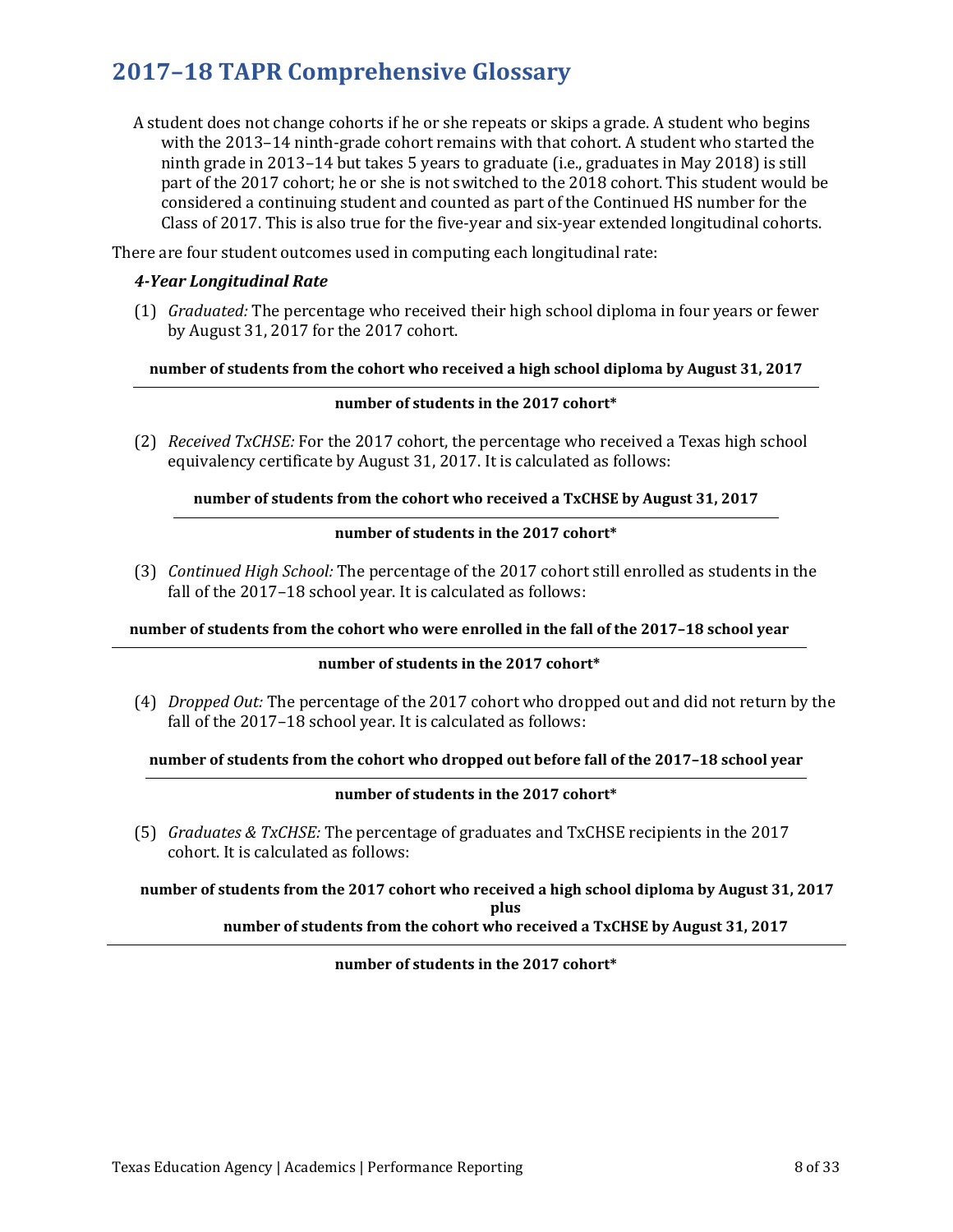A student does not change cohorts if he or she repeats or skips a grade. A student who begins with the 2013–14 ninth-grade cohort remains with that cohort. A student who started the ninth grade in 2013–14 but takes 5 years to graduate (i.e., graduates in May 2018) is still part of the 2017 cohort; he or she is not switched to the 2018 cohort. This student would be considered a continuing student and counted as part of the Continued HS number for the Class of 2017. This is also true for the five-year and six-year extended longitudinal cohorts.

There are four student outcomes used in computing each longitudinal rate:

## *4-Year Longitudinal Rate*

(1) *Graduated:* The percentage who received their high school diploma in four years or fewer by August 31, 2017 for the 2017 cohort.

**number of students from the cohort who received a high school diploma by August 31, 2017**

### **number of students in the 2017 cohort\***

(2) *Received TxCHSE:* For the 2017 cohort, the percentage who received a Texas high school equivalency certificate by August 31, 2017. It is calculated as follows:

### **number of students from the cohort who received a TxCHSE by August 31, 2017**

### **number of students in the 2017 cohort\***

(3) *Continued High School:* The percentage of the 2017 cohort still enrolled as students in the fall of the 2017–18 school year. It is calculated as follows:

**number of students from the cohort who were enrolled in the fall of the 2017–18 school year**

### **number of students in the 2017 cohort\***

(4) *Dropped Out:* The percentage of the 2017 cohort who dropped out and did not return by the fall of the 2017–18 school year. It is calculated as follows:

### **number of students from the cohort who dropped out before fall of the 2017–18 school year**

### **number of students in the 2017 cohort\***

(5) *Graduates & TxCHSE:* The percentage of graduates and TxCHSE recipients in the 2017 cohort. It is calculated as follows:

**number of students from the 2017 cohort who received a high school diploma by August 31, 2017 plus number of students from the cohort who received a TxCHSE by August 31, 2017**

### **number of students in the 2017 cohort\***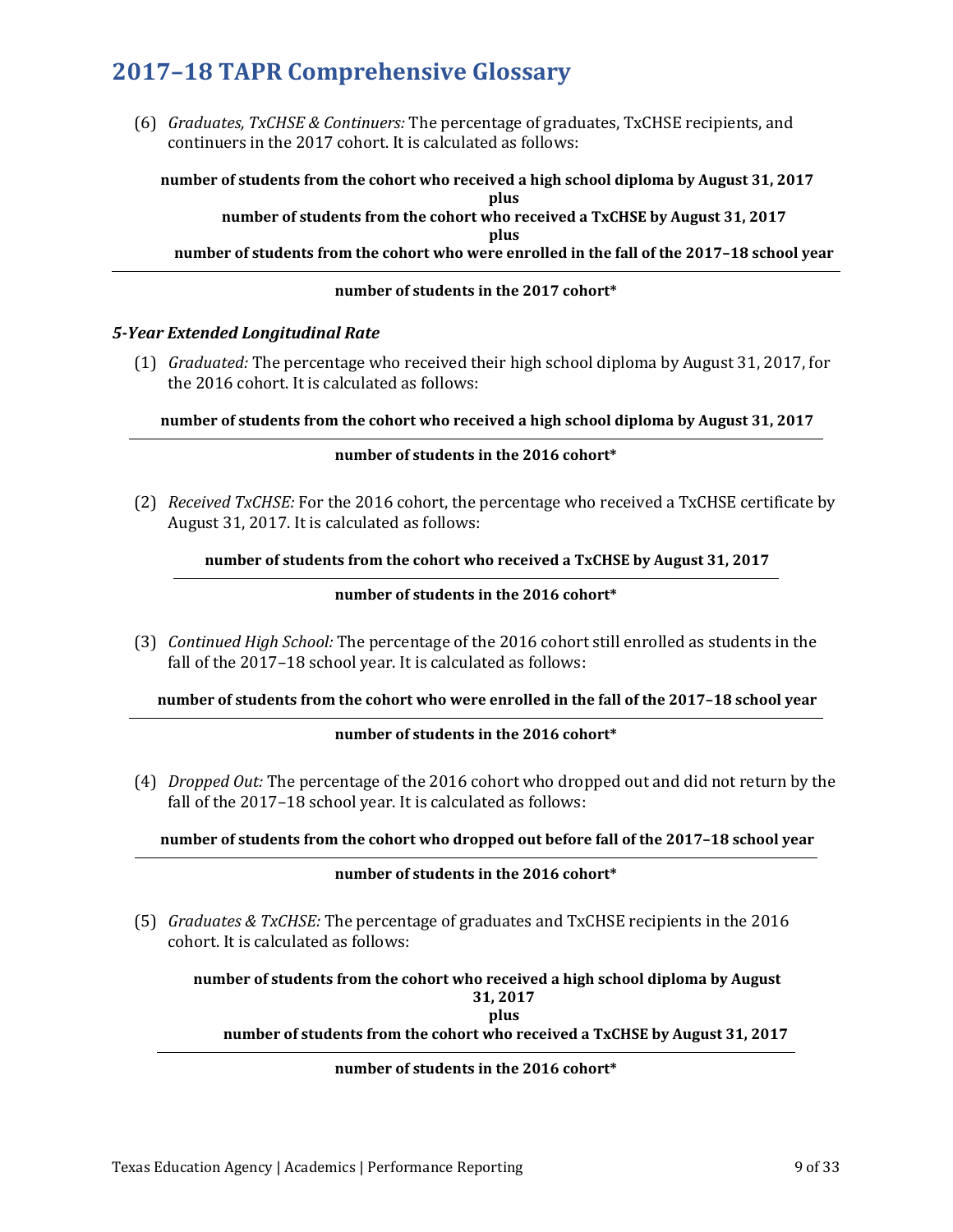(6) *Graduates, TxCHSE & Continuers:* The percentage of graduates, TxCHSE recipients, and continuers in the 2017 cohort. It is calculated as follows:

**number of students from the cohort who received a high school diploma by August 31, 2017 plus number of students from the cohort who received a TxCHSE by August 31, 2017 plus number of students from the cohort who were enrolled in the fall of the 2017–18 school year**

## **number of students in the 2017 cohort\***

## *5-Year Extended Longitudinal Rate*

(1) *Graduated:* The percentage who received their high school diploma by August 31, 2017, for the 2016 cohort. It is calculated as follows:

## **number of students from the cohort who received a high school diploma by August 31, 2017**

## **number of students in the 2016 cohort\***

(2) *Received TxCHSE:* For the 2016 cohort, the percentage who received a TxCHSE certificate by August 31, 2017. It is calculated as follows:

## **number of students from the cohort who received a TxCHSE by August 31, 2017**

## **number of students in the 2016 cohort\***

(3) *Continued High School:* The percentage of the 2016 cohort still enrolled as students in the fall of the 2017–18 school year. It is calculated as follows:

## **number of students from the cohort who were enrolled in the fall of the 2017–18 school year**

## **number of students in the 2016 cohort\***

(4) *Dropped Out:* The percentage of the 2016 cohort who dropped out and did not return by the fall of the 2017–18 school year. It is calculated as follows:

## **number of students from the cohort who dropped out before fall of the 2017–18 school year**

### **number of students in the 2016 cohort\***

(5) *Graduates & TxCHSE:* The percentage of graduates and TxCHSE recipients in the 2016 cohort. It is calculated as follows:

**number of students from the cohort who received a high school diploma by August 31, 2017**

**plus**

## **number of students from the cohort who received a TxCHSE by August 31, 2017**

## **number of students in the 2016 cohort\***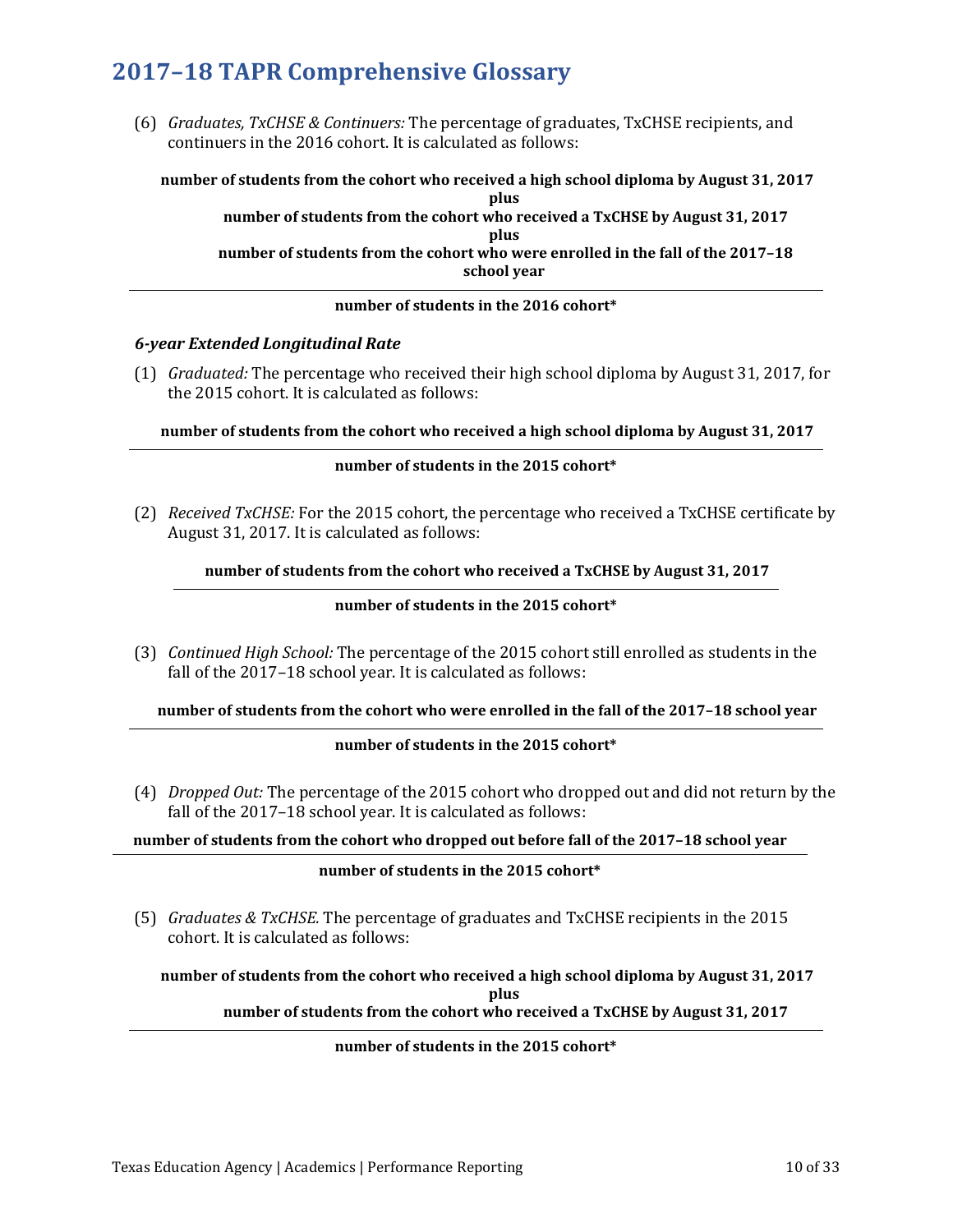(6) *Graduates, TxCHSE & Continuers:* The percentage of graduates, TxCHSE recipients, and continuers in the 2016 cohort. It is calculated as follows:

**number of students from the cohort who received a high school diploma by August 31, 2017 plus number of students from the cohort who received a TxCHSE by August 31, 2017 plus number of students from the cohort who were enrolled in the fall of the 2017–18 school year**

### **number of students in the 2016 cohort\***

### *6-year Extended Longitudinal Rate*

(1) *Graduated:* The percentage who received their high school diploma by August 31, 2017, for the 2015 cohort. It is calculated as follows:

**number of students from the cohort who received a high school diploma by August 31, 2017**

#### **number of students in the 2015 cohort\***

(2) *Received TxCHSE:* For the 2015 cohort, the percentage who received a TxCHSE certificate by August 31, 2017. It is calculated as follows:

**number of students from the cohort who received a TxCHSE by August 31, 2017**

#### **number of students in the 2015 cohort\***

(3) *Continued High School:* The percentage of the 2015 cohort still enrolled as students in the fall of the 2017–18 school year. It is calculated as follows:

**number of students from the cohort who were enrolled in the fall of the 2017–18 school year**

### **number of students in the 2015 cohort\***

(4) *Dropped Out:* The percentage of the 2015 cohort who dropped out and did not return by the fall of the 2017-18 school year. It is calculated as follows:

**number of students from the cohort who dropped out before fall of the 2017–18 school year**

#### **number of students in the 2015 cohort\***

(5) *Graduates & TxCHSE.* The percentage of graduates and TxCHSE recipients in the 2015 cohort. It is calculated as follows:

**number of students from the cohort who received a high school diploma by August 31, 2017 plus**

**number of students from the cohort who received a TxCHSE by August 31, 2017**

#### **number of students in the 2015 cohort\***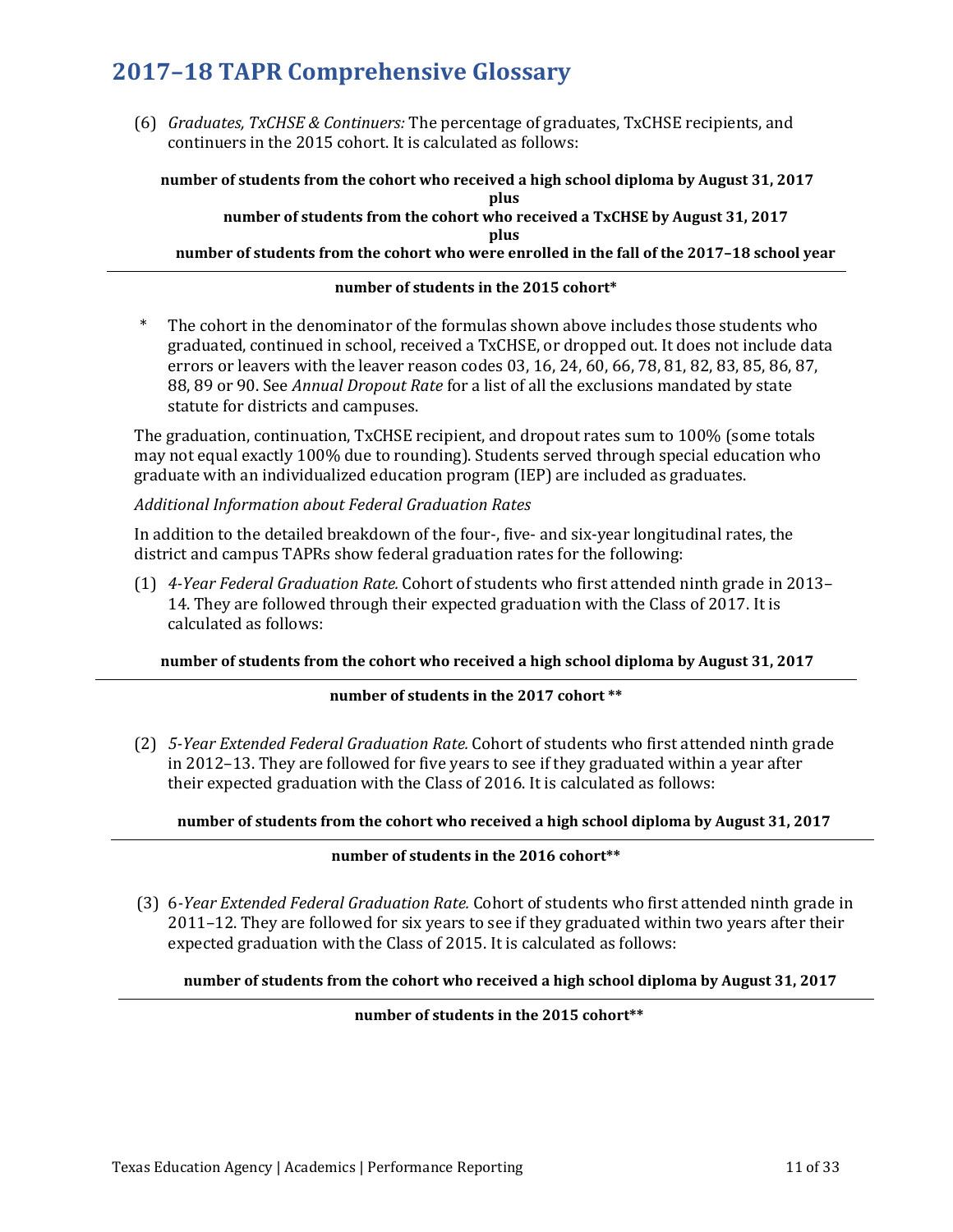(6) *Graduates, TxCHSE & Continuers:* The percentage of graduates, TxCHSE recipients, and continuers in the 2015 cohort. It is calculated as follows:

**number of students from the cohort who received a high school diploma by August 31, 2017 plus**

## **number of students from the cohort who received a TxCHSE by August 31, 2017 plus**

**number of students from the cohort who were enrolled in the fall of the 2017–18 school year**

## **number of students in the 2015 cohort\***

The cohort in the denominator of the formulas shown above includes those students who graduated, continued in school, received a TxCHSE, or dropped out. It does not include data errors or leavers with the leaver reason codes 03, 16, 24, 60, 66, 78, 81, 82, 83, 85, 86, 87, 88, 89 or 90. See *Annual Dropout Rate* for a list of all the exclusions mandated by state statute for districts and campuses.

The graduation, continuation, TxCHSE recipient, and dropout rates sum to 100% (some totals may not equal exactly 100% due to rounding). Students served through special education who graduate with an individualized education program (IEP) are included as graduates.

## *Additional Information about Federal Graduation Rates*

In addition to the detailed breakdown of the four-, five- and six-year longitudinal rates, the district and campus TAPRs show federal graduation rates for the following:

(1) *4-Year Federal Graduation Rate.* Cohort of students who first attended ninth grade in 2013– 14. They are followed through their expected graduation with the Class of 2017. It is calculated as follows:

## **number of students from the cohort who received a high school diploma by August 31, 2017**

## **number of students in the 2017 cohort \*\***

(2) *5-Year Extended Federal Graduation Rate.* Cohort of students who first attended ninth grade in 2012–13. They are followed for five years to see if they graduated within a year after their expected graduation with the Class of 2016. It is calculated as follows:

## **number of students from the cohort who received a high school diploma by August 31, 2017**

## **number of students in the 2016 cohort\*\***

(3) 6*-Year Extended Federal Graduation Rate.* Cohort of students who first attended ninth grade in 2011–12. They are followed for six years to see if they graduated within two years after their expected graduation with the Class of 2015. It is calculated as follows:

## **number of students from the cohort who received a high school diploma by August 31, 2017**

## **number of students in the 2015 cohort\*\***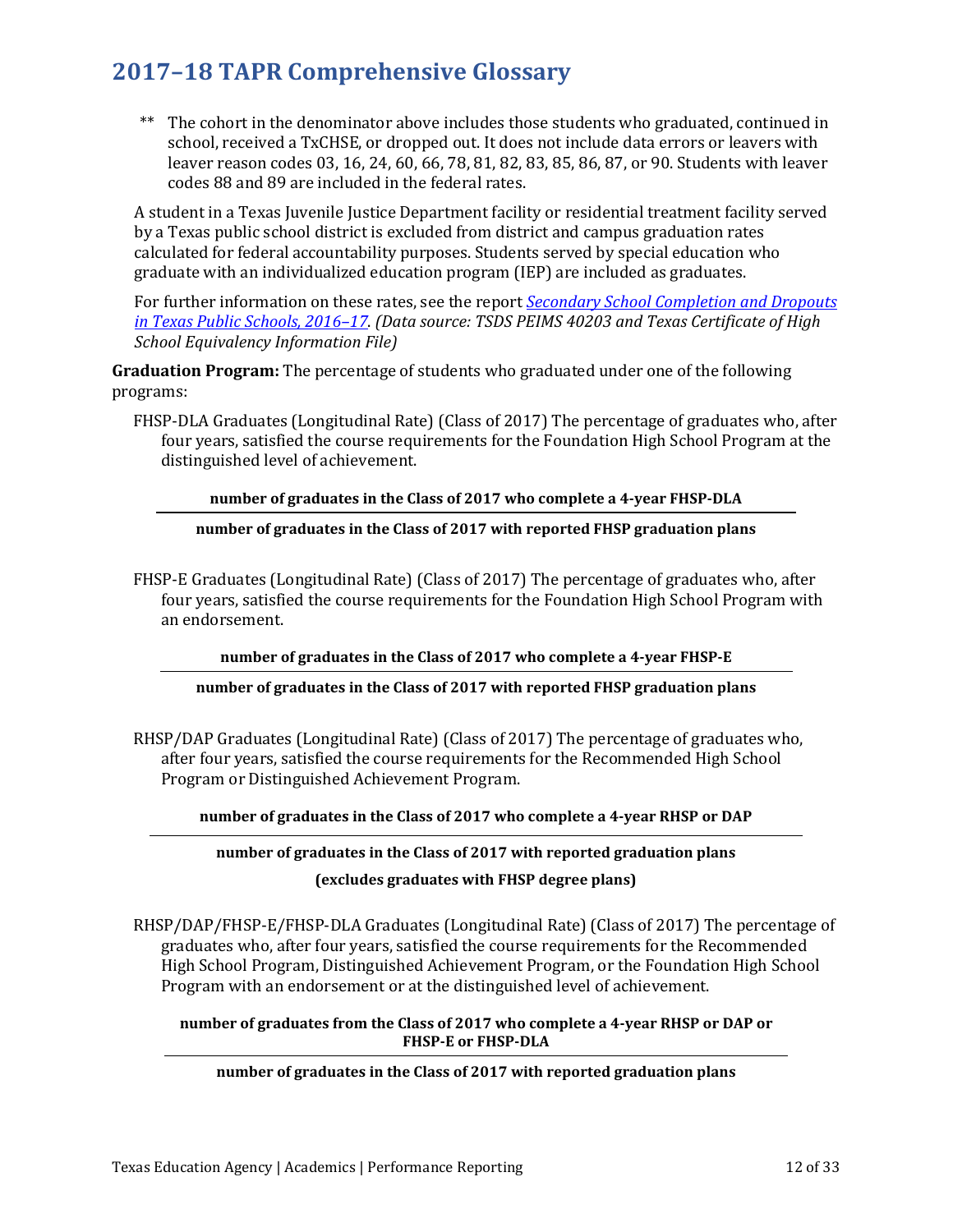\*\* The cohort in the denominator above includes those students who graduated, continued in school, received a TxCHSE, or dropped out. It does not include data errors or leavers with leaver reason codes 03, 16, 24, 60, 66, 78, 81, 82, 83, 85, 86, 87, or 90. Students with leaver codes 88 and 89 are included in the federal rates.

A student in a Texas Juvenile Justice Department facility or residential treatment facility served by a Texas public school district is excluded from district and campus graduation rates calculated for federal accountability purposes. Students served by special education who graduate with an individualized education program (IEP) are included as graduates.

For further information on these rates, see the report *[Secondary School Completion and Dropouts](https://tea.texas.gov/acctres/dropcomp_2016-17.pdf)  [in Texas Public Schools, 2016–17](https://tea.texas.gov/acctres/dropcomp_2016-17.pdf)*. *(Data source: TSDS PEIMS 40203 and Texas Certificate of High School Equivalency Information File)* 

**Graduation Program:** The percentage of students who graduated under one of the following programs:

FHSP-DLA Graduates (Longitudinal Rate) (Class of 2017) The percentage of graduates who, after four years, satisfied the course requirements for the Foundation High School Program at the distinguished level of achievement.

## **number of graduates in the Class of 2017 who complete a 4-year FHSP-DLA**

**number of graduates in the Class of 2017 with reported FHSP graduation plans** 

FHSP-E Graduates (Longitudinal Rate) (Class of 2017) The percentage of graduates who, after four years, satisfied the course requirements for the Foundation High School Program with an endorsement.

## **number of graduates in the Class of 2017 who complete a 4-year FHSP-E**

## **number of graduates in the Class of 2017 with reported FHSP graduation plans**

RHSP/DAP Graduates (Longitudinal Rate) (Class of 2017) The percentage of graduates who, after four years, satisfied the course requirements for the Recommended High School Program or Distinguished Achievement Program.

**number of graduates in the Class of 2017 who complete a 4-year RHSP or DAP**

## **number of graduates in the Class of 2017 with reported graduation plans**

## **(excludes graduates with FHSP degree plans)**

RHSP/DAP/FHSP-E/FHSP-DLA Graduates (Longitudinal Rate) (Class of 2017) The percentage of graduates who, after four years, satisfied the course requirements for the Recommended High School Program, Distinguished Achievement Program, or the Foundation High School Program with an endorsement or at the distinguished level of achievement.

### **number of graduates from the Class of 2017 who complete a 4-year RHSP or DAP or FHSP-E or FHSP-DLA**

## **number of graduates in the Class of 2017 with reported graduation plans**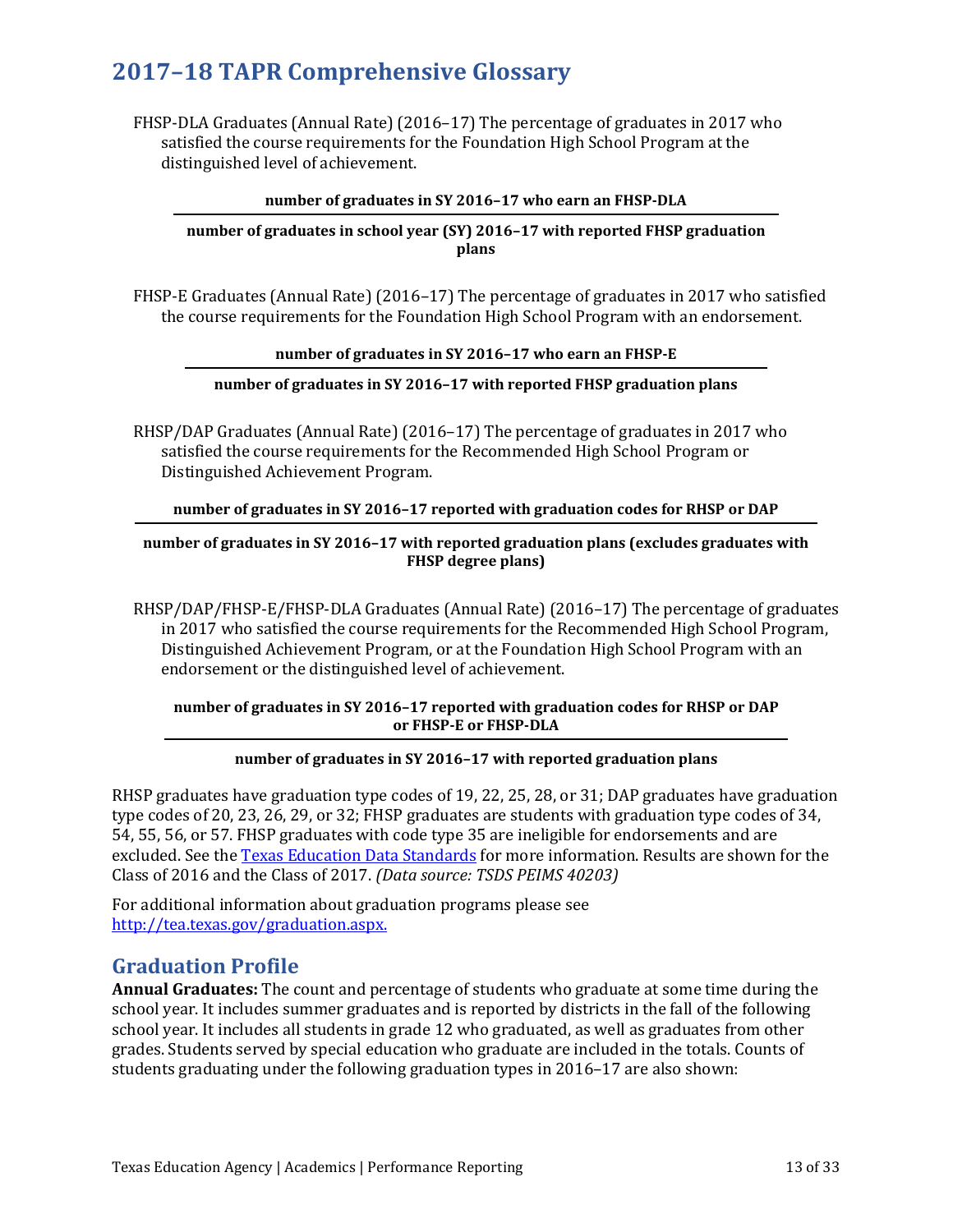FHSP-DLA Graduates (Annual Rate) (2016–17) The percentage of graduates in 2017 who satisfied the course requirements for the Foundation High School Program at the distinguished level of achievement.

### **number of graduates in SY 2016–17 who earn an FHSP-DLA**

## **number of graduates in school year (SY) 2016–17 with reported FHSP graduation plans**

FHSP-E Graduates (Annual Rate) (2016–17) The percentage of graduates in 2017 who satisfied the course requirements for the Foundation High School Program with an endorsement.

### **number of graduates in SY 2016–17 who earn an FHSP-E**

## **number of graduates in SY 2016–17 with reported FHSP graduation plans**

RHSP/DAP Graduates (Annual Rate) (2016–17) The percentage of graduates in 2017 who satisfied the course requirements for the Recommended High School Program or Distinguished Achievement Program.

## **number of graduates in SY 2016–17 reported with graduation codes for RHSP or DAP**

## **number of graduates in SY 2016–17 with reported graduation plans (excludes graduates with FHSP degree plans)**

RHSP/DAP/FHSP-E/FHSP-DLA Graduates (Annual Rate) (2016–17) The percentage of graduates in 2017 who satisfied the course requirements for the Recommended High School Program, Distinguished Achievement Program, or at the Foundation High School Program with an endorsement or the distinguished level of achievement.

## **number of graduates in SY 2016–17 reported with graduation codes for RHSP or DAP or FHSP-E or FHSP-DLA**

## **number of graduates in SY 2016–17 with reported graduation plans**

RHSP graduates have graduation type codes of 19, 22, 25, 28, or 31; DAP graduates have graduation type codes of 20, 23, 26, 29, or 32; FHSP graduates are students with graduation type codes of 34, 54, 55, 56, or 57. FHSP graduates with code type 35 are ineligible for endorsements and are excluded. See the [Texas Education Data Standards](http://www.texasstudentdatasystem.org/TSDS/TEDS/TEDS_Latest_Release/) for more information. Results are shown for the Class of 2016 and the Class of 2017. *(Data source: TSDS PEIMS 40203)*

For additional information about graduation programs please see [http://tea.texas.gov/graduation.aspx.](http://tea.texas.gov/graduation.aspx) 

## **Graduation Profile**

**Annual Graduates:** The count and percentage of students who graduate at some time during the school year. It includes summer graduates and is reported by districts in the fall of the following school year. It includes all students in grade 12 who graduated, as well as graduates from other grades. Students served by special education who graduate are included in the totals. Counts of students graduating under the following graduation types in 2016–17 are also shown: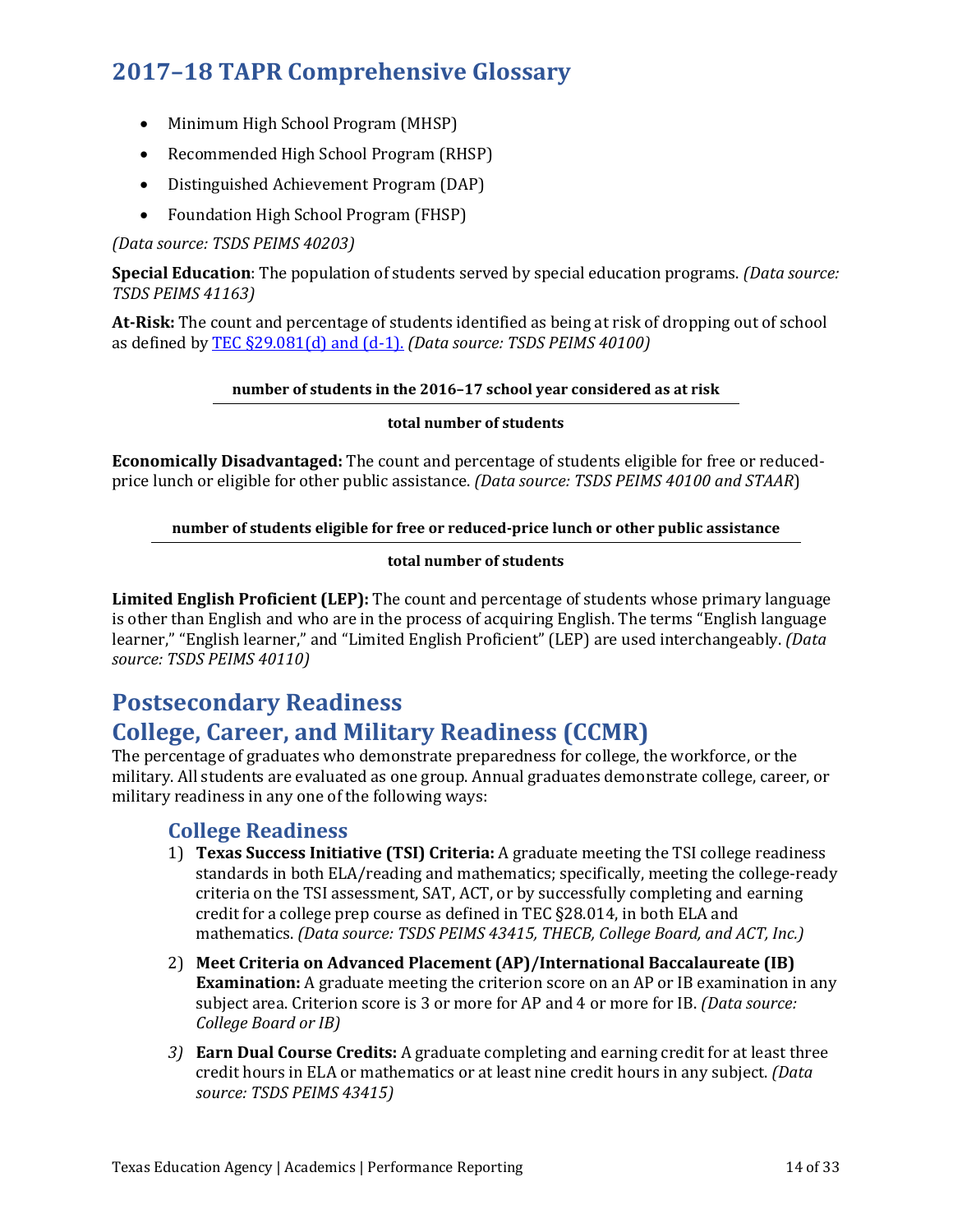- Minimum High School Program (MHSP)
- Recommended High School Program (RHSP)
- Distinguished Achievement Program (DAP)
- Foundation High School Program (FHSP)

## *(Data source: TSDS PEIMS 40203)*

**Special Education**: The population of students served by special education programs. *(Data source: TSDS PEIMS 41163)* 

**At-Risk:** The count and percentage of students identified as being at risk of dropping out of school as defined b[y TEC §29.081\(d\) and \(d-1\).](http://www.statutes.legis.state.tx.us/Docs/ED/htm/ED.29.htm#29.081) *(Data source: TSDS PEIMS 40100)*

## **number of students in the 2016–17 school year considered as at risk**

## **total number of students**

**Economically Disadvantaged:** The count and percentage of students eligible for free or reducedprice lunch or eligible for other public assistance. *(Data source: TSDS PEIMS 40100 and STAAR*)

## **number of students eligible for free or reduced-price lunch or other public assistance**

## **total number of students**

**Limited English Proficient (LEP):** The count and percentage of students whose primary language is other than English and who are in the process of acquiring English. The terms "English language learner," "English learner," and "Limited English Proficient" (LEP) are used interchangeably. *(Data source: TSDS PEIMS 40110)*

## **Postsecondary Readiness**

## **College, Career, and Military Readiness (CCMR)**

The percentage of graduates who demonstrate preparedness for college, the workforce, or the military. All students are evaluated as one group. Annual graduates demonstrate college, career, or military readiness in any one of the following ways:

## **College Readiness**

- 1) **Texas Success Initiative (TSI) Criteria:** A graduate meeting the TSI college readiness standards in both ELA/reading and mathematics; specifically, meeting the college-ready criteria on the TSI assessment, SAT, ACT, or by successfully completing and earning credit for a college prep course as defined in TEC §28.014, in both ELA and mathematics. *(Data source: TSDS PEIMS 43415, THECB, College Board, and ACT, Inc.)*
- 2) **Meet Criteria on Advanced Placement (AP)/International Baccalaureate (IB) Examination:** A graduate meeting the criterion score on an AP or IB examination in any subject area. Criterion score is 3 or more for AP and 4 or more for IB. *(Data source: College Board or IB)*
- *3)* **Earn Dual Course Credits:** A graduate completing and earning credit for at least three credit hours in ELA or mathematics or at least nine credit hours in any subject. *(Data source: TSDS PEIMS 43415)*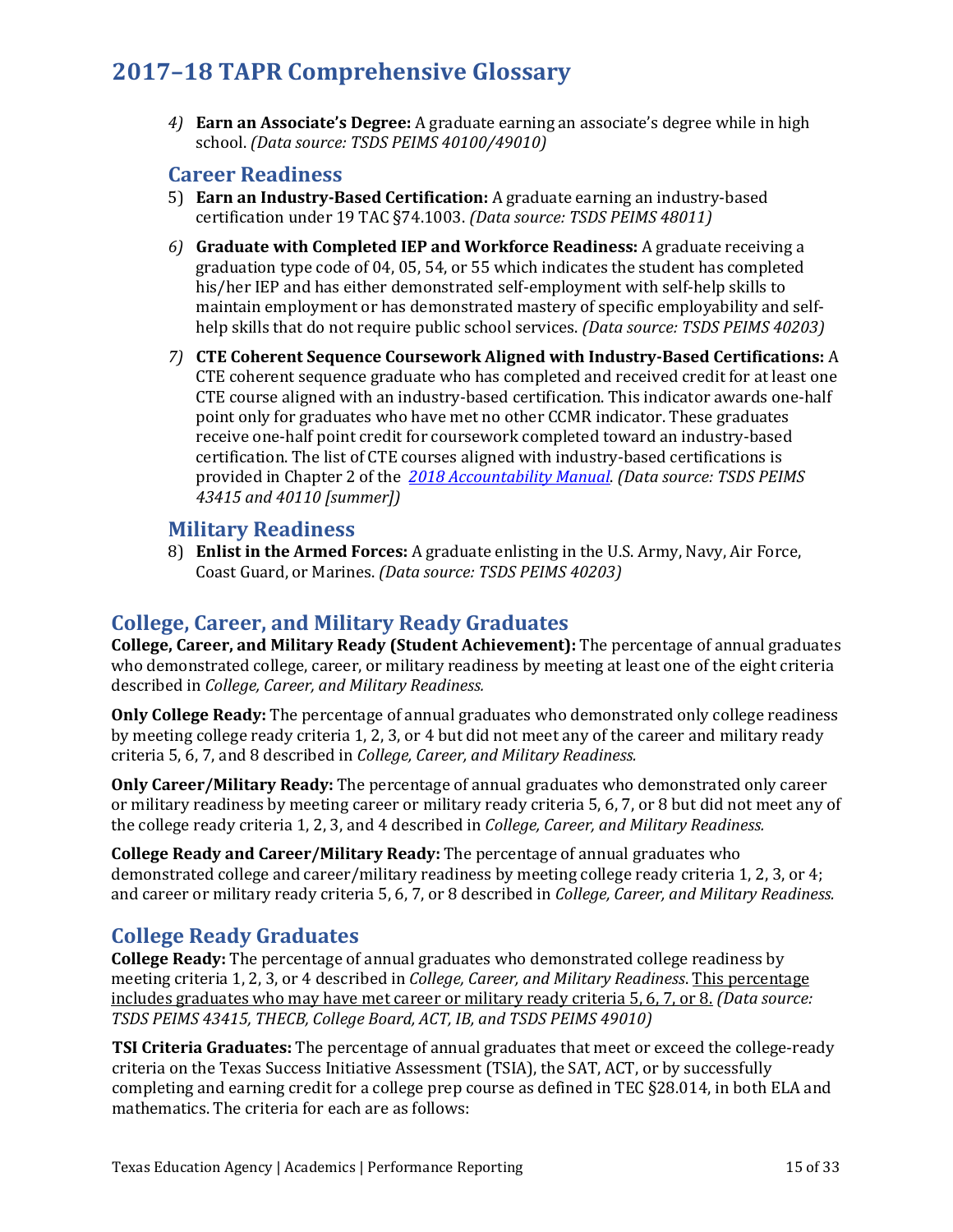*4)* **Earn an Associate's Degree:** A graduate earning an associate's degree while in high school. *(Data source: TSDS PEIMS 40100/49010)*

## **Career Readiness**

- 5) **Earn an Industry-Based Certification:** A graduate earning an industry-based certification under 19 TAC §74.1003. *(Data source: TSDS PEIMS 48011)*
- *6)* **Graduate with Completed IEP and Workforce Readiness:** A graduate receiving a graduation type code of 04, 05, 54, or 55 which indicates the student has completed his/her IEP and has either demonstrated self-employment with self-help skills to maintain employment or has demonstrated mastery of specific employability and selfhelp skills that do not require public school services. *(Data source: TSDS PEIMS 40203)*
- *7)* **CTE Coherent Sequence Coursework Aligned with Industry-Based Certifications:** A CTE coherent sequence graduate who has completed and received credit for at least one CTE course aligned with an industry-based certification. This indicator awards one-half point only for graduates who have met no other CCMR indicator. These graduates receive one-half point credit for coursework completed toward an industry-based certification. The list of CTE courses aligned with industry-based certifications is provided in Chapter 2 of the *[2018 Accountability Manual](https://tea.texas.gov/2018accountabilitymanual.aspx)*. *(Data source: TSDS PEIMS 43415 and 40110 [summer])*

## **Military Readiness**

8) **Enlist in the Armed Forces:** A graduate enlisting in the U.S. Army, Navy, Air Force, Coast Guard, or Marines. *(Data source: TSDS PEIMS 40203)*

## **College, Career, and Military Ready Graduates**

**College, Career, and Military Ready (Student Achievement):** The percentage of annual graduates who demonstrated college, career, or military readiness by meeting at least one of the eight criteria described in *College, Career, and Military Readiness.*

**Only College Ready:** The percentage of annual graduates who demonstrated only college readiness by meeting college ready criteria 1, 2, 3, or 4 but did not meet any of the career and military ready criteria 5, 6, 7, and 8 described in *College, Career, and Military Readiness.*

**Only Career/Military Ready:** The percentage of annual graduates who demonstrated only career or military readiness by meeting career or military ready criteria 5, 6, 7, or 8 but did not meet any of the college ready criteria 1, 2, 3, and 4 described in *College, Career, and Military Readiness.*

**College Ready and Career/Military Ready:** The percentage of annual graduates who demonstrated college and career/military readiness by meeting college ready criteria 1, 2, 3, or 4; and career or military ready criteria 5, 6, 7, or 8 described in *College, Career, and Military Readiness.*

## **College Ready Graduates**

**College Ready:** The percentage of annual graduates who demonstrated college readiness by meeting criteria 1, 2, 3, or 4 described in *College, Career, and Military Readiness*. This percentage includes graduates who may have met career or military ready criteria 5, 6, 7, or 8. *(Data source: TSDS PEIMS 43415, THECB, College Board, ACT, IB, and TSDS PEIMS 49010)*

**TSI Criteria Graduates:** The percentage of annual graduates that meet or exceed the college-ready criteria on the Texas Success Initiative Assessment (TSIA), the SAT, ACT, or by successfully completing and earning credit for a college prep course as defined in TEC §28.014, in both ELA and mathematics. The criteria for each are as follows: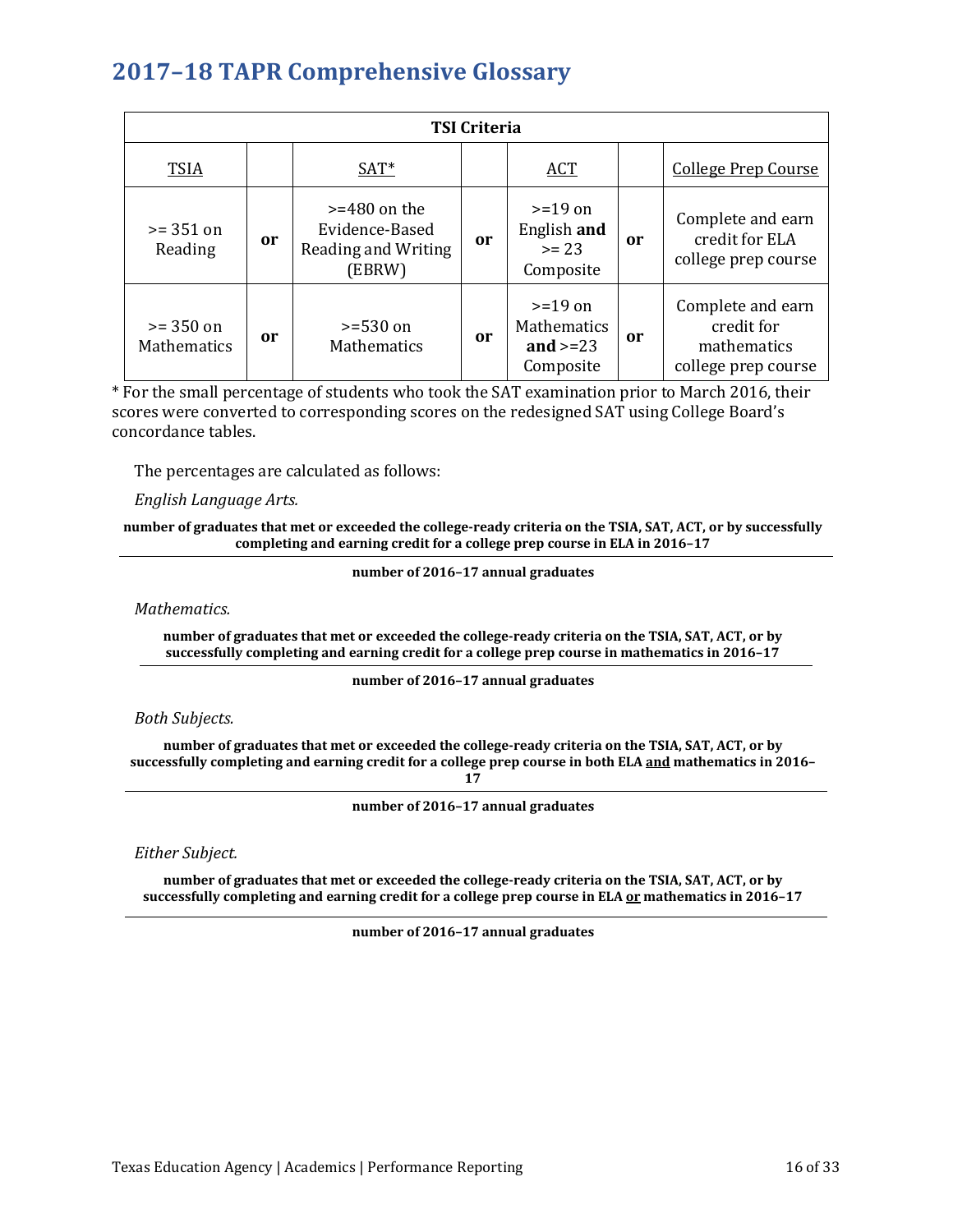| <b>TSI Criteria</b>               |    |                                                                   |    |                                                            |           |                                                                       |
|-----------------------------------|----|-------------------------------------------------------------------|----|------------------------------------------------------------|-----------|-----------------------------------------------------------------------|
| <b>TSIA</b>                       |    | $SAT^*$                                                           |    | <b>ACT</b>                                                 |           | <b>College Prep Course</b>                                            |
| $>= 351$ on<br>Reading            | or | $>=480$ on the<br>Evidence-Based<br>Reading and Writing<br>(EBRW) | or | $>=19$ on<br>English and<br>$>= 23$<br>Composite           | <b>or</b> | Complete and earn<br>credit for ELA<br>college prep course            |
| $>= 350$ on<br><b>Mathematics</b> | 0r | $>= 530$ on<br><b>Mathematics</b>                                 | or | $>=19$ on<br><b>Mathematics</b><br>and $>=23$<br>Composite | <b>or</b> | Complete and earn<br>credit for<br>mathematics<br>college prep course |

\* For the small percentage of students who took the SAT examination prior to March 2016, their scores were converted to corresponding scores on the redesigned SAT using College Board's concordance tables.

The percentages are calculated as follows:

### *English Language Arts.*

#### **number of graduates that met or exceeded the college-ready criteria on the TSIA, SAT, ACT, or by successfully completing and earning credit for a college prep course in ELA in 2016–17**

**number of 2016–17 annual graduates** 

*Mathematics.*

**number of graduates that met or exceeded the college-ready criteria on the TSIA, SAT, ACT, or by successfully completing and earning credit for a college prep course in mathematics in 2016–17**

#### **number of 2016–17 annual graduates**

## *Both Subjects.*

**number of graduates that met or exceeded the college-ready criteria on the TSIA, SAT, ACT, or by successfully completing and earning credit for a college prep course in both ELA and mathematics in 2016–**

**17**

**number of 2016–17 annual graduates** 

*Either Subject.* 

**number of graduates that met or exceeded the college-ready criteria on the TSIA, SAT, ACT, or by successfully completing and earning credit for a college prep course in ELA or mathematics in 2016–17**

**number of 2016–17 annual graduates**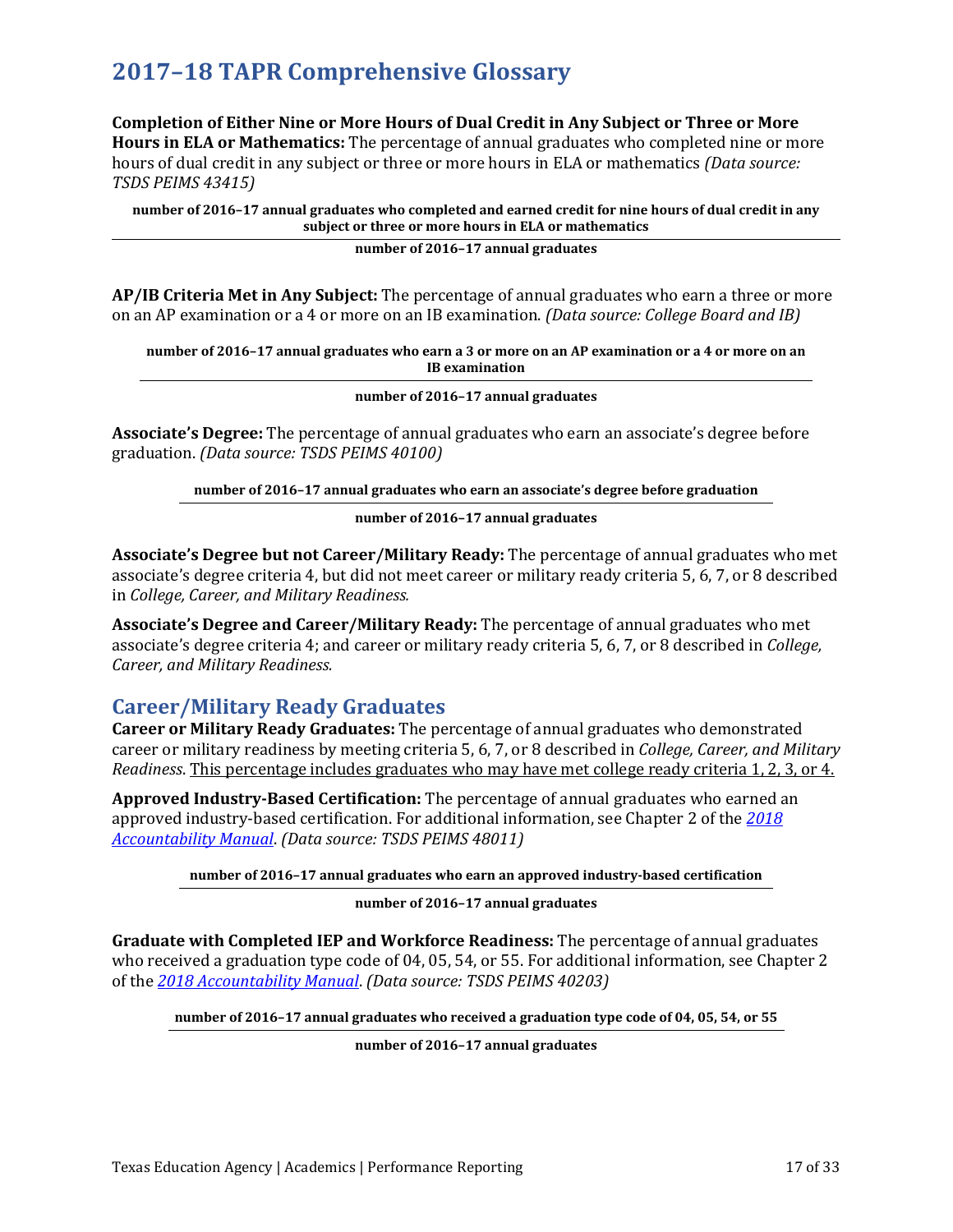**Completion of Either Nine or More Hours of Dual Credit in Any Subject or Three or More Hours in ELA or Mathematics:** The percentage of annual graduates who completed nine or more hours of dual credit in any subject or three or more hours in ELA or mathematics *(Data source: TSDS PEIMS 43415)*

**number of 2016–17 annual graduates who completed and earned credit for nine hours of dual credit in any subject or three or more hours in ELA or mathematics**

#### **number of 2016–17 annual graduates**

**AP/IB Criteria Met in Any Subject:** The percentage of annual graduates who earn a three or more on an AP examination or a 4 or more on an IB examination. *(Data source: College Board and IB)*

**number of 2016–17 annual graduates who earn a 3 or more on an AP examination or a 4 or more on an IB examination**

**number of 2016–17 annual graduates** 

**Associate's Degree:** The percentage of annual graduates who earn an associate's degree before graduation. *(Data source: TSDS PEIMS 40100)*

**number of 2016–17 annual graduates who earn an associate's degree before graduation**

**number of 2016–17 annual graduates** 

**Associate's Degree but not Career/Military Ready:** The percentage of annual graduates who met associate's degree criteria 4, but did not meet career or military ready criteria 5, 6, 7, or 8 described in *College, Career, and Military Readiness.* 

**Associate's Degree and Career/Military Ready:** The percentage of annual graduates who met associate's degree criteria 4; and career or military ready criteria 5, 6, 7, or 8 described in *College, Career, and Military Readiness.* 

## **Career/Military Ready Graduates**

**Career or Military Ready Graduates:** The percentage of annual graduates who demonstrated career or military readiness by meeting criteria 5, 6, 7, or 8 described in *College, Career, and Military Readiness*. This percentage includes graduates who may have met college ready criteria 1, 2, 3, or 4.

**Approved Industry-Based Certification:** The percentage of annual graduates who earned an approved industry-based certification. For additional information, see Chapter 2 of the *[2018](https://tea.texas.gov/2018accountabilitymanual.aspx)  [Accountability Manual](https://tea.texas.gov/2018accountabilitymanual.aspx)*. *(Data source: TSDS PEIMS 48011)*

**number of 2016–17 annual graduates who earn an approved industry-based certification**

#### **number of 2016–17 annual graduates**

**Graduate with Completed IEP and Workforce Readiness:** The percentage of annual graduates who received a graduation type code of 04, 05, 54, or 55. For additional information, see Chapter 2 of the *[2018 Accountability Manual](https://tea.texas.gov/2018accountabilitymanual.aspx)*. *(Data source: TSDS PEIMS 40203)* 

**number of 2016–17 annual graduates who received a graduation type code of 04, 05, 54, or 55**

**number of 2016–17 annual graduates**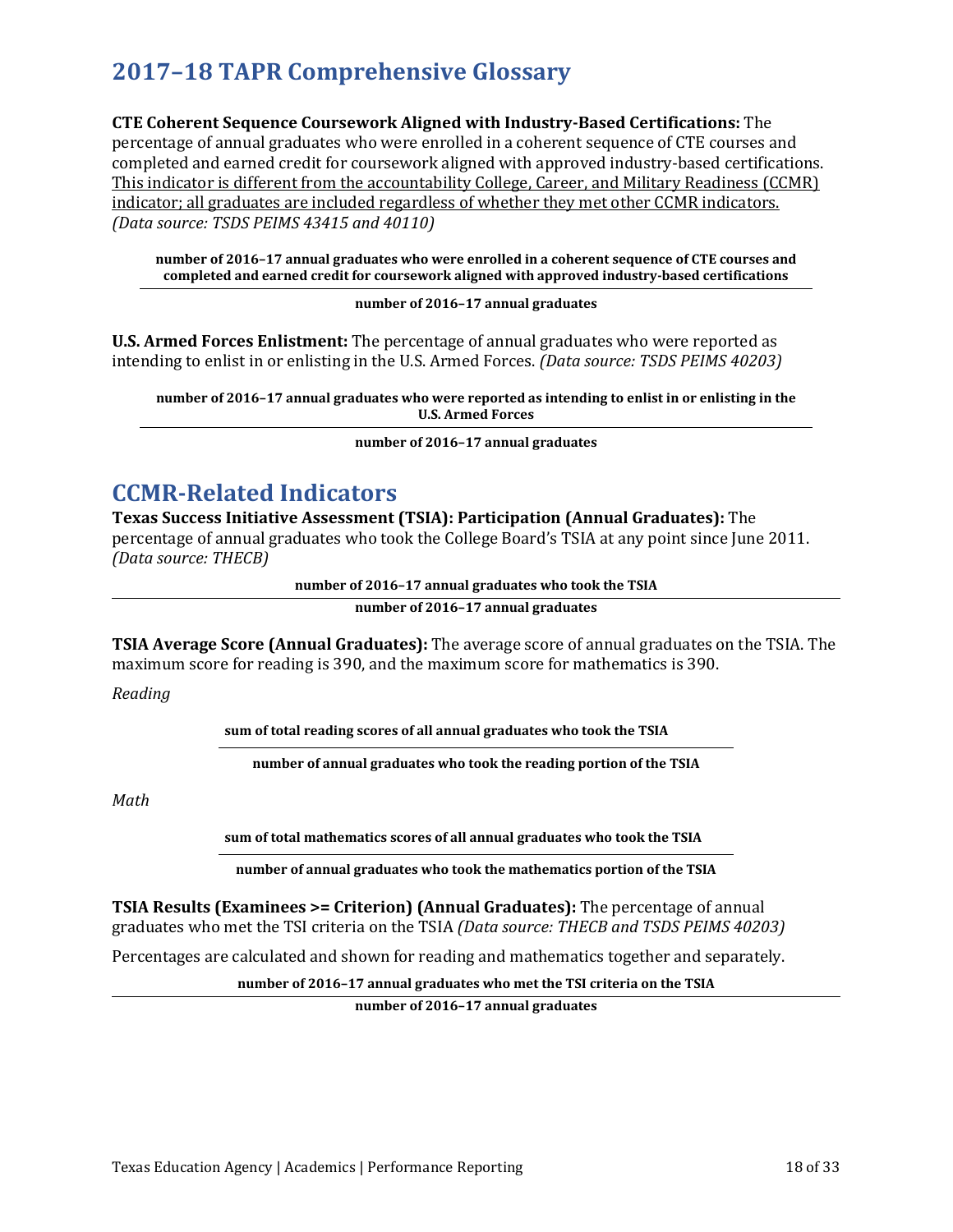**CTE Coherent Sequence Coursework Aligned with Industry-Based Certifications:** The percentage of annual graduates who were enrolled in a coherent sequence of CTE courses and completed and earned credit for coursework aligned with approved industry-based certifications. This indicator is different from the accountability College, Career, and Military Readiness (CCMR) indicator; all graduates are included regardless of whether they met other CCMR indicators. *(Data source: TSDS PEIMS 43415 and 40110)*

**number of 2016–17 annual graduates who were enrolled in a coherent sequence of CTE courses and completed and earned credit for coursework aligned with approved industry-based certifications**

**number of 2016–17 annual graduates** 

**U.S. Armed Forces Enlistment:** The percentage of annual graduates who were reported as intending to enlist in or enlisting in the U.S. Armed Forces. *(Data source: TSDS PEIMS 40203)*

**number of 2016–17 annual graduates who were reported as intending to enlist in or enlisting in the U.S. Armed Forces** 

**number of 2016–17 annual graduates** 

## **CCMR-Related Indicators**

**Texas Success Initiative Assessment (TSIA): Participation (Annual Graduates):** The percentage of annual graduates who took the College Board's TSIA at any point since June 2011. *(Data source: THECB)*

**number of 2016–17 annual graduates who took the TSIA**

**number of 2016–17 annual graduates** 

**TSIA Average Score (Annual Graduates):** The average score of annual graduates on the TSIA. The maximum score for reading is 390, and the maximum score for mathematics is 390.

*Reading* 

**sum of total reading scores of all annual graduates who took the TSIA**

**number of annual graduates who took the reading portion of the TSIA**

*Math* 

**sum of total mathematics scores of all annual graduates who took the TSIA**

**number of annual graduates who took the mathematics portion of the TSIA**

**TSIA Results (Examinees >= Criterion) (Annual Graduates):** The percentage of annual graduates who met the TSI criteria on the TSIA *(Data source: THECB and TSDS PEIMS 40203)*

Percentages are calculated and shown for reading and mathematics together and separately.

**number of 2016–17 annual graduates who met the TSI criteria on the TSIA**

**number of 2016–17 annual graduates**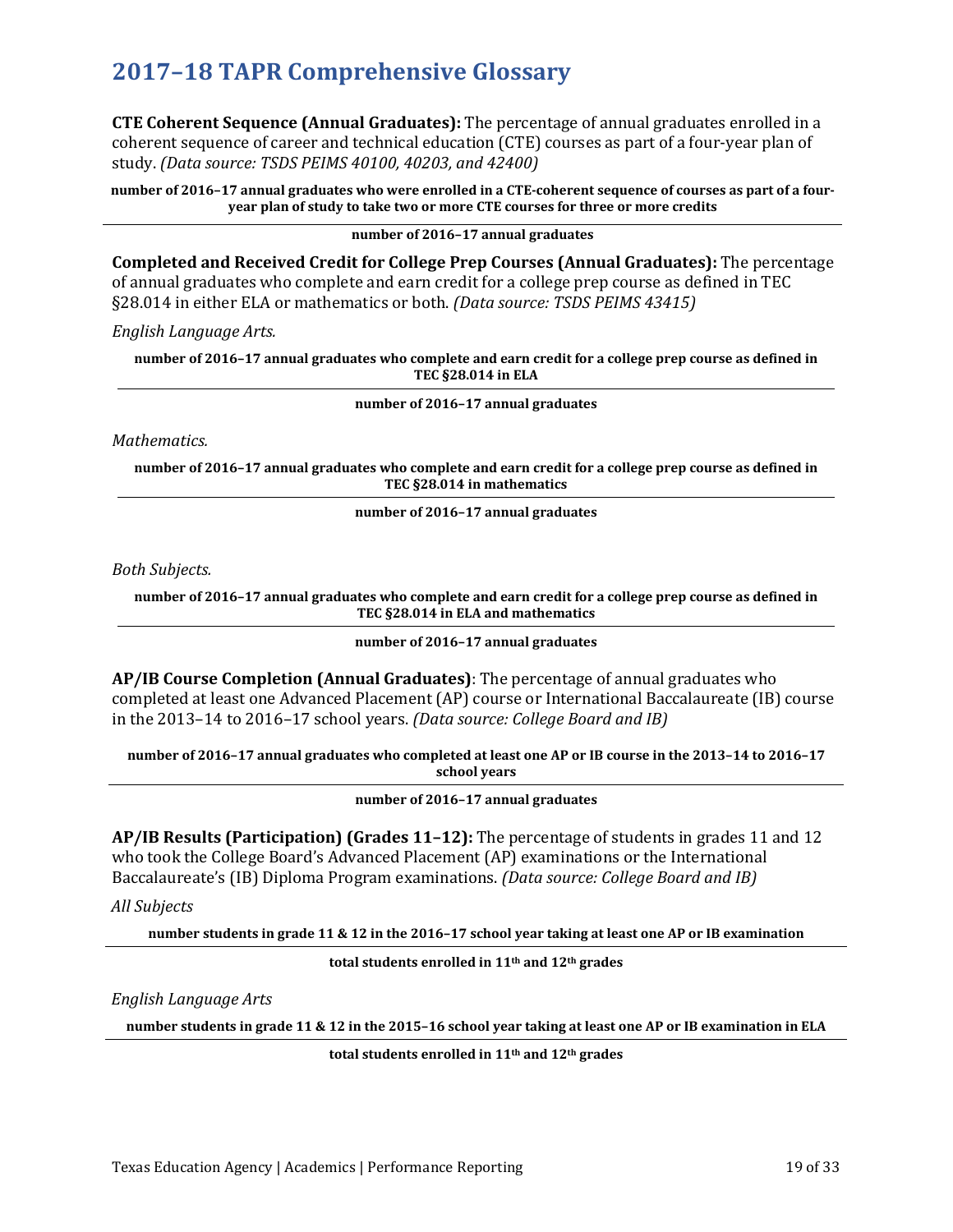**CTE Coherent Sequence (Annual Graduates):** The percentage of annual graduates enrolled in a coherent sequence of career and technical education (CTE) courses as part of a four-year plan of study. *(Data source: TSDS PEIMS 40100, 40203, and 42400)*

**number of 2016–17 annual graduates who were enrolled in a CTE-coherent sequence of courses as part of a fouryear plan of study to take two or more CTE courses for three or more credits** 

**number of 2016–17 annual graduates** 

**Completed and Received Credit for College Prep Courses (Annual Graduates):** The percentage of annual graduates who complete and earn credit for a college prep course as defined in TEC §28.014 in either ELA or mathematics or both. *(Data source: TSDS PEIMS 43415)*

*English Language Arts.* 

**number of 2016–17 annual graduates who complete and earn credit for a college prep course as defined in TEC §28.014 in ELA** 

**number of 2016–17 annual graduates**

*Mathematics.*

**number of 2016–17 annual graduates who complete and earn credit for a college prep course as defined in TEC §28.014 in mathematics**

**number of 2016–17 annual graduates**

*Both Subjects.*

**number of 2016–17 annual graduates who complete and earn credit for a college prep course as defined in TEC §28.014 in ELA and mathematics**

**number of 2016–17 annual graduates**

**AP/IB Course Completion (Annual Graduates)**: The percentage of annual graduates who completed at least one Advanced Placement (AP) course or International Baccalaureate (IB) course in the 2013–14 to 2016–17 school years. *(Data source: College Board and IB)*

**number of 2016–17 annual graduates who completed at least one AP or IB course in the 2013–14 to 2016–17 school years** 

**number of 2016–17 annual graduates** 

**AP/IB Results (Participation) (Grades 11–12):** The percentage of students in grades 11 and 12 who took the College Board's Advanced Placement (AP) examinations or the International Baccalaureate's (IB) Diploma Program examinations. *(Data source: College Board and IB)*

*All Subjects*

**number students in grade 11 & 12 in the 2016–17 school year taking at least one AP or IB examination**

**total students enrolled in 11th and 12th grades** 

*English Language Arts*

**number students in grade 11 & 12 in the 2015–16 school year taking at least one AP or IB examination in ELA**

**total students enrolled in 11th and 12th grades**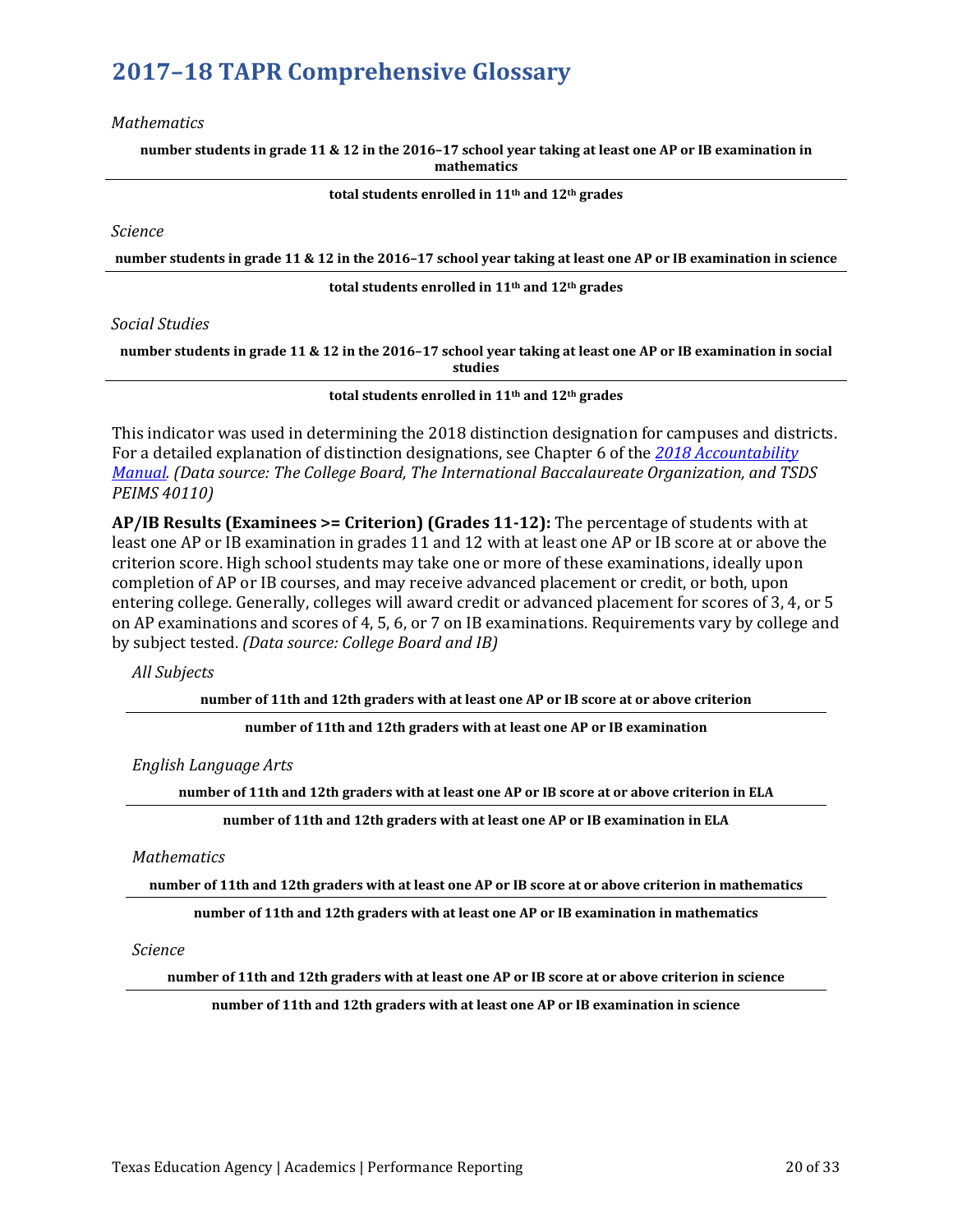#### *Mathematics*

**number students in grade 11 & 12 in the 2016–17 school year taking at least one AP or IB examination in mathematics**

**total students enrolled in 11th and 12th grades** 

*Science*

**number students in grade 11 & 12 in the 2016–17 school year taking at least one AP or IB examination in science**

**total students enrolled in 11th and 12th grades** 

### *Social Studies*

**number students in grade 11 & 12 in the 2016–17 school year taking at least one AP or IB examination in social studies**

**total students enrolled in 11th and 12th grades** 

This indicator was used in determining the 2018 distinction designation for campuses and districts. For a detailed explanation of distinction designations, see Chapter 6 of the *[2018 Accountability](https://tea.texas.gov/2018accountabilitymanual.aspx)  [Manual.](https://tea.texas.gov/2018accountabilitymanual.aspx) (Data source: The College Board, The International Baccalaureate Organization, and TSDS PEIMS 40110)*

**AP/IB Results (Examinees >= Criterion) (Grades 11-12):** The percentage of students with at least one AP or IB examination in grades 11 and 12 with at least one AP or IB score at or above the criterion score. High school students may take one or more of these examinations, ideally upon completion of AP or IB courses, and may receive advanced placement or credit, or both, upon entering college. Generally, colleges will award credit or advanced placement for scores of 3, 4, or 5 on AP examinations and scores of 4, 5, 6, or 7 on IB examinations. Requirements vary by college and by subject tested. *(Data source: College Board and IB)*

*All Subjects*

**number of 11th and 12th graders with at least one AP or IB score at or above criterion**

**number of 11th and 12th graders with at least one AP or IB examination** 

*English Language Arts*

**number of 11th and 12th graders with at least one AP or IB score at or above criterion in ELA**

**number of 11th and 12th graders with at least one AP or IB examination in ELA** 

*Mathematics*

**number of 11th and 12th graders with at least one AP or IB score at or above criterion in mathematics**

**number of 11th and 12th graders with at least one AP or IB examination in mathematics** 

*Science*

**number of 11th and 12th graders with at least one AP or IB score at or above criterion in science**

**number of 11th and 12th graders with at least one AP or IB examination in science**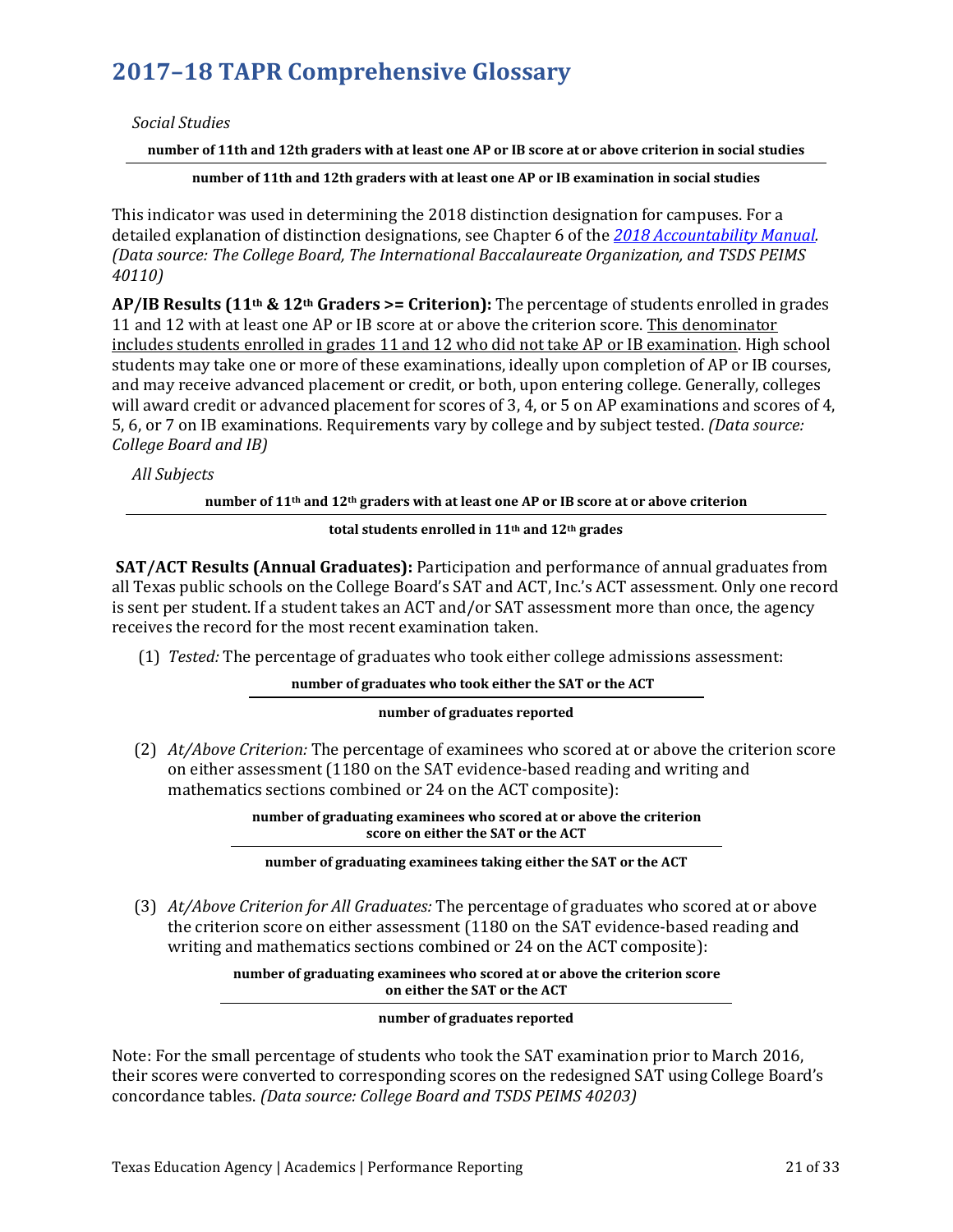*Social Studies*

**number of 11th and 12th graders with at least one AP or IB score at or above criterion in social studies**

**number of 11th and 12th graders with at least one AP or IB examination in social studies**

This indicator was used in determining the 2018 distinction designation for campuses. For a detailed explanation of distinction designations, see Chapter 6 of the *[2018 Accountability Manual.](https://tea.texas.gov/2018accountabilitymanual.aspx) (Data source: The College Board, The International Baccalaureate Organization, and TSDS PEIMS 40110)*

**AP/IB Results (11th & 12th Graders >= Criterion):** The percentage of students enrolled in grades 11 and 12 with at least one AP or IB score at or above the criterion score. This denominator includes students enrolled in grades 11 and 12 who did not take AP or IB examination. High school students may take one or more of these examinations, ideally upon completion of AP or IB courses, and may receive advanced placement or credit, or both, upon entering college. Generally, colleges will award credit or advanced placement for scores of 3, 4, or 5 on AP examinations and scores of 4, 5, 6, or 7 on IB examinations. Requirements vary by college and by subject tested. *(Data source: College Board and IB)*

*All Subjects*

**number of 11th and 12th graders with at least one AP or IB score at or above criterion**

### **total students enrolled in 11th and 12th grades**

**SAT/ACT Results (Annual Graduates):** Participation and performance of annual graduates from all Texas public schools on the College Board's SAT and ACT, Inc.'s ACT assessment. Only one record is sent per student. If a student takes an ACT and/or SAT assessment more than once, the agency receives the record for the most recent examination taken.

(1) *Tested:* The percentage of graduates who took either college admissions assessment:

## **number of graduates who took either the SAT or the ACT**

### **number of graduates reported**

(2) *At/Above Criterion:* The percentage of examinees who scored at or above the criterion score on either assessment (1180 on the SAT evidence-based reading and writing and mathematics sections combined or 24 on the ACT composite):

> **number of graduating examinees who scored at or above the criterion score on either the SAT or the ACT**

### **number of graduating examinees taking either the SAT or the ACT**

(3) *At/Above Criterion for All Graduates:* The percentage of graduates who scored at or above the criterion score on either assessment (1180 on the SAT evidence-based reading and writing and mathematics sections combined or 24 on the ACT composite):

> **number of graduating examinees who scored at or above the criterion score on either the SAT or the ACT**

> > **number of graduates reported**

Note: For the small percentage of students who took the SAT examination prior to March 2016, their scores were converted to corresponding scores on the redesigned SAT using College Board's concordance tables. *(Data source: College Board and TSDS PEIMS 40203)*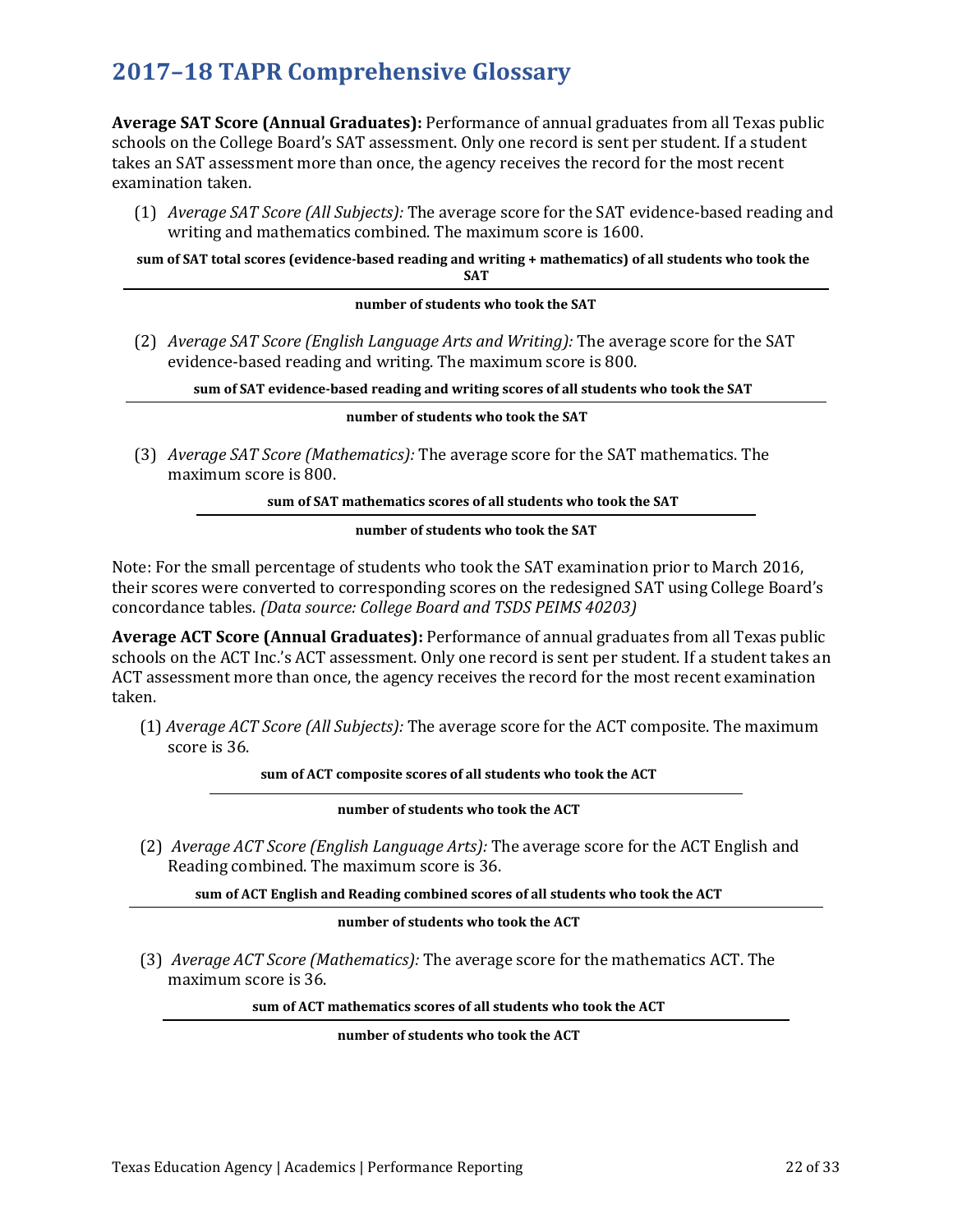**Average SAT Score (Annual Graduates):** Performance of annual graduates from all Texas public schools on the College Board's SAT assessment. Only one record is sent per student. If a student takes an SAT assessment more than once, the agency receives the record for the most recent examination taken.

(1) *Average SAT Score (All Subjects):* The average score for the SAT evidence-based reading and writing and mathematics combined. The maximum score is 1600.

**sum of SAT total scores (evidence-based reading and writing + mathematics) of all students who took the SAT**

#### **number of students who took the SAT**

(2) *Average SAT Score (English Language Arts and Writing):* The average score for the SAT evidence-based reading and writing. The maximum score is 800.

**sum of SAT evidence-based reading and writing scores of all students who took the SAT**

#### **number of students who took the SAT**

(3) *Average SAT Score (Mathematics):* The average score for the SAT mathematics. The maximum score is 800.

**sum of SAT mathematics scores of all students who took the SAT**

### **number of students who took the SAT**

Note: For the small percentage of students who took the SAT examination prior to March 2016, their scores were converted to corresponding scores on the redesigned SAT using College Board's concordance tables. *(Data source: College Board and TSDS PEIMS 40203)*

**Average ACT Score (Annual Graduates):** Performance of annual graduates from all Texas public schools on the ACT Inc.'s ACT assessment. Only one record is sent per student. If a student takes an ACT assessment more than once, the agency receives the record for the most recent examination taken.

(1) *A*v*erage ACT Score (All Subjects):* The average score for the ACT composite. The maximum score is 36.

**sum of ACT composite scores of all students who took the ACT**

### **number of students who took the ACT**

(2) *Average ACT Score (English Language Arts):* The average score for the ACT English and Reading combined. The maximum score is 36.

**sum of ACT English and Reading combined scores of all students who took the ACT**

**number of students who took the ACT**

(3) *Average ACT Score (Mathematics):* The average score for the mathematics ACT. The maximum score is 36.

**sum of ACT mathematics scores of all students who took the ACT**

**number of students who took the ACT**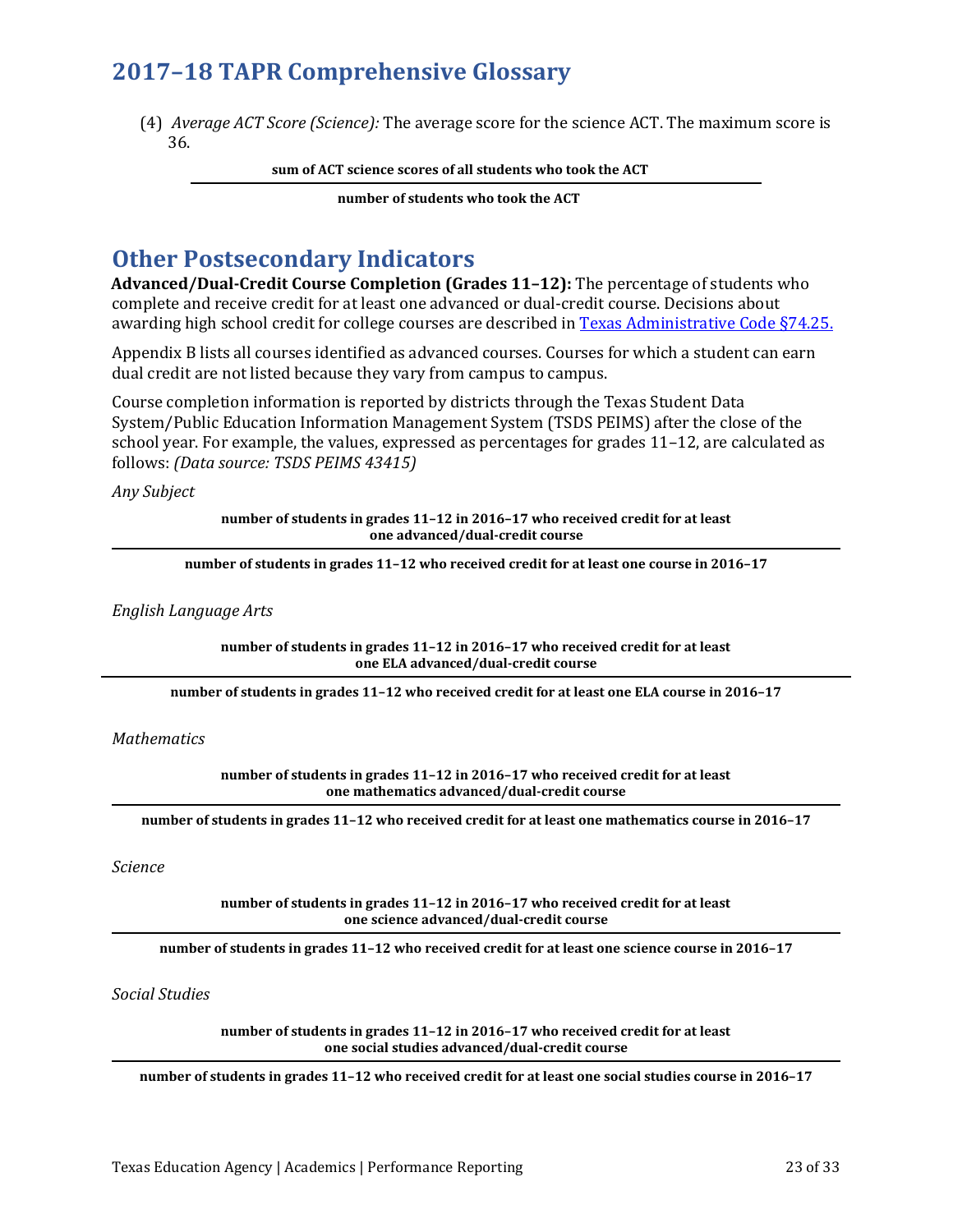(4) *Average ACT Score (Science):* The average score for the science ACT. The maximum score is 36.

**sum of ACT science scores of all students who took the ACT**

**number of students who took the ACT**

## **Other Postsecondary Indicators**

**Advanced/Dual-Credit Course Completion (Grades 11–12):** The percentage of students who complete and receive credit for at least one advanced or dual-credit course. Decisions about awarding high school credit for college courses are described i[n Texas Administrative Code §74.25.](http://texreg.sos.state.tx.us/public/readtac$ext.TacPage?sl=R&app=9&p_dir=&p_rloc=&p_tloc=&p_ploc=&pg=1&p_tac=&ti=19&pt=2&ch=74&rl=25)

Appendix B lists all courses identified as advanced courses. Courses for which a student can earn dual credit are not listed because they vary from campus to campus.

Course completion information is reported by districts through the Texas Student Data System/Public Education Information Management System (TSDS PEIMS) after the close of the school year. For example, the values, expressed as percentages for grades 11–12, are calculated as follows: *(Data source: TSDS PEIMS 43415)*

*Any Subject*

**number of students in grades 11–12 in 2016–17 who received credit for at least one advanced/dual-credit course**

**number of students in grades 11–12 who received credit for at least one course in 2016–17** 

*English Language Arts* 

**number of students in grades 11–12 in 2016–17 who received credit for at least one ELA advanced/dual-credit course**

**number of students in grades 11–12 who received credit for at least one ELA course in 2016–17** 

### *Mathematics*

**number of students in grades 11–12 in 2016–17 who received credit for at least one mathematics advanced/dual-credit course**

**number of students in grades 11–12 who received credit for at least one mathematics course in 2016–17** 

*Science* 

**number of students in grades 11–12 in 2016–17 who received credit for at least one science advanced/dual-credit course**

**number of students in grades 11–12 who received credit for at least one science course in 2016–17** 

*Social Studies* 

**number of students in grades 11–12 in 2016–17 who received credit for at least one social studies advanced/dual-credit course**

**number of students in grades 11–12 who received credit for at least one social studies course in 2016–17**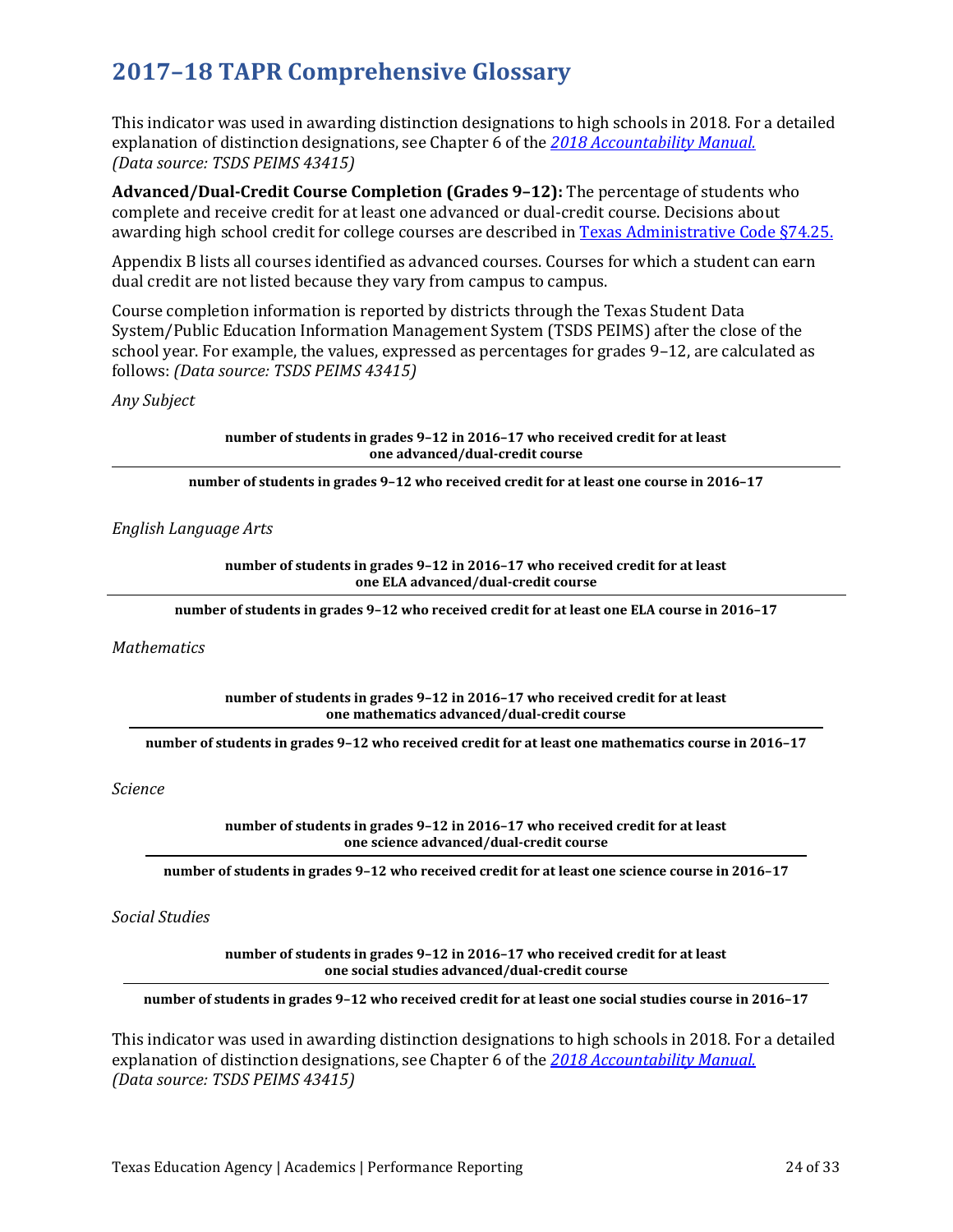This indicator was used in awarding distinction designations to high schools in 2018. For a detailed explanation of distinction designations, see Chapter 6 of the *[2018 Accountability Manual.](https://tea.texas.gov/2018accountabilitymanual.aspx)  (Data source: TSDS PEIMS 43415)*

**Advanced/Dual-Credit Course Completion (Grades 9–12):** The percentage of students who complete and receive credit for at least one advanced or dual-credit course. Decisions about awarding high school credit for college courses are described i[n Texas Administrative Code §74.25.](http://texreg.sos.state.tx.us/public/readtac$ext.TacPage?sl=R&app=9&p_dir=&p_rloc=&p_tloc=&p_ploc=&pg=1&p_tac=&ti=19&pt=2&ch=74&rl=25)

Appendix B lists all courses identified as advanced courses. Courses for which a student can earn dual credit are not listed because they vary from campus to campus.

Course completion information is reported by districts through the Texas Student Data System/Public Education Information Management System (TSDS PEIMS) after the close of the school year. For example, the values, expressed as percentages for grades 9–12, are calculated as follows: *(Data source: TSDS PEIMS 43415)*

*Any Subject*

**number of students in grades 9–12 in 2016–17 who received credit for at least one advanced/dual-credit course**

**number of students in grades 9–12 who received credit for at least one course in 2016–17** 

## *English Language Arts*

**number of students in grades 9–12 in 2016–17 who received credit for at least one ELA advanced/dual-credit course**

**number of students in grades 9–12 who received credit for at least one ELA course in 2016–17** 

#### *Mathematics*

**number of students in grades 9–12 in 2016–17 who received credit for at least one mathematics advanced/dual-credit course**

**number of students in grades 9–12 who received credit for at least one mathematics course in 2016–17** 

*Science* 

**number of students in grades 9–12 in 2016–17 who received credit for at least one science advanced/dual-credit course**

**number of students in grades 9–12 who received credit for at least one science course in 2016–17** 

*Social Studies* 

**number of students in grades 9–12 in 2016–17 who received credit for at least one social studies advanced/dual-credit course**

**number of students in grades 9–12 who received credit for at least one social studies course in 2016–17** 

This indicator was used in awarding distinction designations to high schools in 2018. For a detailed explanation of distinction designations, see Chapter 6 of the *[2018 Accountability Manual.](https://tea.texas.gov/2018accountabilitymanual.aspx)  (Data source: TSDS PEIMS 43415)*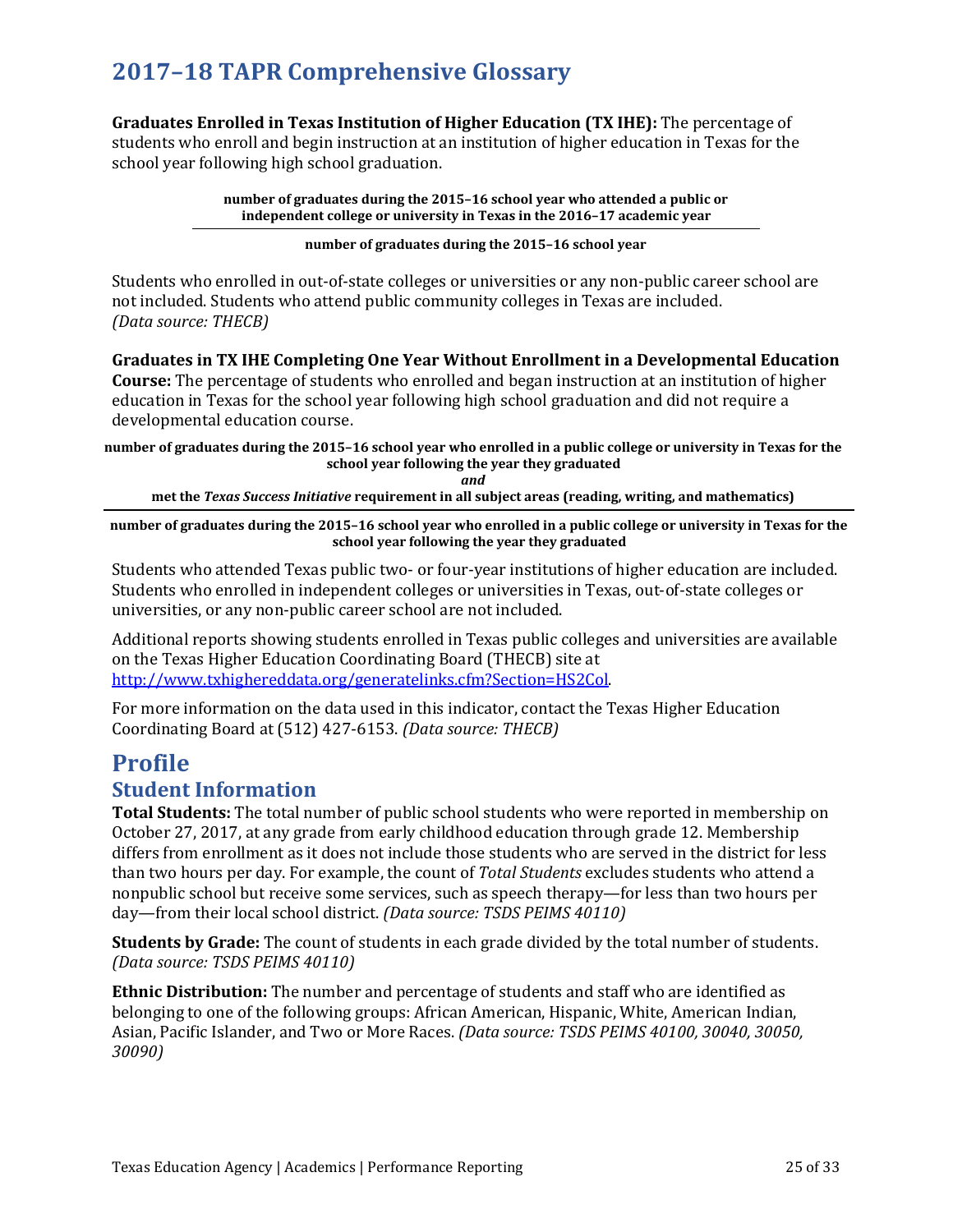**Graduates Enrolled in Texas Institution of Higher Education (TX IHE):** The percentage of students who enroll and begin instruction at an institution of higher education in Texas for the school year following high school graduation.

> **number of graduates during the 2015–16 school year who attended a public or independent college or university in Texas in the 2016–17 academic year**

### **number of graduates during the 2015–16 school year**

Students who enrolled in out-of-state colleges or universities or any non-public career school are not included. Students who attend public community colleges in Texas are included. *(Data source: THECB)*

**Graduates in TX IHE Completing One Year Without Enrollment in a Developmental Education Course:** The percentage of students who enrolled and began instruction at an institution of higher education in Texas for the school year following high school graduation and did not require a developmental education course.

**number of graduates during the 2015–16 school year who enrolled in a public college or university in Texas for the school year following the year they graduated**

*and*

**met the** *Texas Success Initiative* **requirement in all subject areas (reading, writing, and mathematics)** 

**number of graduates during the 2015–16 school year who enrolled in a public college or university in Texas for the school year following the year they graduated**

Students who attended Texas public two- or four-year institutions of higher education are included. Students who enrolled in independent colleges or universities in Texas, out-of-state colleges or universities, or any non-public career school are not included.

Additional reports showing students enrolled in Texas public colleges and universities are available on the Texas Higher Education Coordinating Board (THECB) site at [http://www.txhighereddata.org/generatelinks.cfm?Section=HS2Col.](http://www.txhighereddata.org/generatelinks.cfm?Section=HS2Col)

For more information on the data used in this indicator, contact the Texas Higher Education Coordinating Board at (512) 427-6153. *(Data source: THECB)*

## **Profile**

## **Student Information**

**Total Students:** The total number of public school students who were reported in membership on October 27, 2017, at any grade from early childhood education through grade 12. Membership differs from enrollment as it does not include those students who are served in the district for less than two hours per day. For example, the count of *Total Students* excludes students who attend a nonpublic school but receive some services, such as speech therapy—for less than two hours per day—from their local school district. *(Data source: TSDS PEIMS 40110)*

**Students by Grade:** The count of students in each grade divided by the total number of students. *(Data source: TSDS PEIMS 40110)*

**Ethnic Distribution:** The number and percentage of students and staff who are identified as belonging to one of the following groups: African American, Hispanic, White, American Indian, Asian, Pacific Islander, and Two or More Races. *(Data source: TSDS PEIMS 40100, 30040, 30050, 30090)*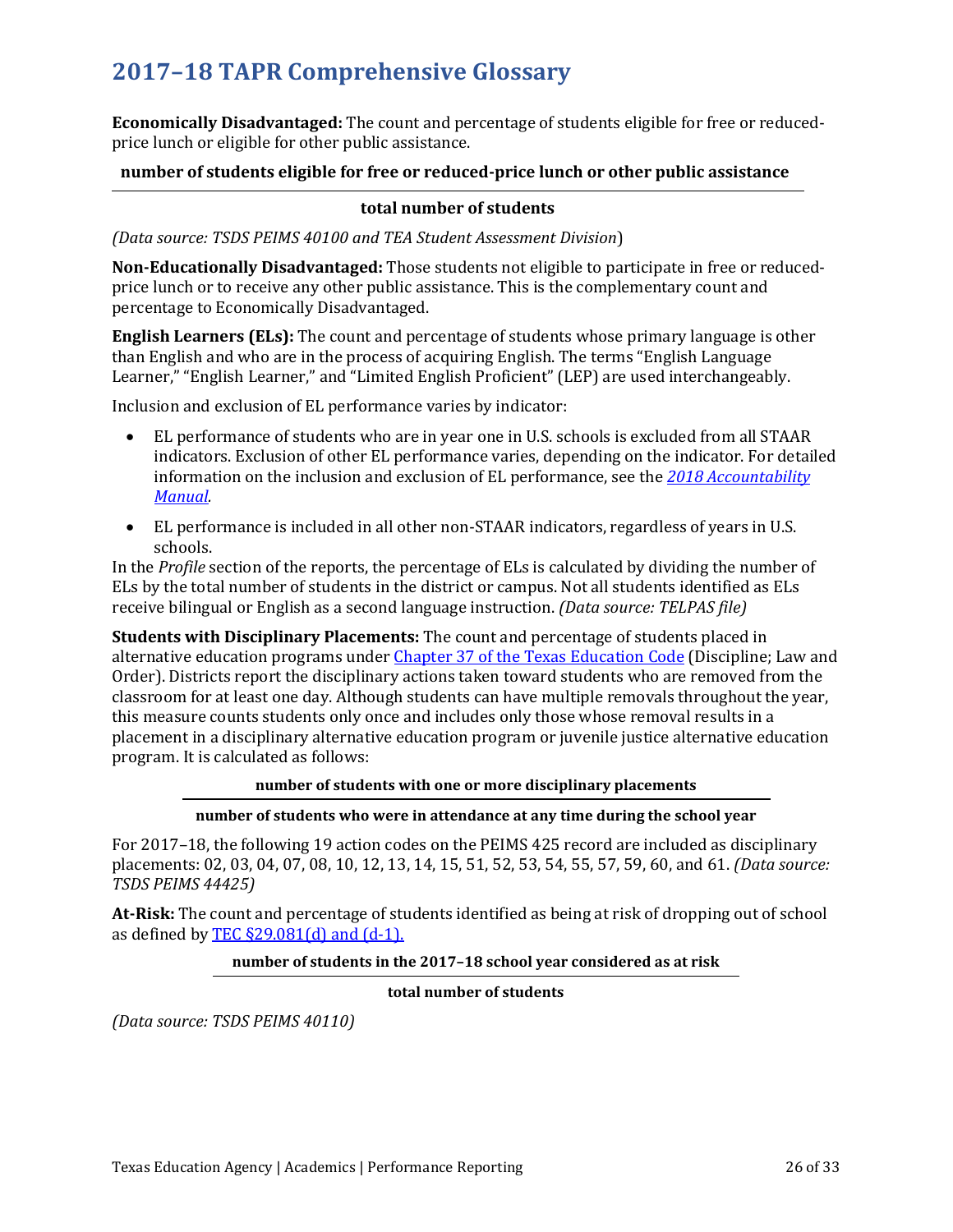**Economically Disadvantaged:** The count and percentage of students eligible for free or reducedprice lunch or eligible for other public assistance.

## **number of students eligible for free or reduced-price lunch or other public assistance**

## **total number of students**

*(Data source: TSDS PEIMS 40100 and TEA Student Assessment Division*)

**Non-Educationally Disadvantaged:** Those students not eligible to participate in free or reducedprice lunch or to receive any other public assistance. This is the complementary count and percentage to Economically Disadvantaged.

**English Learners (ELs):** The count and percentage of students whose primary language is other than English and who are in the process of acquiring English. The terms "English Language Learner," "English Learner," and "Limited English Proficient" (LEP) are used interchangeably.

Inclusion and exclusion of EL performance varies by indicator:

- EL performance of students who are in year one in U.S. schools is excluded from all STAAR indicators. Exclusion of other EL performance varies, depending on the indicator. For detailed information on the inclusion and exclusion of EL performance, see the *[2018 Accountability](https://tea.texas.gov/2018accountabilitymanual.aspx)  [Manual.](https://tea.texas.gov/2018accountabilitymanual.aspx)*
- EL performance is included in all other non-STAAR indicators, regardless of years in U.S. schools.

In the *Profile* section of the reports, the percentage of ELs is calculated by dividing the number of ELs by the total number of students in the district or campus. Not all students identified as ELs receive bilingual or English as a second language instruction. *(Data source: TELPAS file)* 

**Students with Disciplinary Placements:** The count and percentage of students placed in alternative education programs unde[r Chapter 37 of the Texas](http://www.statutes.legis.state.tx.us/Docs/ED/htm/ED.37.htm) Education Code (Discipline; Law and Order). Districts report the disciplinary actions taken toward students who are removed from the classroom for at least one day. Although students can have multiple removals throughout the year, this measure counts students only once and includes only those whose removal results in a placement in a disciplinary alternative education program or juvenile justice alternative education program. It is calculated as follows:

## **number of students with one or more disciplinary placements**

## **number of students who were in attendance at any time during the school year**

For 2017–18, the following 19 action codes on the PEIMS 425 record are included as disciplinary placements: 02, 03, 04, 07, 08, 10, 12, 13, 14, 15, 51, 52, 53, 54, 55, 57, 59, 60, and 61. *(Data source: TSDS PEIMS 44425)*

**At-Risk:** The count and percentage of students identified as being at risk of dropping out of school as defined by TEC  $\S29.081$ (d) and (d-1).

## **number of students in the 2017–18 school year considered as at risk**

**total number of students**

*(Data source: TSDS PEIMS 40110)*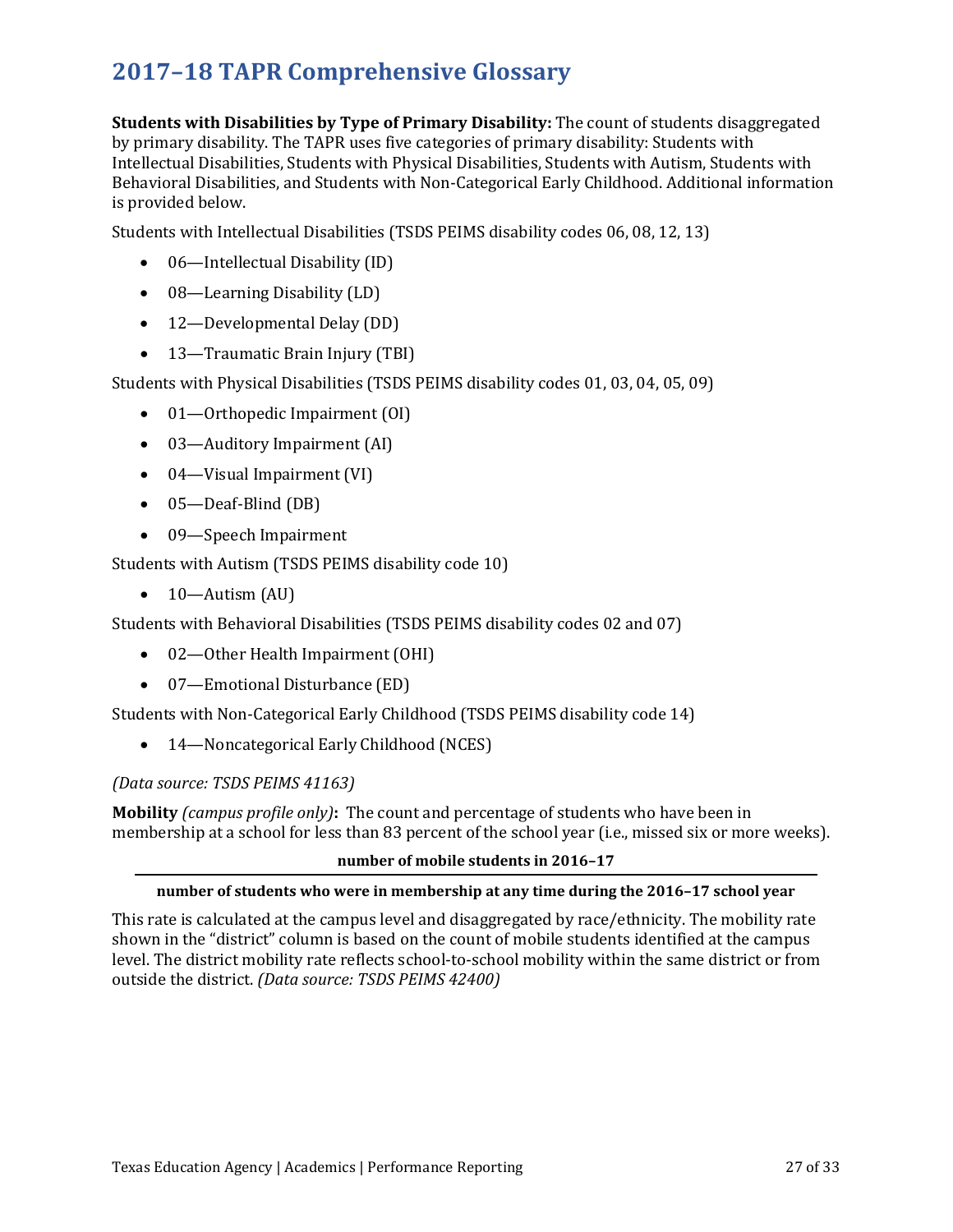**Students with Disabilities by Type of Primary Disability:** The count of students disaggregated by primary disability. The TAPR uses five categories of primary disability: Students with Intellectual Disabilities, Students with Physical Disabilities, Students with Autism, Students with Behavioral Disabilities, and Students with Non-Categorical Early Childhood. Additional information is provided below.

Students with Intellectual Disabilities (TSDS PEIMS disability codes 06, 08, 12, 13)

- 06—Intellectual Disability (ID)
- 08—Learning Disability (LD)
- 12—Developmental Delay (DD)
- 13—Traumatic Brain Injury (TBI)

Students with Physical Disabilities (TSDS PEIMS disability codes 01, 03, 04, 05, 09)

- 01—Orthopedic Impairment (OI)
- 03—Auditory Impairment (AI)
- 04—Visual Impairment (VI)
- 05—Deaf-Blind (DB)
- 09-Speech Impairment

Students with Autism (TSDS PEIMS disability code 10)

 $\bullet$  10—Autism (AU)

Students with Behavioral Disabilities (TSDS PEIMS disability codes 02 and 07)

- 02—Other Health Impairment (OHI)
- 07—Emotional Disturbance (ED)

Students with Non-Categorical Early Childhood (TSDS PEIMS disability code 14)

• 14—Noncategorical Early Childhood (NCES)

## *(Data source: TSDS PEIMS 41163)*

**Mobility** *(campus profile only)***:** The count and percentage of students who have been in membership at a school for less than 83 percent of the school year (i.e., missed six or more weeks).

## **number of mobile students in 2016–17**

## **number of students who were in membership at any time during the 2016–17 school year**

This rate is calculated at the campus level and disaggregated by race/ethnicity. The mobility rate shown in the "district" column is based on the count of mobile students identified at the campus level. The district mobility rate reflects school-to-school mobility within the same district or from outside the district. *(Data source: TSDS PEIMS 42400)*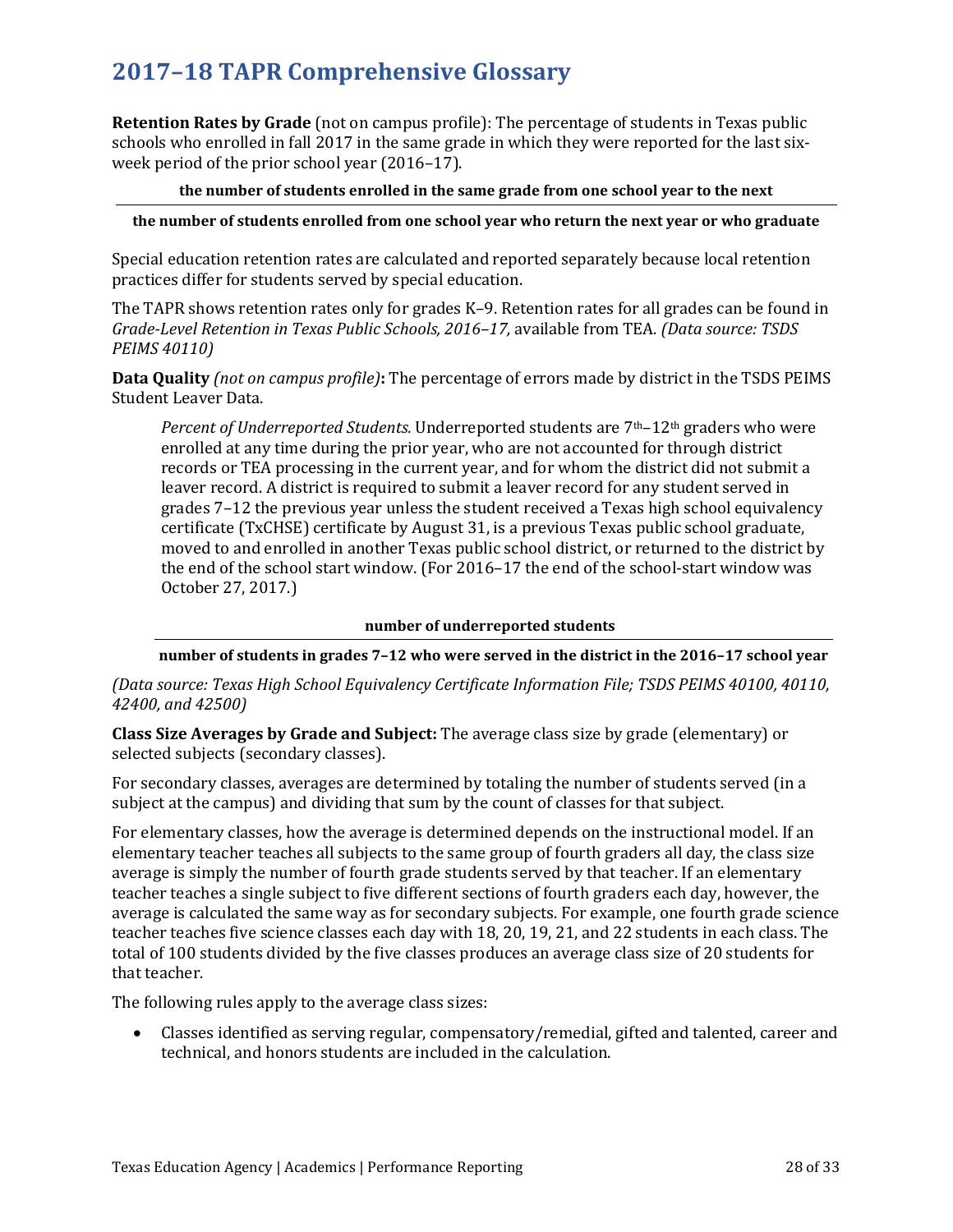**Retention Rates by Grade** (not on campus profile): The percentage of students in Texas public schools who enrolled in fall 2017 in the same grade in which they were reported for the last sixweek period of the prior school year (2016–17).

## **the number of students enrolled in the same grade from one school year to the next**

## **the number of students enrolled from one school year who return the next year or who graduate**

Special education retention rates are calculated and reported separately because local retention practices differ for students served by special education.

The TAPR shows retention rates only for grades K–9. Retention rates for all grades can be found in *Grade-Level Retention in Texas Public Schools, 2016–17,* available from TEA*. (Data source: TSDS PEIMS 40110)*

**Data Quality** *(not on campus profile)***:** The percentage of errors made by district in the TSDS PEIMS Student Leaver Data.

*Percent of Underreported Students.* Underreported students are 7th–12th graders who were enrolled at any time during the prior year, who are not accounted for through district records or TEA processing in the current year, and for whom the district did not submit a leaver record. A district is required to submit a leaver record for any student served in grades 7–12 the previous year unless the student received a Texas high school equivalency certificate (TxCHSE) certificate by August 31, is a previous Texas public school graduate, moved to and enrolled in another Texas public school district, or returned to the district by the end of the school start window. (For 2016–17 the end of the school-start window was October 27, 2017.)

### **number of underreported students**

## **number of students in grades 7–12 who were served in the district in the 2016–17 school year**

*(Data source: Texas High School Equivalency Certificate Information File; TSDS PEIMS 40100, 40110, 42400, and 42500)*

**Class Size Averages by Grade and Subject:** The average class size by grade (elementary) or selected subjects (secondary classes).

For secondary classes, averages are determined by totaling the number of students served (in a subject at the campus) and dividing that sum by the count of classes for that subject.

For elementary classes, how the average is determined depends on the instructional model. If an elementary teacher teaches all subjects to the same group of fourth graders all day, the class size average is simply the number of fourth grade students served by that teacher. If an elementary teacher teaches a single subject to five different sections of fourth graders each day, however, the average is calculated the same way as for secondary subjects. For example, one fourth grade science teacher teaches five science classes each day with 18, 20, 19, 21, and 22 students in each class. The total of 100 students divided by the five classes produces an average class size of 20 students for that teacher.

The following rules apply to the average class sizes:

• Classes identified as serving regular, compensatory/remedial, gifted and talented, career and technical, and honors students are included in the calculation.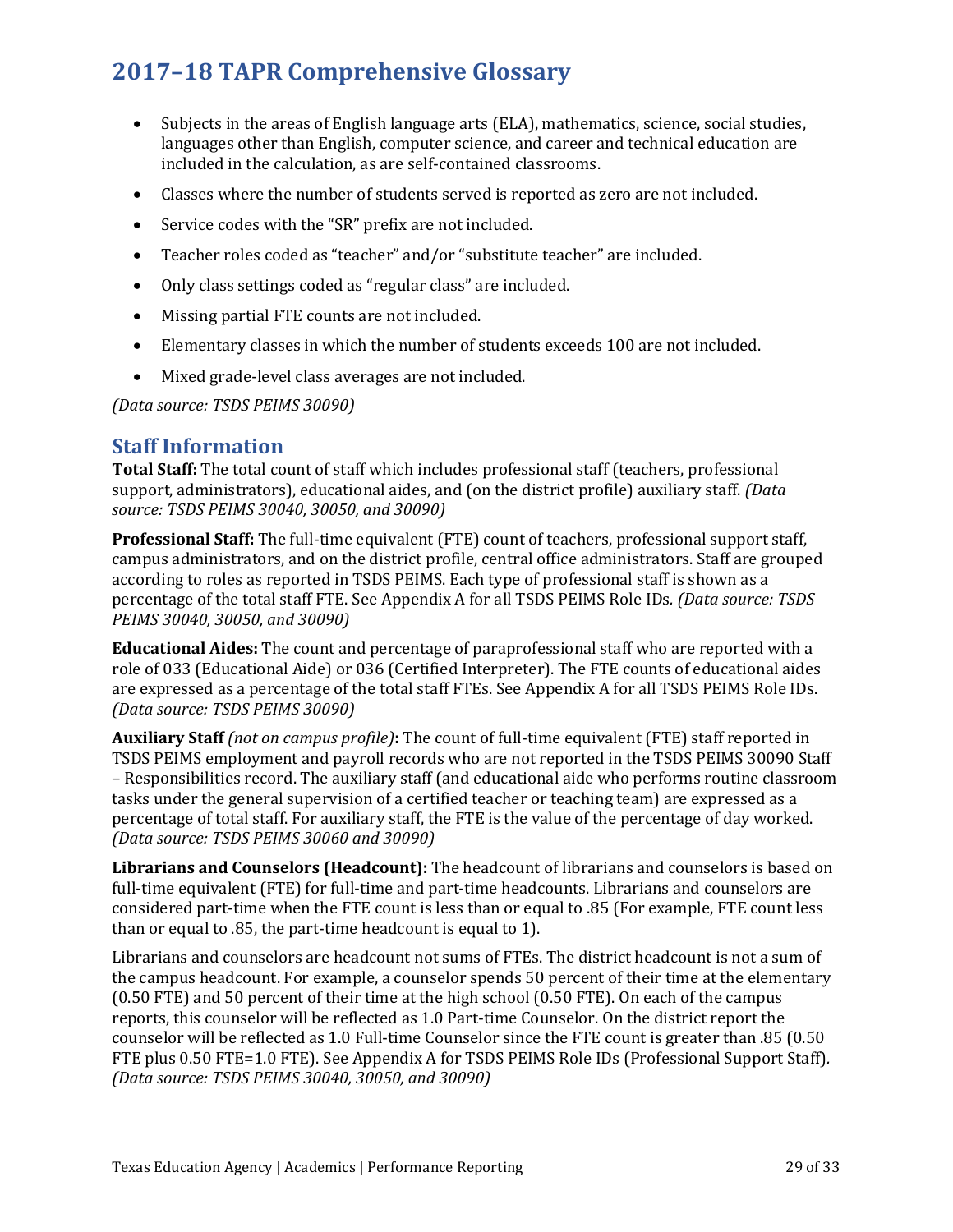- Subjects in the areas of English language arts (ELA), mathematics, science, social studies, languages other than English, computer science, and career and technical education are included in the calculation, as are self-contained classrooms.
- Classes where the number of students served is reported as zero are not included.
- Service codes with the "SR" prefix are not included.
- Teacher roles coded as "teacher" and/or "substitute teacher" are included.
- Only class settings coded as "regular class" are included.
- Missing partial FTE counts are not included.
- Elementary classes in which the number of students exceeds 100 are not included.
- Mixed grade-level class averages are not included.

*(Data source: TSDS PEIMS 30090)*

## **Staff Information**

**Total Staff:** The total count of staff which includes professional staff (teachers, professional support, administrators), educational aides, and (on the district profile) auxiliary staff. *(Data source: TSDS PEIMS 30040, 30050, and 30090)* 

**Professional Staff:** The full-time equivalent (FTE) count of teachers, professional support staff, campus administrators, and on the district profile, central office administrators. Staff are grouped according to roles as reported in TSDS PEIMS. Each type of professional staff is shown as a percentage of the total staff FTE. See Appendix A for all TSDS PEIMS Role IDs*. (Data source: TSDS PEIMS 30040, 30050, and 30090)* 

**Educational Aides:** The count and percentage of paraprofessional staff who are reported with a role of 033 (Educational Aide) or 036 (Certified Interpreter). The FTE counts of educational aides are expressed as a percentage of the total staff FTEs. See Appendix A for all TSDS PEIMS Role IDs. *(Data source: TSDS PEIMS 30090)*

**Auxiliary Staff** *(not on campus profile)***:** The count of full-time equivalent (FTE) staff reported in TSDS PEIMS employment and payroll records who are not reported in the TSDS PEIMS 30090 Staff – Responsibilities record. The auxiliary staff (and educational aide who performs routine classroom tasks under the general supervision of a certified teacher or teaching team) are expressed as a percentage of total staff. For auxiliary staff, the FTE is the value of the percentage of day worked. *(Data source: TSDS PEIMS 30060 and 30090)*

**Librarians and Counselors (Headcount):** The headcount of librarians and counselors is based on full-time equivalent (FTE) for full-time and part-time headcounts. Librarians and counselors are considered part-time when the FTE count is less than or equal to .85 (For example, FTE count less than or equal to .85, the part-time headcount is equal to 1).

Librarians and counselors are headcount not sums of FTEs. The district headcount is not a sum of the campus headcount. For example, a counselor spends 50 percent of their time at the elementary (0.50 FTE) and 50 percent of their time at the high school (0.50 FTE). On each of the campus reports, this counselor will be reflected as 1.0 Part-time Counselor. On the district report the counselor will be reflected as 1.0 Full-time Counselor since the FTE count is greater than .85 (0.50 FTE plus 0.50 FTE=1.0 FTE). See Appendix A for TSDS PEIMS Role IDs (Professional Support Staff)*. (Data source: TSDS PEIMS 30040, 30050, and 30090)*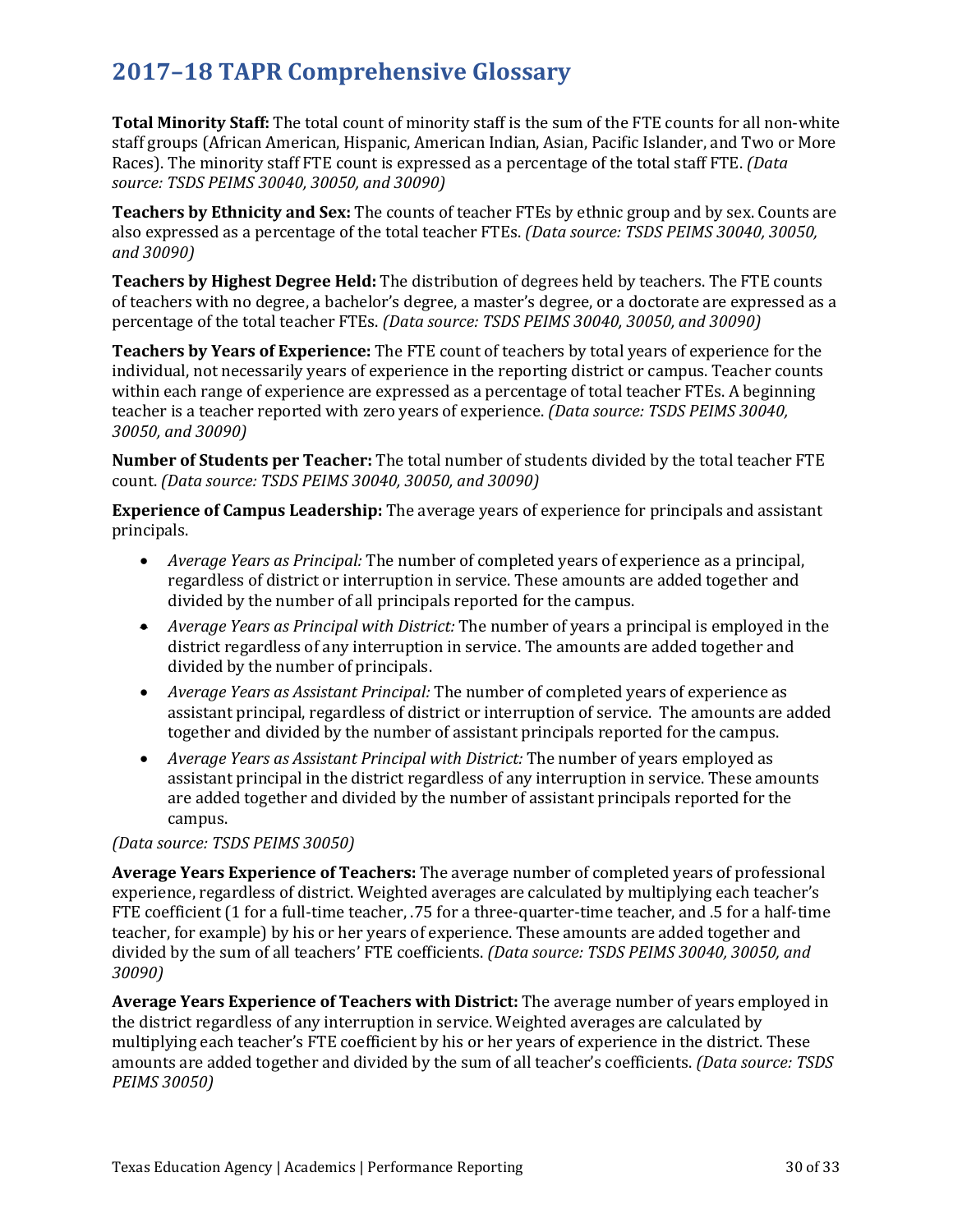**Total Minority Staff:** The total count of minority staff is the sum of the FTE counts for all non-white staff groups (African American, Hispanic, American Indian, Asian, Pacific Islander, and Two or More Races). The minority staff FTE count is expressed as a percentage of the total staff FTE. *(Data source: TSDS PEIMS 30040, 30050, and 30090)* 

**Teachers by Ethnicity and Sex:** The counts of teacher FTEs by ethnic group and by sex. Counts are also expressed as a percentage of the total teacher FTEs. *(Data source: TSDS PEIMS 30040, 30050, and 30090)*

**Teachers by Highest Degree Held:** The distribution of degrees held by teachers. The FTE counts of teachers with no degree, a bachelor's degree, a master's degree, or a doctorate are expressed as a percentage of the total teacher FTEs. *(Data source: TSDS PEIMS 30040, 30050, and 30090)*

**Teachers by Years of Experience:** The FTE count of teachers by total years of experience for the individual, not necessarily years of experience in the reporting district or campus. Teacher counts within each range of experience are expressed as a percentage of total teacher FTEs. A beginning teacher is a teacher reported with zero years of experience. *(Data source: TSDS PEIMS 30040, 30050, and 30090)*

**Number of Students per Teacher:** The total number of students divided by the total teacher FTE count. *(Data source: TSDS PEIMS 30040, 30050, and 30090)*

**Experience of Campus Leadership:** The average years of experience for principals and assistant principals.

- *Average Years as Principal:* The number of completed years of experience as a principal, regardless of district or interruption in service. These amounts are added together and divided by the number of all principals reported for the campus.
- *Average Years as Principal with District:* The number of years a principal is employed in the district regardless of any interruption in service. The amounts are added together and divided by the number of principals.
- *Average Years as Assistant Principal:* The number of completed years of experience as assistant principal, regardless of district or interruption of service. The amounts are added together and divided by the number of assistant principals reported for the campus.
- *Average Years as Assistant Principal with District:* The number of years employed as assistant principal in the district regardless of any interruption in service. These amounts are added together and divided by the number of assistant principals reported for the campus.

## *(Data source: TSDS PEIMS 30050)*

**Average Years Experience of Teachers:** The average number of completed years of professional experience, regardless of district. Weighted averages are calculated by multiplying each teacher's FTE coefficient (1 for a full-time teacher, .75 for a three-quarter-time teacher, and .5 for a half-time teacher, for example) by his or her years of experience. These amounts are added together and divided by the sum of all teachers' FTE coefficients. *(Data source: TSDS PEIMS 30040, 30050, and 30090)*

**Average Years Experience of Teachers with District:** The average number of years employed in the district regardless of any interruption in service. Weighted averages are calculated by multiplying each teacher's FTE coefficient by his or her years of experience in the district. These amounts are added together and divided by the sum of all teacher's coefficients. *(Data source: TSDS PEIMS 30050)*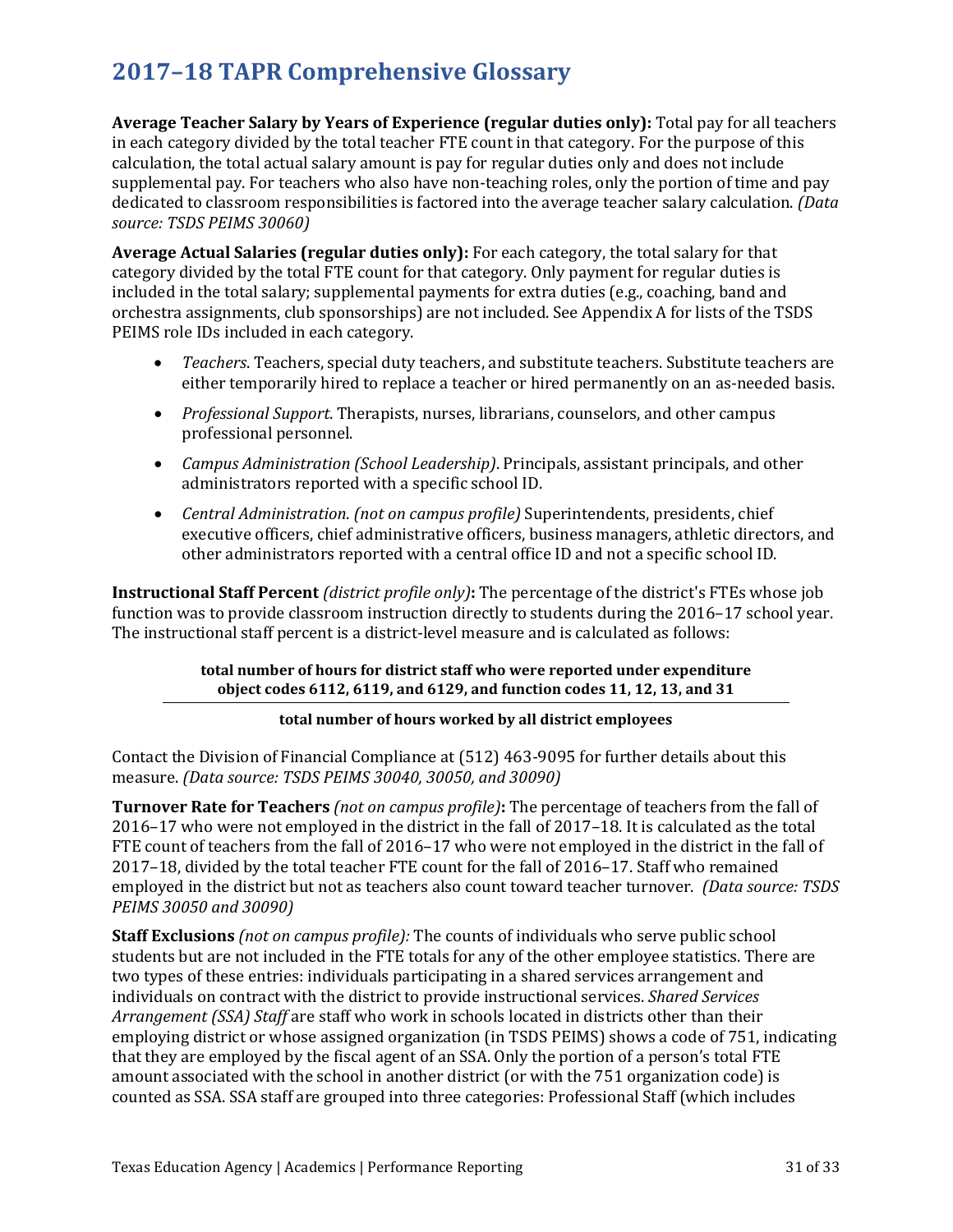**Average Teacher Salary by Years of Experience (regular duties only):** Total pay for all teachers in each category divided by the total teacher FTE count in that category. For the purpose of this calculation, the total actual salary amount is pay for regular duties only and does not include supplemental pay. For teachers who also have non-teaching roles, only the portion of time and pay dedicated to classroom responsibilities is factored into the average teacher salary calculation. *(Data source: TSDS PEIMS 30060)* 

**Average Actual Salaries (regular duties only):** For each category, the total salary for that category divided by the total FTE count for that category. Only payment for regular duties is included in the total salary; supplemental payments for extra duties (e.g., coaching, band and orchestra assignments, club sponsorships) are not included. See Appendix A for lists of the TSDS PEIMS role IDs included in each category.

- *Teachers*. Teachers, special duty teachers, and substitute teachers. Substitute teachers are either temporarily hired to replace a teacher or hired permanently on an as-needed basis.
- *Professional Support*. Therapists, nurses, librarians, counselors, and other campus professional personnel.
- *Campus Administration (School Leadership)*. Principals, assistant principals, and other administrators reported with a specific school ID.
- *Central Administration*. *(not on campus profile)* Superintendents, presidents, chief executive officers, chief administrative officers, business managers, athletic directors, and other administrators reported with a central office ID and not a specific school ID.

**Instructional Staff Percent** *(district profile only)***:** The percentage of the district's FTEs whose job function was to provide classroom instruction directly to students during the 2016–17 school year. The instructional staff percent is a district-level measure and is calculated as follows:

## **total number of hours for district staff who were reported under expenditure object codes 6112, 6119, and 6129, and function codes 11, 12, 13, and 31**

## **total number of hours worked by all district employees**

Contact the Division of Financial Compliance at (512) 463-9095 for further details about this measure. *(Data source: TSDS PEIMS 30040, 30050, and 30090)*

**Turnover Rate for Teachers** *(not on campus profile)***:** The percentage of teachers from the fall of 2016–17 who were not employed in the district in the fall of 2017–18. It is calculated as the total FTE count of teachers from the fall of 2016–17 who were not employed in the district in the fall of 2017–18, divided by the total teacher FTE count for the fall of 2016–17. Staff who remained employed in the district but not as teachers also count toward teacher turnover. *(Data source: TSDS PEIMS 30050 and 30090)*

**Staff Exclusions** *(not on campus profile):* The counts of individuals who serve public school students but are not included in the FTE totals for any of the other employee statistics. There are two types of these entries: individuals participating in a shared services arrangement and individuals on contract with the district to provide instructional services. *Shared Services Arrangement (SSA) Staff* are staff who work in schools located in districts other than their employing district or whose assigned organization (in TSDS PEIMS) shows a code of 751, indicating that they are employed by the fiscal agent of an SSA. Only the portion of a person's total FTE amount associated with the school in another district (or with the 751 organization code) is counted as SSA. SSA staff are grouped into three categories: Professional Staff (which includes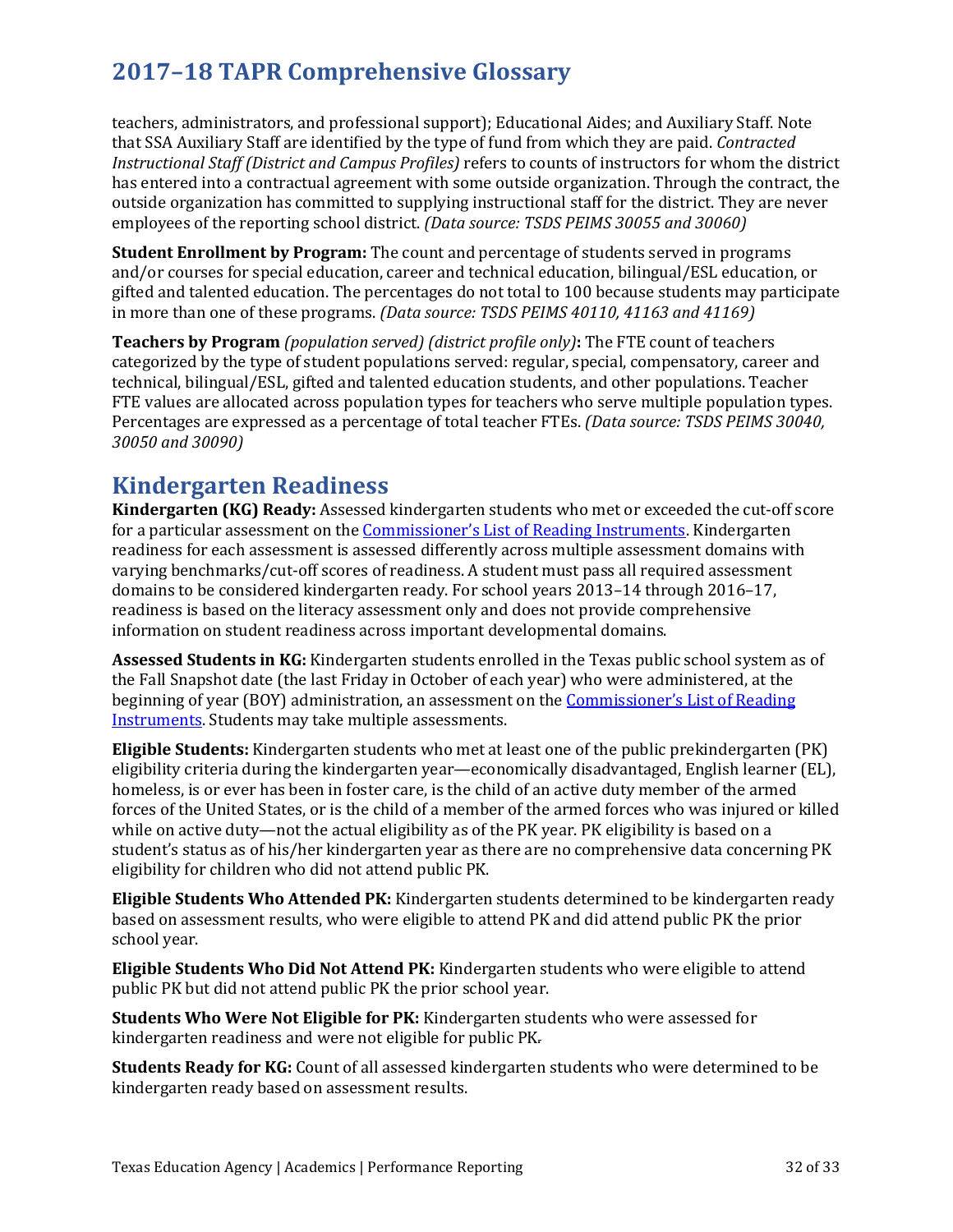teachers, administrators, and professional support); Educational Aides; and Auxiliary Staff. Note that SSA Auxiliary Staff are identified by the type of fund from which they are paid. *Contracted Instructional Staff (District and Campus Profiles)* refers to counts of instructors for whom the district has entered into a contractual agreement with some outside organization. Through the contract, the outside organization has committed to supplying instructional staff for the district. They are never employees of the reporting school district. *(Data source: TSDS PEIMS 30055 and 30060)*

**Student Enrollment by Program:** The count and percentage of students served in programs and/or courses for special education, career and technical education, bilingual/ESL education, or gifted and talented education. The percentages do not total to 100 because students may participate in more than one of these programs. *(Data source: TSDS PEIMS 40110, 41163 and 41169)*

**Teachers by Program** *(population served) (district profile only)***:** The FTE count of teachers categorized by the type of student populations served: regular, special, compensatory, career and technical, bilingual/ESL, gifted and talented education students, and other populations. Teacher FTE values are allocated across population types for teachers who serve multiple population types. Percentages are expressed as a percentage of total teacher FTEs. *(Data source: TSDS PEIMS 30040, 30050 and 30090)*

## **Kindergarten Readiness**

**Kindergarten (KG) Ready:** Assessed kindergarten students who met or exceeded the cut-off score for a particular assessment on the [Commissioner's List of Reading Instruments.](https://tea.texas.gov/Academics/Early_Childhood_Education/Educator_Resources/) Kindergarten readiness for each assessment is assessed differently across multiple assessment domains with varying benchmarks/cut-off scores of readiness. A student must pass all required assessment domains to be considered kindergarten ready. For school years 2013–14 through 2016–17, readiness is based on the literacy assessment only and does not provide comprehensive information on student readiness across important developmental domains.

**Assessed Students in KG:** Kindergarten students enrolled in the Texas public school system as of the Fall Snapshot date (the last Friday in October of each year) who were administered, at the beginning of year (BOY) administration, an assessment on the [Commissioner's List of Reading](https://tea.texas.gov/Academics/Early_Childhood_Education/Educator_Resources/)  [Instruments.](https://tea.texas.gov/Academics/Early_Childhood_Education/Educator_Resources/) Students may take multiple assessments.

**Eligible Students:** Kindergarten students who met at least one of the public prekindergarten (PK) eligibility criteria during the kindergarten year—economically disadvantaged, English learner (EL), homeless, is or ever has been in foster care, is the child of an active duty member of the armed forces of the United States, or is the child of a member of the armed forces who was injured or killed while on active duty—not the actual eligibility as of the PK year. PK eligibility is based on a student's status as of his/her kindergarten year as there are no comprehensive data concerning PK eligibility for children who did not attend public PK.

**Eligible Students Who Attended PK:** Kindergarten students determined to be kindergarten ready based on assessment results, who were eligible to attend PK and did attend public PK the prior school year.

**Eligible Students Who Did Not Attend PK:** Kindergarten students who were eligible to attend public PK but did not attend public PK the prior school year.

**Students Who Were Not Eligible for PK:** Kindergarten students who were assessed for kindergarten readiness and were not eligible for public PK.

**Students Ready for KG:** Count of all assessed kindergarten students who were determined to be kindergarten ready based on assessment results.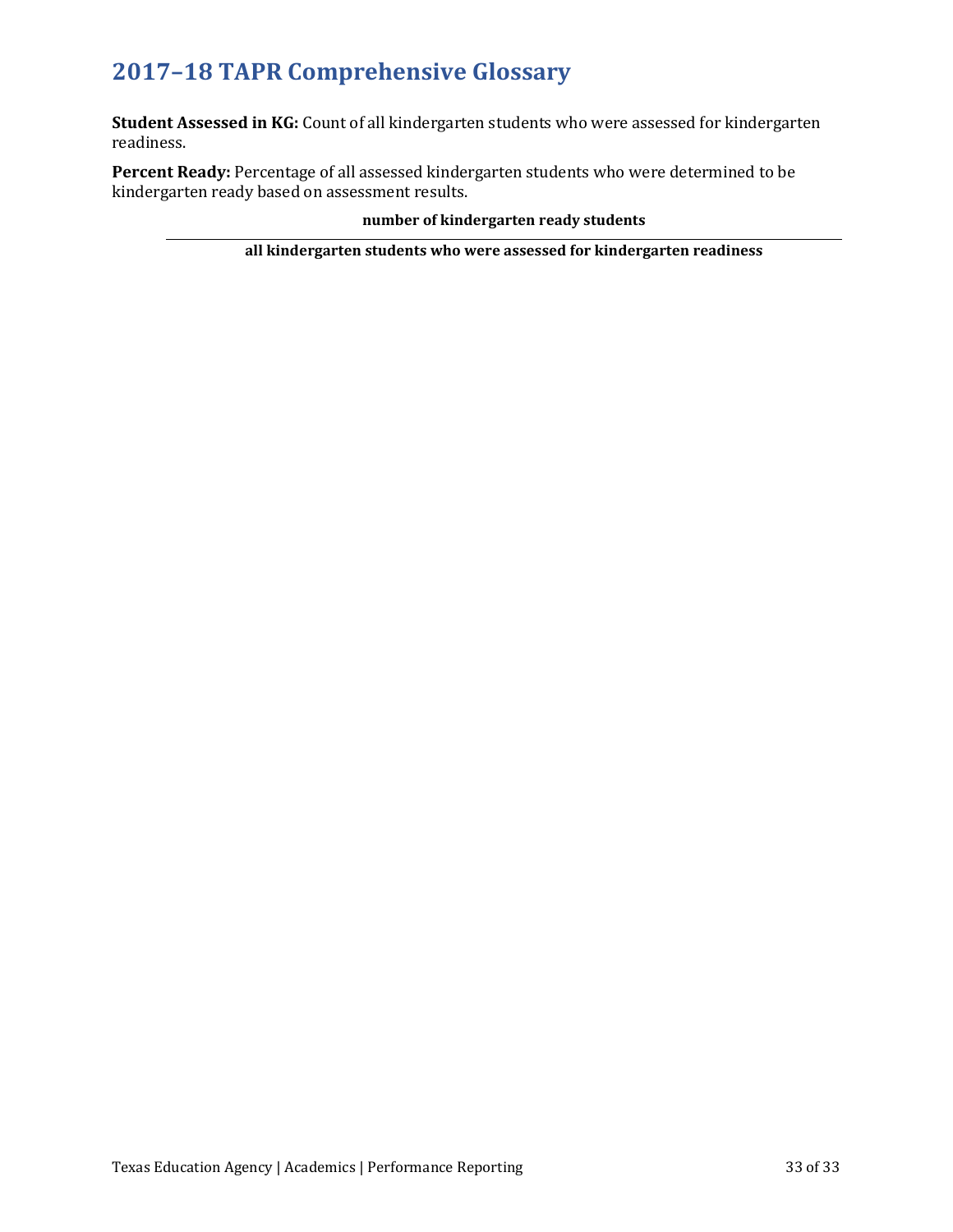**Student Assessed in KG:** Count of all kindergarten students who were assessed for kindergarten readiness.

**Percent Ready:** Percentage of all assessed kindergarten students who were determined to be kindergarten ready based on assessment results.

## **number of kindergarten ready students**

**all kindergarten students who were assessed for kindergarten readiness**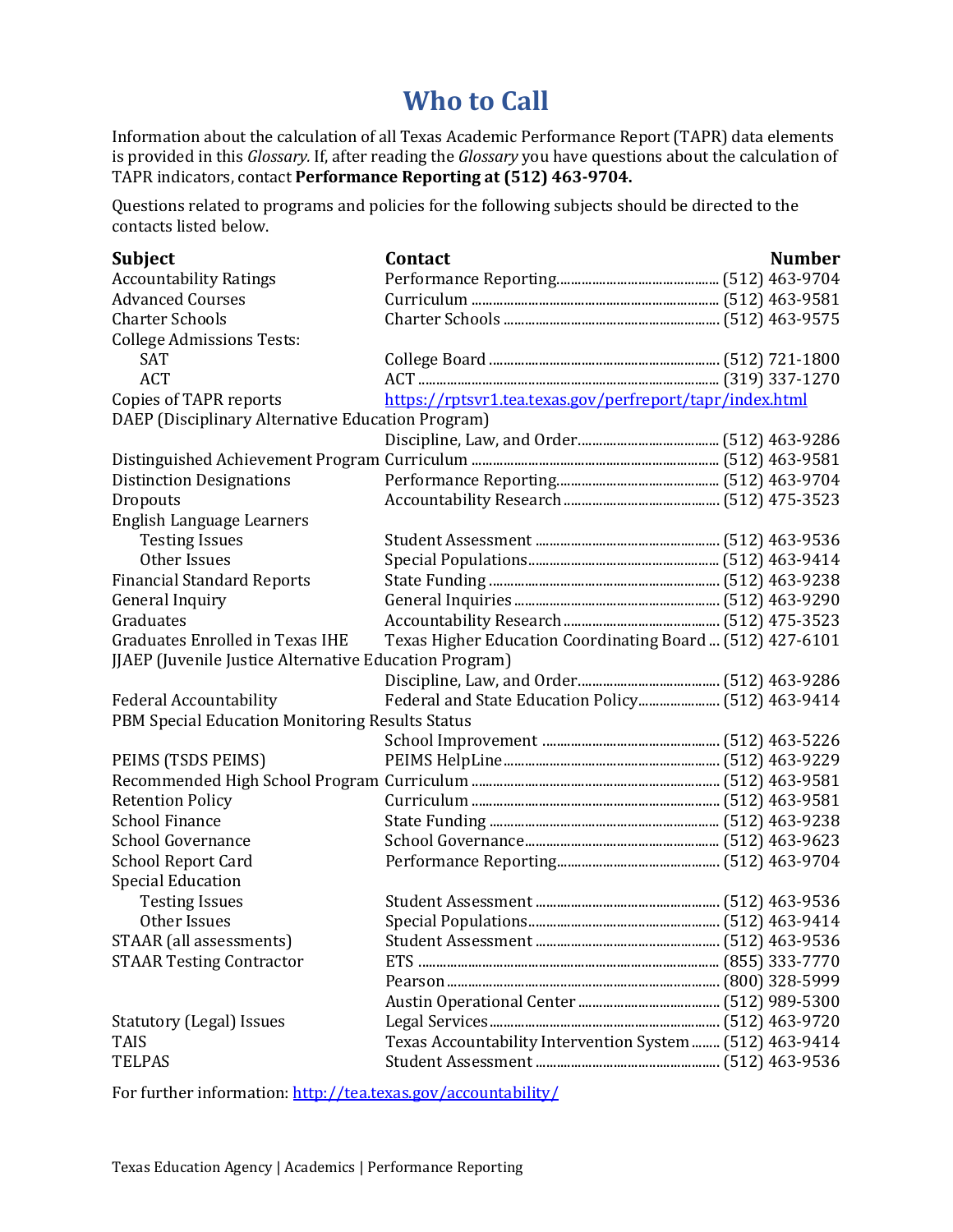# **Who to Call**

Information about the calculation of all Texas Academic Performance Report (TAPR) data elements is provided in this *Glossary.* If, after reading the *Glossary* you have questions about the calculation of TAPR indicators, contact **Performance Reporting at (512) 463-9704.**

Questions related to programs and policies for the following subjects should be directed to the contacts listed below.

| <b>Subject</b>                                         | Contact                                                   | <b>Number</b> |
|--------------------------------------------------------|-----------------------------------------------------------|---------------|
| <b>Accountability Ratings</b>                          |                                                           |               |
| <b>Advanced Courses</b>                                |                                                           |               |
| <b>Charter Schools</b>                                 |                                                           |               |
| <b>College Admissions Tests:</b>                       |                                                           |               |
| <b>SAT</b>                                             |                                                           |               |
| <b>ACT</b>                                             |                                                           |               |
| Copies of TAPR reports                                 | https://rptsvr1.tea.texas.gov/perfreport/tapr/index.html  |               |
| DAEP (Disciplinary Alternative Education Program)      |                                                           |               |
|                                                        |                                                           |               |
|                                                        |                                                           |               |
| <b>Distinction Designations</b>                        |                                                           |               |
| Dropouts                                               |                                                           |               |
| English Language Learners                              |                                                           |               |
| <b>Testing Issues</b>                                  |                                                           |               |
| Other Issues                                           |                                                           |               |
| <b>Financial Standard Reports</b>                      |                                                           |               |
| General Inquiry                                        |                                                           |               |
| Graduates                                              |                                                           |               |
| <b>Graduates Enrolled in Texas IHE</b>                 | Texas Higher Education Coordinating Board  (512) 427-6101 |               |
| JJAEP (Juvenile Justice Alternative Education Program) |                                                           |               |
|                                                        |                                                           |               |
| <b>Federal Accountability</b>                          |                                                           |               |
| PBM Special Education Monitoring Results Status        |                                                           |               |
|                                                        |                                                           |               |
| PEIMS (TSDS PEIMS)                                     |                                                           |               |
|                                                        |                                                           |               |
| <b>Retention Policy</b>                                |                                                           |               |
| <b>School Finance</b>                                  |                                                           |               |
| <b>School Governance</b>                               |                                                           |               |
| <b>School Report Card</b>                              |                                                           |               |
| <b>Special Education</b>                               |                                                           |               |
| <b>Testing Issues</b>                                  |                                                           |               |
| Other Issues                                           |                                                           |               |
| STAAR (all assessments)                                |                                                           |               |
| <b>STAAR Testing Contractor</b>                        |                                                           |               |
|                                                        |                                                           |               |
|                                                        |                                                           |               |
| <b>Statutory (Legal) Issues</b>                        |                                                           |               |
| <b>TAIS</b>                                            | Texas Accountability Intervention System  (512) 463-9414  |               |
| <b>TELPAS</b>                                          |                                                           |               |

For further information[: http://tea.texas.gov/accountability/](http://tea.texas.gov/accountability/)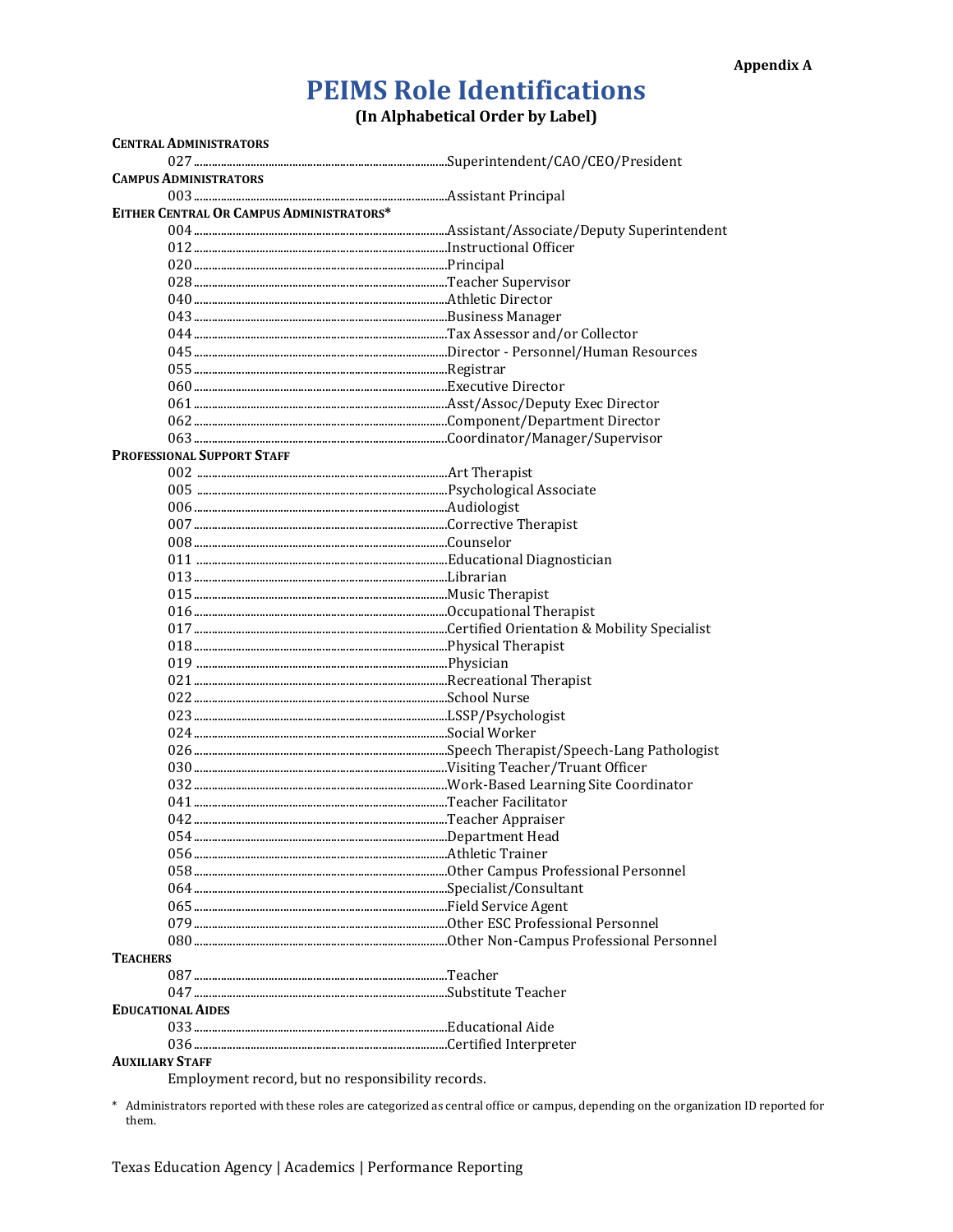# **PEIMS Role Identifications**

(In Alphabetical Order by Label)

| <b>CENTRAL ADMINISTRATORS</b>                     |  |
|---------------------------------------------------|--|
|                                                   |  |
| <b>CAMPUS ADMINISTRATORS</b>                      |  |
|                                                   |  |
| EITHER CENTRAL OR CAMPUS ADMINISTRATORS*          |  |
|                                                   |  |
|                                                   |  |
|                                                   |  |
|                                                   |  |
|                                                   |  |
|                                                   |  |
|                                                   |  |
|                                                   |  |
|                                                   |  |
|                                                   |  |
|                                                   |  |
|                                                   |  |
|                                                   |  |
|                                                   |  |
| PROFESSIONAL SUPPORT STAFF                        |  |
|                                                   |  |
|                                                   |  |
|                                                   |  |
|                                                   |  |
|                                                   |  |
|                                                   |  |
|                                                   |  |
|                                                   |  |
|                                                   |  |
|                                                   |  |
|                                                   |  |
|                                                   |  |
|                                                   |  |
|                                                   |  |
|                                                   |  |
|                                                   |  |
|                                                   |  |
|                                                   |  |
|                                                   |  |
|                                                   |  |
|                                                   |  |
|                                                   |  |
|                                                   |  |
|                                                   |  |
|                                                   |  |
|                                                   |  |
|                                                   |  |
|                                                   |  |
|                                                   |  |
| <b>TEACHERS</b>                                   |  |
|                                                   |  |
|                                                   |  |
|                                                   |  |
| <b>EDUCATIONAL AIDES</b>                          |  |
|                                                   |  |
|                                                   |  |
| <b>AUXILIARY STAFF</b>                            |  |
| Employment record, but no responsibility records. |  |

\* Administrators reported with these roles are categorized as central office or campus, depending on the organization ID reported for them.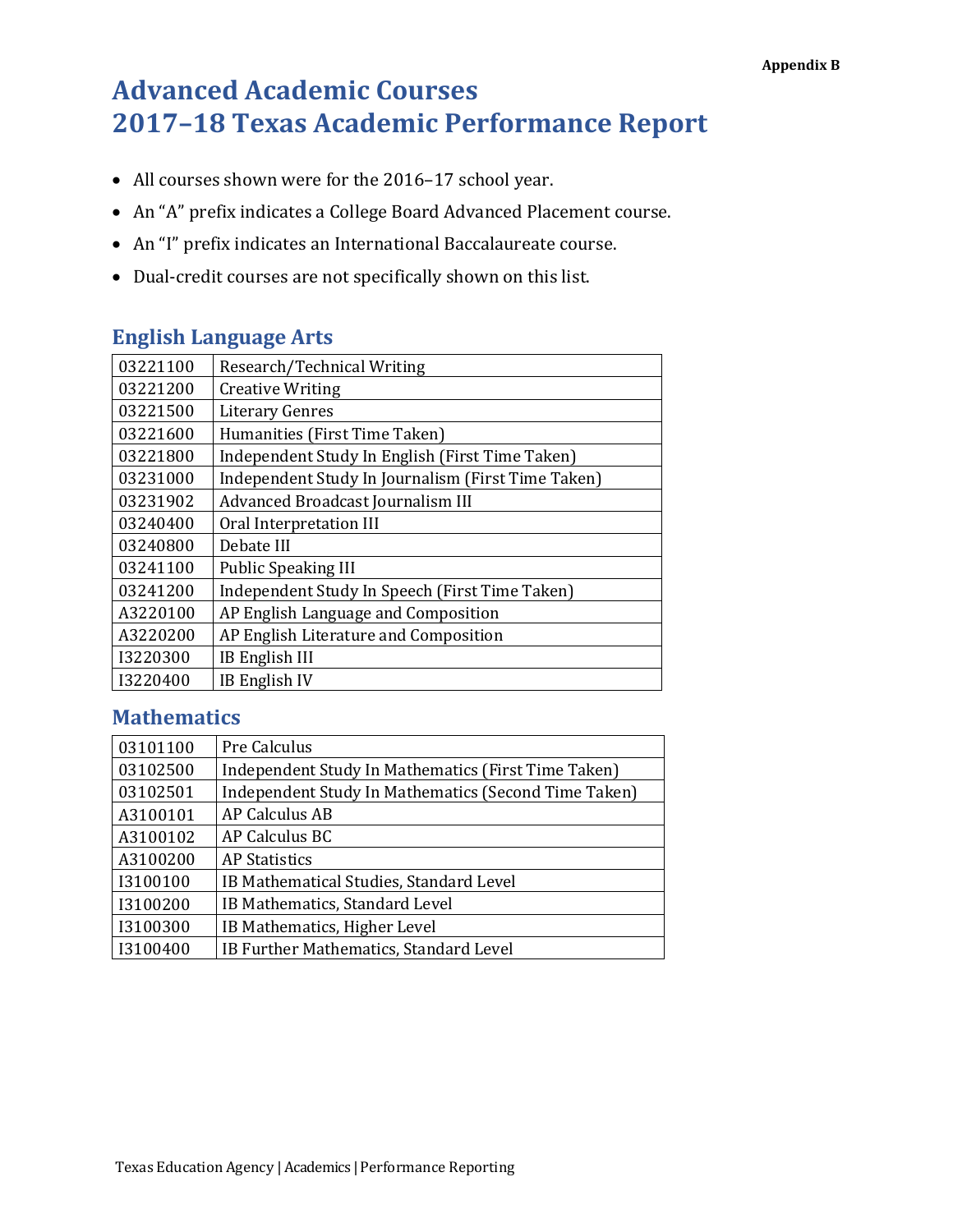# **Advanced Academic Courses 2017–18 Texas Academic Performance Report**

- All courses shown were for the 2016–17 school year.
- An "A" prefix indicates a College Board Advanced Placement course.
- An "I" prefix indicates an International Baccalaureate course.
- Dual-credit courses are not specifically shown on this list.

## **English Language Arts**

| 03221100 | Research/Technical Writing                         |
|----------|----------------------------------------------------|
| 03221200 | <b>Creative Writing</b>                            |
| 03221500 | <b>Literary Genres</b>                             |
| 03221600 | Humanities (First Time Taken)                      |
| 03221800 | Independent Study In English (First Time Taken)    |
| 03231000 | Independent Study In Journalism (First Time Taken) |
| 03231902 | Advanced Broadcast Journalism III                  |
| 03240400 | Oral Interpretation III                            |
| 03240800 | Debate III                                         |
| 03241100 | <b>Public Speaking III</b>                         |
| 03241200 | Independent Study In Speech (First Time Taken)     |
| A3220100 | AP English Language and Composition                |
| A3220200 | AP English Literature and Composition              |
| I3220300 | <b>IB English III</b>                              |
| 13220400 | IB English IV                                      |

## **Mathematics**

| 03101100 | Pre Calculus                                         |
|----------|------------------------------------------------------|
| 03102500 | Independent Study In Mathematics (First Time Taken)  |
| 03102501 | Independent Study In Mathematics (Second Time Taken) |
| A3100101 | <b>AP Calculus AB</b>                                |
| A3100102 | AP Calculus BC                                       |
| A3100200 | <b>AP Statistics</b>                                 |
| I3100100 | IB Mathematical Studies, Standard Level              |
| I3100200 | IB Mathematics, Standard Level                       |
| I3100300 | IB Mathematics, Higher Level                         |
| I3100400 | IB Further Mathematics, Standard Level               |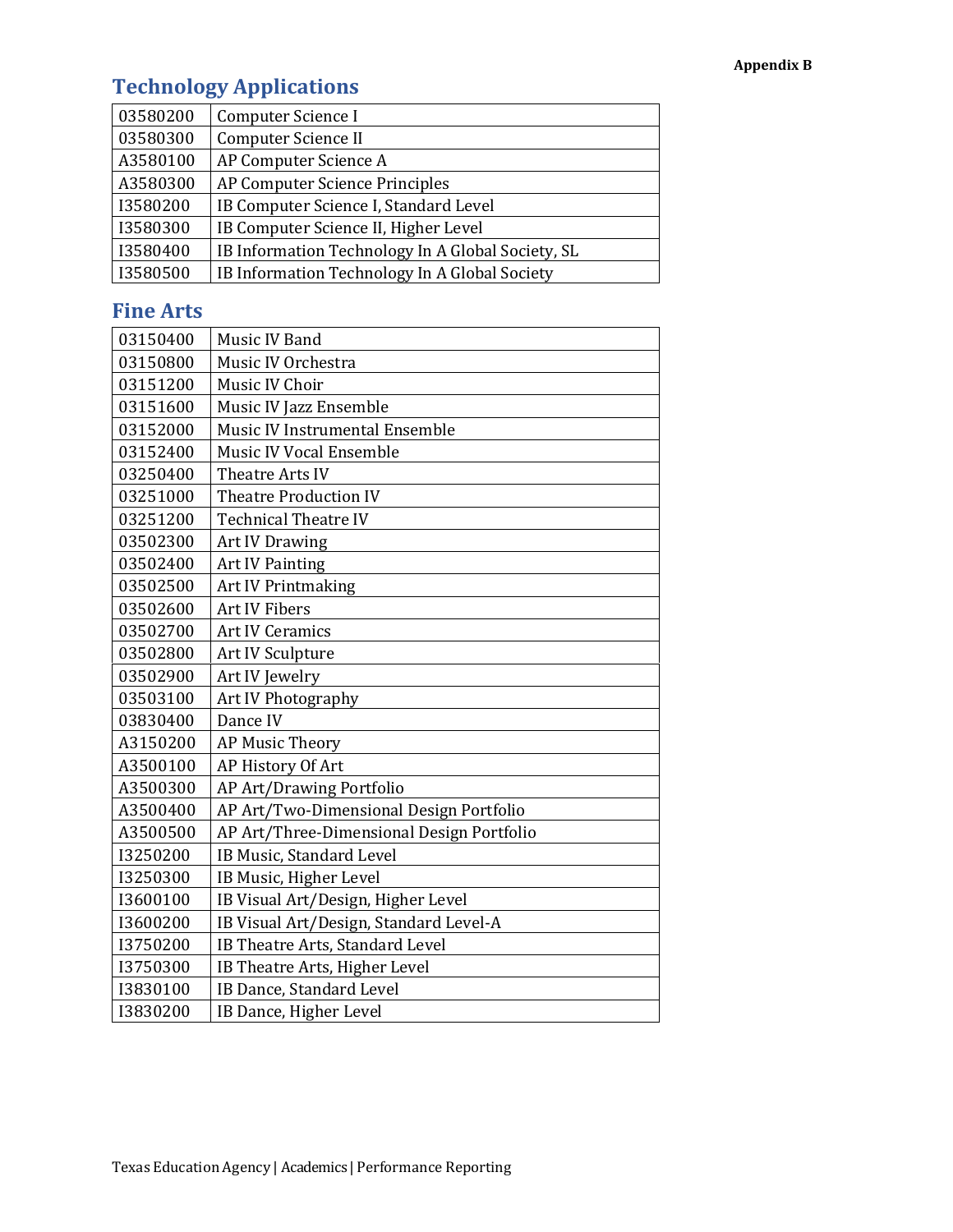# **Technology Applications**

| 03580200 | Computer Science I                                |
|----------|---------------------------------------------------|
| 03580300 | Computer Science II                               |
| A3580100 | AP Computer Science A                             |
| A3580300 | AP Computer Science Principles                    |
| I3580200 | IB Computer Science I, Standard Level             |
| I3580300 | IB Computer Science II, Higher Level              |
| I3580400 | IB Information Technology In A Global Society, SL |
| I3580500 | IB Information Technology In A Global Society     |

## **Fine Arts**

| 03150400 | Music IV Band                             |
|----------|-------------------------------------------|
| 03150800 | Music IV Orchestra                        |
| 03151200 | Music IV Choir                            |
| 03151600 | Music IV Jazz Ensemble                    |
| 03152000 | Music IV Instrumental Ensemble            |
| 03152400 | <b>Music IV Vocal Ensemble</b>            |
| 03250400 | Theatre Arts IV                           |
| 03251000 | <b>Theatre Production IV</b>              |
| 03251200 | <b>Technical Theatre IV</b>               |
| 03502300 | <b>Art IV Drawing</b>                     |
| 03502400 | <b>Art IV Painting</b>                    |
| 03502500 | <b>Art IV Printmaking</b>                 |
| 03502600 | <b>Art IV Fibers</b>                      |
| 03502700 | <b>Art IV Ceramics</b>                    |
| 03502800 | Art IV Sculpture                          |
| 03502900 | Art IV Jewelry                            |
| 03503100 | Art IV Photography                        |
| 03830400 | Dance IV                                  |
| A3150200 | AP Music Theory                           |
| A3500100 | AP History Of Art                         |
| A3500300 | AP Art/Drawing Portfolio                  |
| A3500400 | AP Art/Two-Dimensional Design Portfolio   |
| A3500500 | AP Art/Three-Dimensional Design Portfolio |
| 13250200 | IB Music, Standard Level                  |
| I3250300 | IB Music, Higher Level                    |
| I3600100 | IB Visual Art/Design, Higher Level        |
| I3600200 | IB Visual Art/Design, Standard Level-A    |
| I3750200 | IB Theatre Arts, Standard Level           |
| I3750300 | IB Theatre Arts, Higher Level             |
| I3830100 | IB Dance, Standard Level                  |
| I3830200 | IB Dance, Higher Level                    |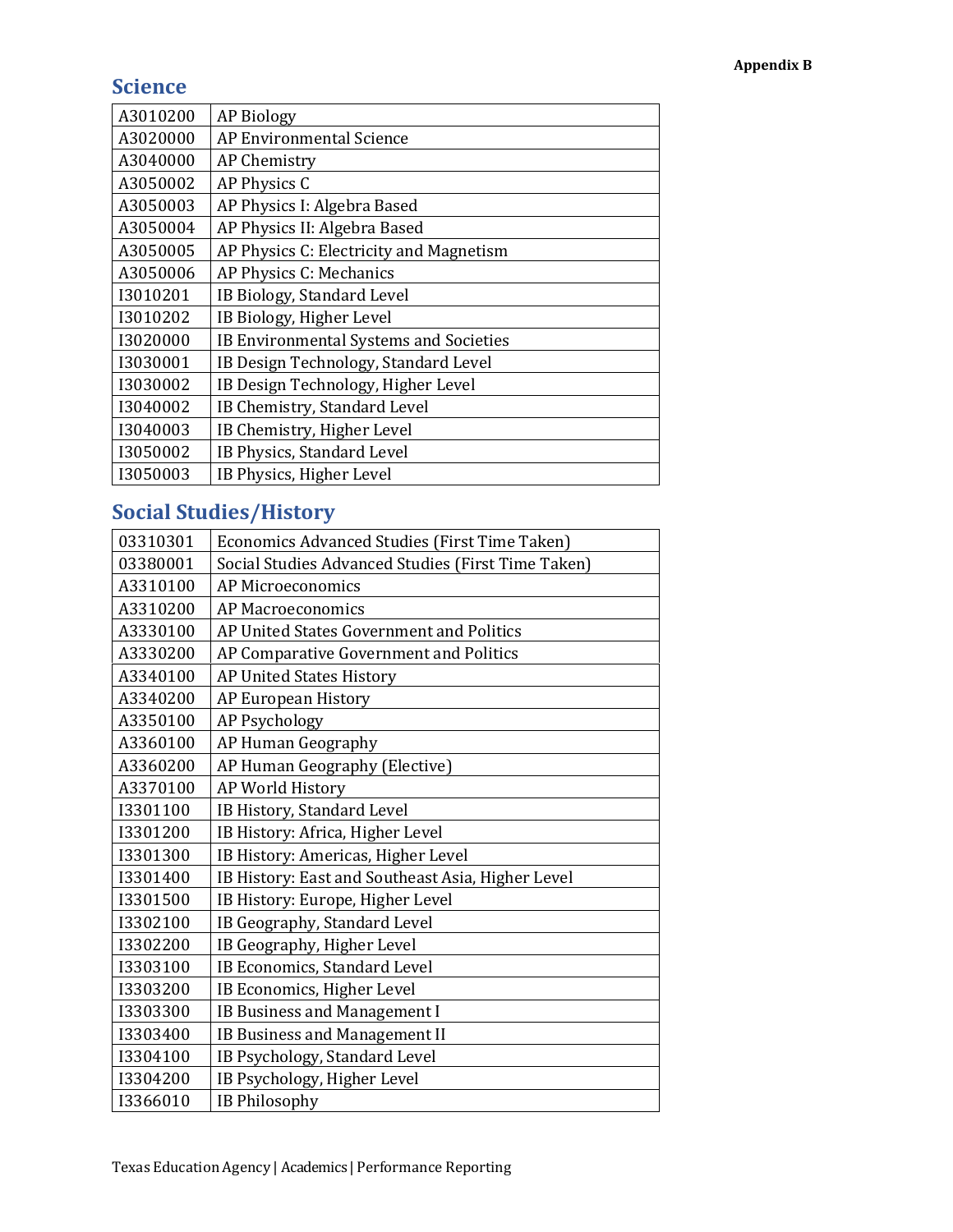## **Science**

| A3010200 | <b>AP Biology</b>                       |
|----------|-----------------------------------------|
| A3020000 | <b>AP Environmental Science</b>         |
| A3040000 | <b>AP Chemistry</b>                     |
| A3050002 | AP Physics C                            |
| A3050003 | AP Physics I: Algebra Based             |
| A3050004 | AP Physics II: Algebra Based            |
| A3050005 | AP Physics C: Electricity and Magnetism |
| A3050006 | AP Physics C: Mechanics                 |
| I3010201 | IB Biology, Standard Level              |
| 13010202 | IB Biology, Higher Level                |
| 13020000 | IB Environmental Systems and Societies  |
| 13030001 | IB Design Technology, Standard Level    |
| 13030002 | IB Design Technology, Higher Level      |
| I3040002 | IB Chemistry, Standard Level            |
| I3040003 | IB Chemistry, Higher Level              |
| 13050002 | IB Physics, Standard Level              |
| 13050003 | IB Physics, Higher Level                |

# **Social Studies/History**

| 03310301 | Economics Advanced Studies (First Time Taken)      |
|----------|----------------------------------------------------|
| 03380001 | Social Studies Advanced Studies (First Time Taken) |
| A3310100 | AP Microeconomics                                  |
| A3310200 | <b>AP Macroeconomics</b>                           |
| A3330100 | AP United States Government and Politics           |
| A3330200 | AP Comparative Government and Politics             |
| A3340100 | <b>AP United States History</b>                    |
| A3340200 | AP European History                                |
| A3350100 | <b>AP Psychology</b>                               |
| A3360100 | AP Human Geography                                 |
| A3360200 | AP Human Geography (Elective)                      |
| A3370100 | AP World History                                   |
| I3301100 | IB History, Standard Level                         |
| I3301200 | IB History: Africa, Higher Level                   |
| I3301300 | IB History: Americas, Higher Level                 |
| I3301400 | IB History: East and Southeast Asia, Higher Level  |
| I3301500 | IB History: Europe, Higher Level                   |
| I3302100 | IB Geography, Standard Level                       |
| 13302200 | IB Geography, Higher Level                         |
| I3303100 | IB Economics, Standard Level                       |
| 13303200 | IB Economics, Higher Level                         |
| 13303300 | IB Business and Management I                       |
| I3303400 | IB Business and Management II                      |
| I3304100 | IB Psychology, Standard Level                      |
| I3304200 | IB Psychology, Higher Level                        |
| I3366010 | <b>IB Philosophy</b>                               |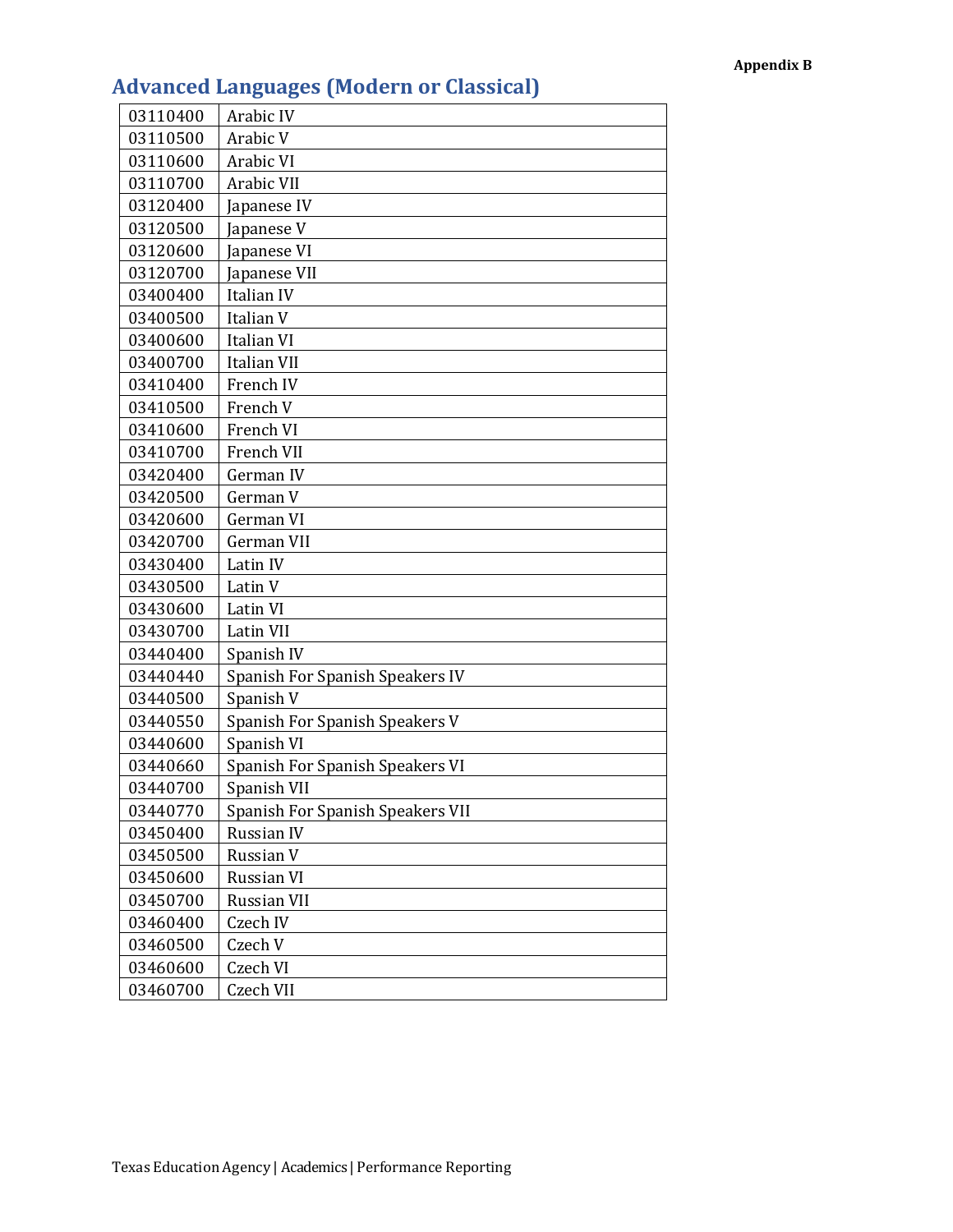| 03110400 | Arabic IV                        |
|----------|----------------------------------|
| 03110500 | Arabic V                         |
| 03110600 | Arabic VI                        |
| 03110700 | Arabic VII                       |
| 03120400 | Japanese IV                      |
| 03120500 | Japanese V                       |
| 03120600 | Japanese VI                      |
| 03120700 | Japanese VII                     |
| 03400400 | Italian IV                       |
| 03400500 | Italian V                        |
| 03400600 | Italian VI                       |
| 03400700 | Italian VII                      |
| 03410400 | French IV                        |
| 03410500 | French V                         |
| 03410600 | French VI                        |
| 03410700 | French VII                       |
| 03420400 | German IV                        |
| 03420500 | German V                         |
| 03420600 | German VI                        |
| 03420700 | German VII                       |
| 03430400 | Latin IV                         |
| 03430500 | Latin V                          |
| 03430600 | Latin VI                         |
| 03430700 | Latin VII                        |
| 03440400 | Spanish IV                       |
| 03440440 | Spanish For Spanish Speakers IV  |
| 03440500 | Spanish V                        |
| 03440550 | Spanish For Spanish Speakers V   |
| 03440600 | Spanish VI                       |
| 03440660 | Spanish For Spanish Speakers VI  |
| 03440700 | Spanish VII                      |
| 03440770 | Spanish For Spanish Speakers VII |
| 03450400 | Russian IV                       |
| 03450500 | Russian V                        |
| 03450600 | Russian VI                       |
| 03450700 | <b>Russian VII</b>               |
| 03460400 | Czech IV                         |
| 03460500 | Czech V                          |
| 03460600 | Czech VI                         |
| 03460700 | Czech VII                        |

## **Advanced Languages (Modern or Classical)**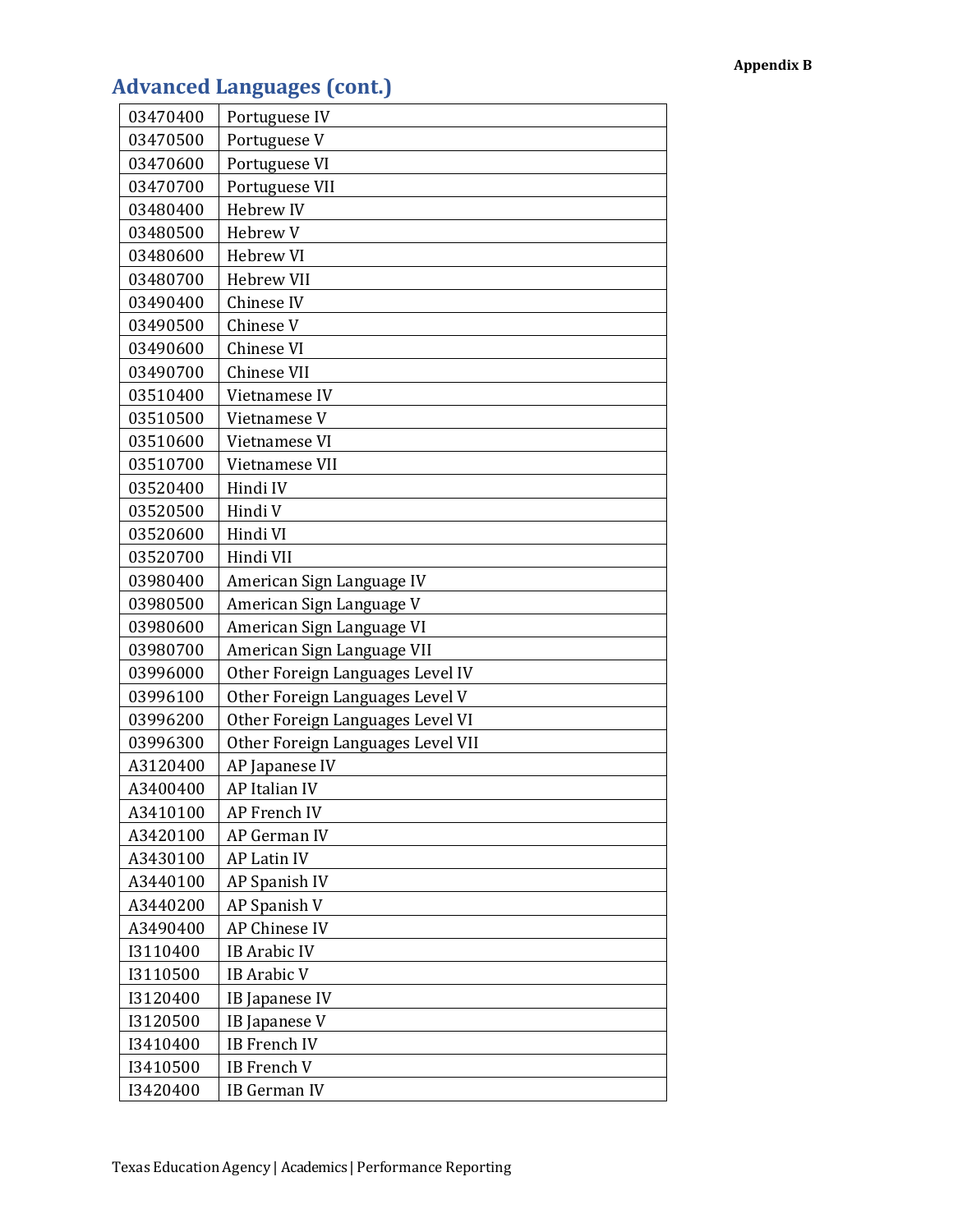# **Advanced Languages (cont.)**

| 03470400 | Portuguese IV                     |
|----------|-----------------------------------|
| 03470500 | Portuguese V                      |
| 03470600 | Portuguese VI                     |
| 03470700 | Portuguese VII                    |
| 03480400 | <b>Hebrew IV</b>                  |
| 03480500 | Hebrew V                          |
| 03480600 | Hebrew VI                         |
| 03480700 | <b>Hebrew VII</b>                 |
| 03490400 | Chinese IV                        |
| 03490500 | Chinese V                         |
| 03490600 | Chinese VI                        |
| 03490700 | Chinese VII                       |
| 03510400 | Vietnamese IV                     |
| 03510500 | Vietnamese V                      |
| 03510600 | Vietnamese VI                     |
| 03510700 | Vietnamese VII                    |
| 03520400 | Hindi IV                          |
| 03520500 | Hindi V                           |
| 03520600 | Hindi VI                          |
| 03520700 | Hindi VII                         |
| 03980400 | American Sign Language IV         |
| 03980500 | American Sign Language V          |
| 03980600 | American Sign Language VI         |
| 03980700 | American Sign Language VII        |
| 03996000 | Other Foreign Languages Level IV  |
| 03996100 | Other Foreign Languages Level V   |
| 03996200 | Other Foreign Languages Level VI  |
| 03996300 | Other Foreign Languages Level VII |
| A3120400 | AP Japanese IV                    |
| A3400400 | AP Italian IV                     |
| A3410100 | <b>AP French IV</b>               |
| A3420100 | <b>AP German IV</b>               |
| A3430100 | <b>AP Latin IV</b>                |
| A3440100 | AP Spanish IV                     |
| A3440200 | AP Spanish V                      |
| A3490400 | AP Chinese IV                     |
| I3110400 | <b>IB Arabic IV</b>               |
| I3110500 | <b>IB</b> Arabic V                |
| I3120400 | <b>IB</b> Japanese IV             |
| 13120500 | IB Japanese V                     |
| I3410400 | <b>IB</b> French IV               |
| I3410500 | <b>IB</b> French V                |
| I3420400 | IB German IV                      |